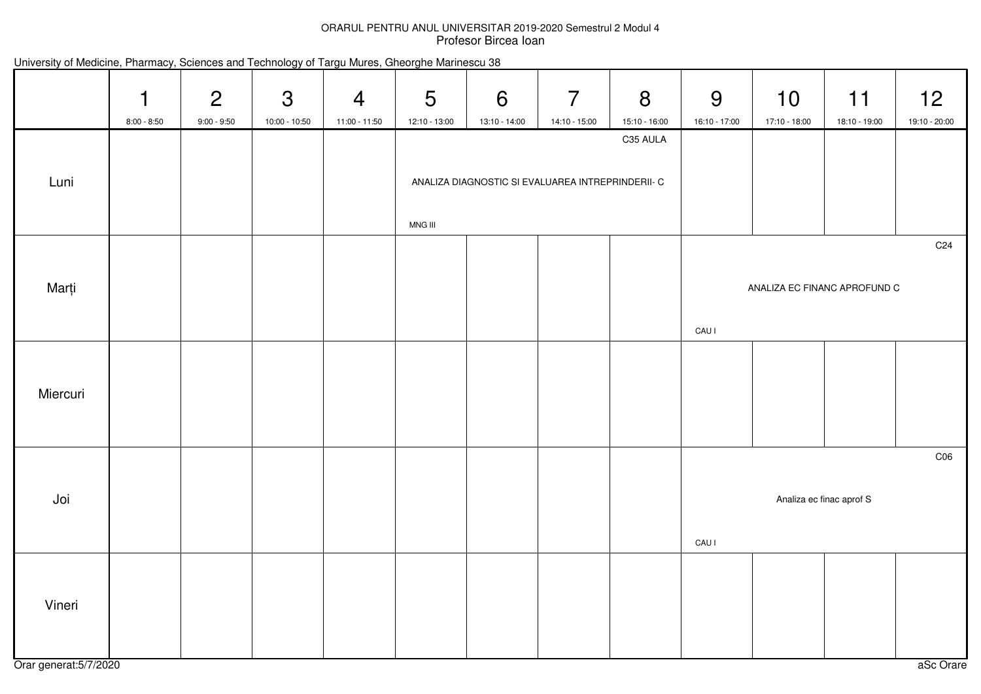## ORARUL PENTRU ANUL UNIVERSITAR 2019-2020 Semestrul 2 Modul 4Profesor Bircea Ioan

|  |  |  | University of Medicine, Pharmacy, Sciences and Technology of Targu Mures, Gheorghe Marinescu 38 |
|--|--|--|-------------------------------------------------------------------------------------------------|
|--|--|--|-------------------------------------------------------------------------------------------------|

|          | 1<br>$8:00 - 8:50$ | $\overline{2}$<br>$9:00 - 9:50$ | $\mathfrak{S}$<br>10:00 - 10:50 | $\overline{4}$<br>11:00 - 11:50 | $5\overline{)}$<br>12:10 - 13:00 | 6<br>13:10 - 14:00                                | $\overline{7}$<br>14:10 - 15:00 | 8<br>15:10 - 16:00 | 9<br>16:10 - 17:00 | 10<br>17:10 - 18:00 | 11<br>18:10 - 19:00          | 12<br>19:10 - 20:00 |
|----------|--------------------|---------------------------------|---------------------------------|---------------------------------|----------------------------------|---------------------------------------------------|---------------------------------|--------------------|--------------------|---------------------|------------------------------|---------------------|
| Luni     |                    |                                 |                                 |                                 |                                  | ANALIZA DIAGNOSTIC SI EVALUAREA INTREPRINDERII- C |                                 | C35 AULA           |                    |                     |                              |                     |
|          |                    |                                 |                                 |                                 | MNG III                          |                                                   |                                 |                    |                    |                     |                              |                     |
| Marți    |                    |                                 |                                 |                                 |                                  |                                                   |                                 |                    |                    |                     | ANALIZA EC FINANC APROFUND C | C <sub>24</sub>     |
|          |                    |                                 |                                 |                                 |                                  |                                                   |                                 |                    | CAU I              |                     |                              |                     |
| Miercuri |                    |                                 |                                 |                                 |                                  |                                                   |                                 |                    |                    |                     |                              |                     |
|          |                    |                                 |                                 |                                 |                                  |                                                   |                                 |                    |                    |                     |                              | C <sub>06</sub>     |
| Joi      |                    |                                 |                                 |                                 |                                  |                                                   |                                 |                    | CAU I              |                     | Analiza ec finac aprof S     |                     |
| Vineri   |                    |                                 |                                 |                                 |                                  |                                                   |                                 |                    |                    |                     |                              |                     |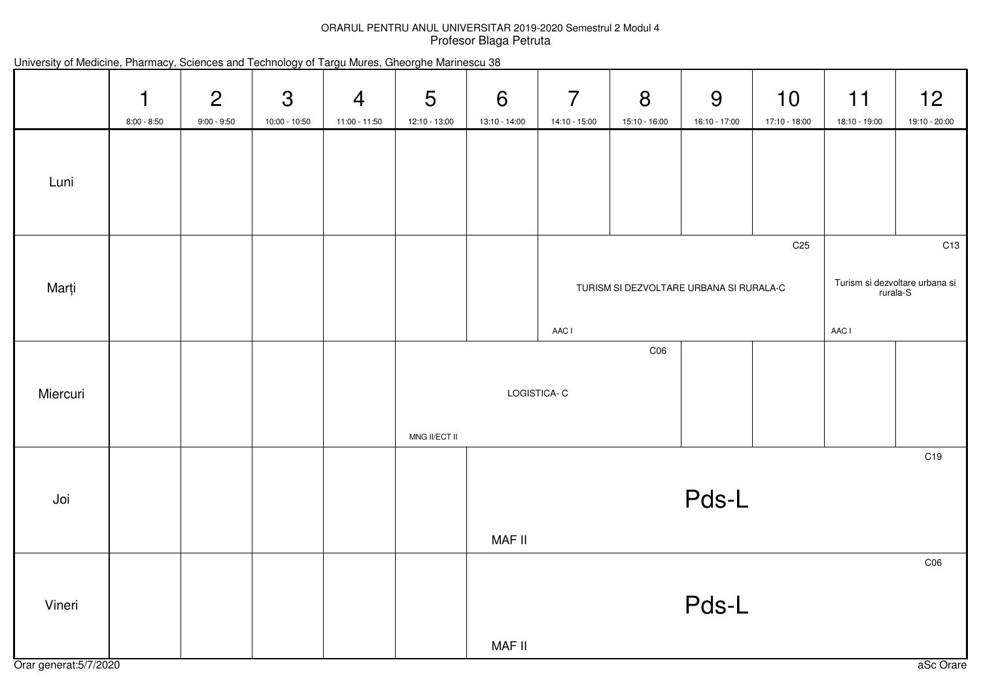## ORARUL PENTRU ANUL UNIVERSITAR 2019-2020 Semestrul 2 Modul 4Profesor Blaga Petruta

| University of Medicine, Pharmacy, Sciences and Technology of Targu Mures, Gheorghe Marinescu 38 |  |  |  |  |
|-------------------------------------------------------------------------------------------------|--|--|--|--|
|-------------------------------------------------------------------------------------------------|--|--|--|--|

|          | 1<br>$8:00 - 8:50$ | $\overline{2}$<br>$9:00 - 9:50$ | $\mathfrak{S}$<br>10:00 - 10:50 | $\overline{4}$<br>11:00 - 11:50 | $5\phantom{.0}$<br>12:10 - 13:00 | 6<br>13:10 - 14:00 | $\overline{7}$<br>14:10 - 15:00 | 8<br>15:10 - 16:00 | 9<br>16:10 - 17:00                      | 10<br>17:10 - 18:00 | 11<br>18:10 - 19:00 | 12<br>19:10 - 20:00                                           |
|----------|--------------------|---------------------------------|---------------------------------|---------------------------------|----------------------------------|--------------------|---------------------------------|--------------------|-----------------------------------------|---------------------|---------------------|---------------------------------------------------------------|
| Luni     |                    |                                 |                                 |                                 |                                  |                    |                                 |                    |                                         |                     |                     |                                                               |
| Marți    |                    |                                 |                                 |                                 |                                  |                    | AAC I                           |                    | TURISM SI DEZVOLTARE URBANA SI RURALA-C | C <sub>25</sub>     | AAC I               | C <sub>13</sub><br>Turism si dezvoltare urbana si<br>rurala-S |
| Miercuri |                    |                                 |                                 |                                 | MNG II/ECT II                    | LOGISTICA-C        |                                 | C <sub>06</sub>    |                                         |                     |                     |                                                               |
| Joi      |                    |                                 |                                 |                                 |                                  | MAF II             |                                 |                    | Pds-L                                   |                     |                     | C <sub>19</sub>                                               |
| Vineri   |                    |                                 |                                 |                                 |                                  | MAF II             |                                 |                    | Pds-L                                   |                     |                     | CO6                                                           |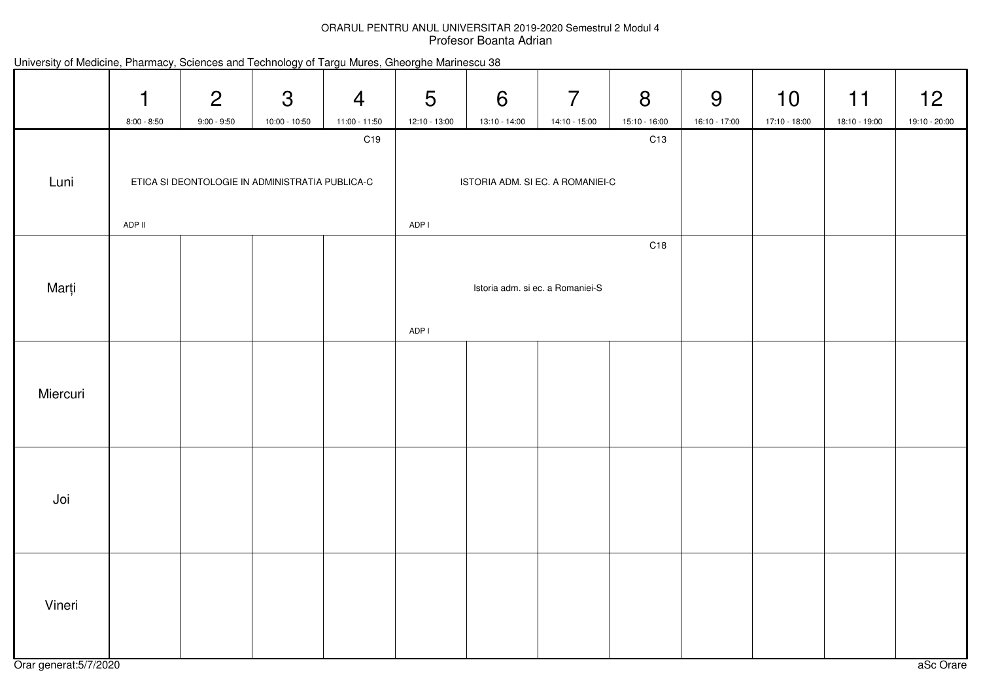#### ORARUL PENTRU ANUL UNIVERSITAR 2019-2020 Semestrul 2 Modul 4Profesor Boanta Adrian

|          | $\mathbf 1$<br>$8:00 - 8:50$ | $\overline{2}$<br>$9:00 - 9:50$                 | 3<br>10:00 - 10:50 | $\overline{4}$<br>11:00 - 11:50 | 5<br>12:10 - 13:00 | 6<br>13:10 - 14:00               | $\overline{7}$<br>14:10 - 15:00  | 8<br>15:10 - 16:00 | 9<br>16:10 - 17:00 | 10<br>17:10 - 18:00 | 11<br>18:10 - 19:00 | 12<br>19:10 - 20:00 |
|----------|------------------------------|-------------------------------------------------|--------------------|---------------------------------|--------------------|----------------------------------|----------------------------------|--------------------|--------------------|---------------------|---------------------|---------------------|
| Luni     |                              | ETICA SI DEONTOLOGIE IN ADMINISTRATIA PUBLICA-C |                    | C19                             |                    |                                  | ISTORIA ADM. SI EC. A ROMANIEI-C | C13                |                    |                     |                     |                     |
| Marți    | ADP II                       |                                                 |                    |                                 | ADP I<br>ADP I     | Istoria adm. si ec. a Romaniei-S |                                  | C18                |                    |                     |                     |                     |
| Miercuri |                              |                                                 |                    |                                 |                    |                                  |                                  |                    |                    |                     |                     |                     |
| Joi      |                              |                                                 |                    |                                 |                    |                                  |                                  |                    |                    |                     |                     |                     |
| Vineri   |                              |                                                 |                    |                                 |                    |                                  |                                  |                    |                    |                     |                     |                     |

## University of Medicine, Pharmacy, Sciences and Technology of Targu Mures, Gheorghe Marinescu 38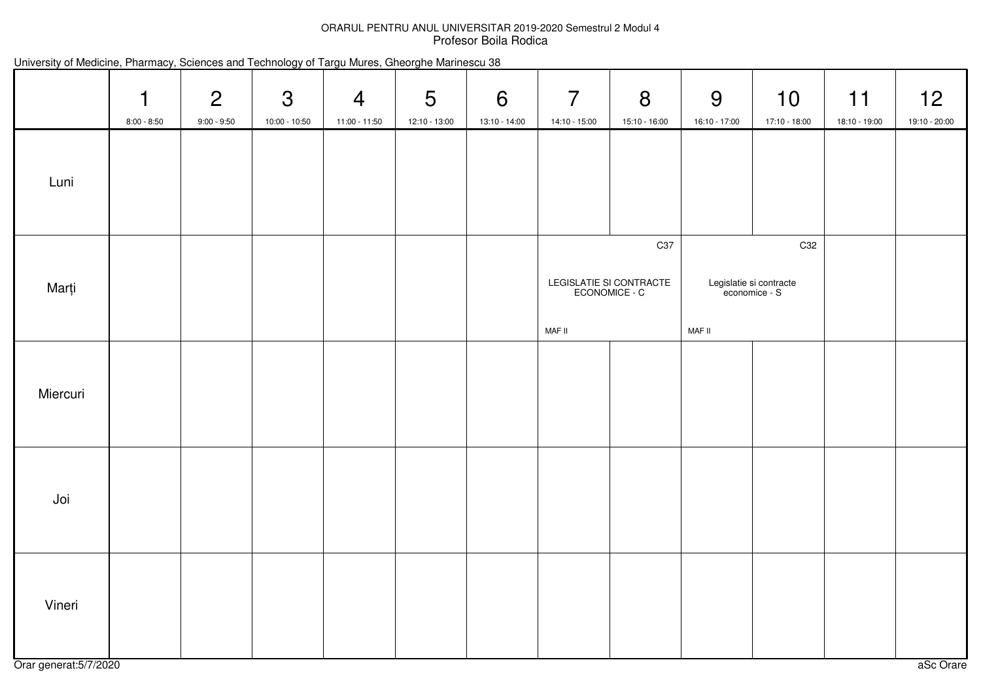## ORARUL PENTRU ANUL UNIVERSITAR 2019-2020 Semestrul 2 Modul 4Profesor Boila Rodica

| University of Medicine, Pharmacy, Sciences and Technology of Targu Mures, Gheorghe Marinescu 38 |  |  |  |  |  |  |
|-------------------------------------------------------------------------------------------------|--|--|--|--|--|--|
|-------------------------------------------------------------------------------------------------|--|--|--|--|--|--|

|          | $\mathbf{1}$<br>$8:00 - 8:50$ | $\overline{2}$<br>$9:00 - 9:50$ | $\mathfrak{S}$<br>10:00 - 10:50 | $\overline{4}$<br>11:00 - 11:50 | 5<br>12:10 - 13:00 | 6<br>13:10 - 14:00 | $\overline{7}$<br>14:10 - 15:00 | 8<br>15:10 - 16:00                                          | 9<br>16:10 - 17:00 | 10<br>17:10 - 18:00                             | 11<br>18:10 - 19:00 | 12<br>19:10 - 20:00 |
|----------|-------------------------------|---------------------------------|---------------------------------|---------------------------------|--------------------|--------------------|---------------------------------|-------------------------------------------------------------|--------------------|-------------------------------------------------|---------------------|---------------------|
| Luni     |                               |                                 |                                 |                                 |                    |                    |                                 |                                                             |                    |                                                 |                     |                     |
| Marți    |                               |                                 |                                 |                                 |                    |                    | MAF II                          | C <sub>37</sub><br>LEGISLATIE SI CONTRACTE<br>ECONOMICE - C | MAF II             | C32<br>Legislatie si contracte<br>economice - S |                     |                     |
| Miercuri |                               |                                 |                                 |                                 |                    |                    |                                 |                                                             |                    |                                                 |                     |                     |
| Joi      |                               |                                 |                                 |                                 |                    |                    |                                 |                                                             |                    |                                                 |                     |                     |
| Vineri   |                               |                                 |                                 |                                 |                    |                    |                                 |                                                             |                    |                                                 |                     |                     |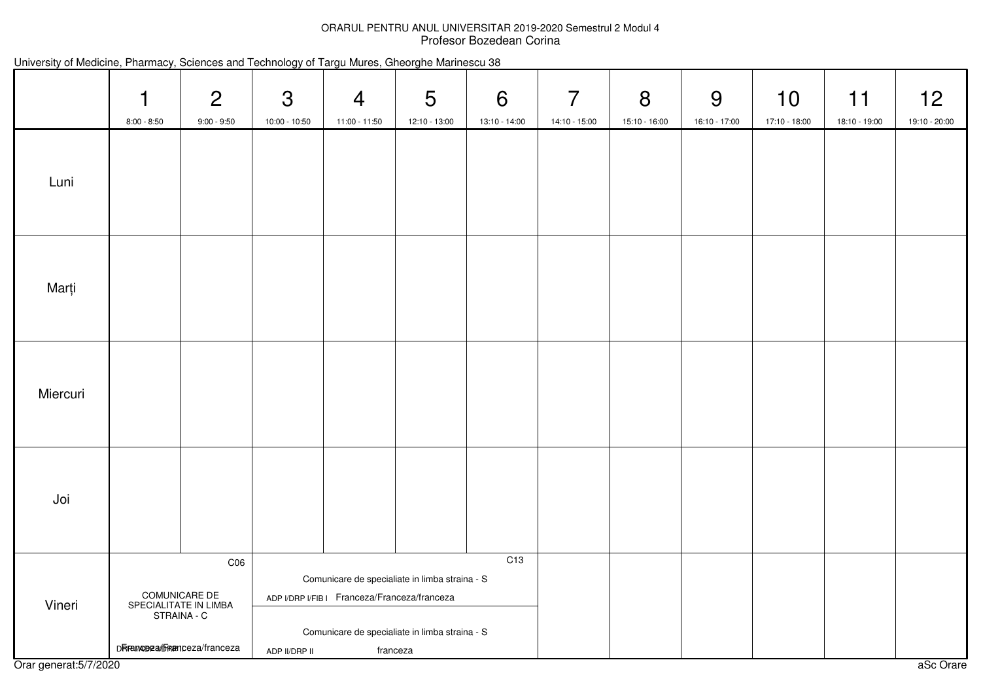## ORARUL PENTRU ANUL UNIVERSITAR 2019-2020 Semestrul 2 Modul 4 Profesor Bozedean Corina

|  |  |  |  |  |  | University of Medicine, Pharmacy, Sciences and Technology of Targu Mures, Gheorghe Marinescu 38 |  |
|--|--|--|--|--|--|-------------------------------------------------------------------------------------------------|--|
|--|--|--|--|--|--|-------------------------------------------------------------------------------------------------|--|

|          | 1<br>$8:00 - 8:50$          | $\overline{2}$<br>$9:00 - 9:50$                              | 3<br>10:00 - 10:50 | $\overline{4}$<br>11:00 - 11:50                                                                                                                  | 5<br>12:10 - 13:00 | 6<br>13:10 - 14:00 | $\overline{7}$<br>14:10 - 15:00 | 8<br>15:10 - 16:00 | 9<br>16:10 - 17:00 | 10<br>17:10 - 18:00 | 11<br>18:10 - 19:00 | 12<br>19:10 - 20:00 |
|----------|-----------------------------|--------------------------------------------------------------|--------------------|--------------------------------------------------------------------------------------------------------------------------------------------------|--------------------|--------------------|---------------------------------|--------------------|--------------------|---------------------|---------------------|---------------------|
| Luni     |                             |                                                              |                    |                                                                                                                                                  |                    |                    |                                 |                    |                    |                     |                     |                     |
| Marți    |                             |                                                              |                    |                                                                                                                                                  |                    |                    |                                 |                    |                    |                     |                     |                     |
| Miercuri |                             |                                                              |                    |                                                                                                                                                  |                    |                    |                                 |                    |                    |                     |                     |                     |
| Joi      |                             |                                                              |                    |                                                                                                                                                  |                    |                    |                                 |                    |                    |                     |                     |                     |
| Vineri   | DRramobra/branceza/franceza | CO6<br>COMUNICARE DE<br>SPECIALITATE IN LIMBA<br>STRAINA - C | ADP II/DRP II      | Comunicare de specialiate in limba straina - S<br>ADP I/DRP I/FIB I Franceza/Franceza/franceza<br>Comunicare de specialiate in limba straina - S | franceza           | C <sub>13</sub>    |                                 |                    |                    |                     |                     |                     |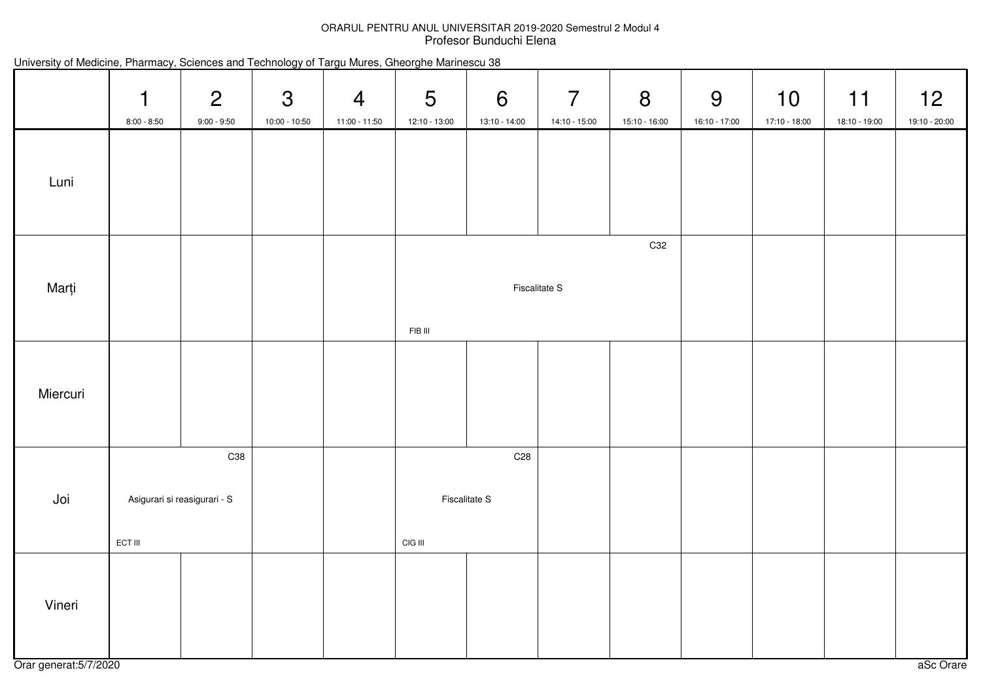## ORARUL PENTRU ANUL UNIVERSITAR 2019-2020 Semestrul 2 Modul 4Profesor Bunduchi Elena

| University of Medicine, Pharmacy, Sciences and Technology of Targu Mures, Gheorghe Marinescu 38 |  |  |  |
|-------------------------------------------------------------------------------------------------|--|--|--|
|-------------------------------------------------------------------------------------------------|--|--|--|

|          | $\mathbf 1$<br>$8:00 - 8:50$ | $\overline{2}$<br>$9:00 - 9:50$     | $\mathfrak{S}$<br>10:00 - 10:50 | $\overline{4}$<br>11:00 - 11:50 | $5\phantom{.0}$<br>12:10 - 13:00 | 6<br>13:10 - 14:00                      | $\overline{7}$<br>14:10 - 15:00 | 8<br>15:10 - 16:00 | 9<br>16:10 - 17:00 | 10<br>17:10 - 18:00 | 11<br>18:10 - 19:00 | 12<br>19:10 - 20:00 |
|----------|------------------------------|-------------------------------------|---------------------------------|---------------------------------|----------------------------------|-----------------------------------------|---------------------------------|--------------------|--------------------|---------------------|---------------------|---------------------|
| Luni     |                              |                                     |                                 |                                 |                                  |                                         |                                 |                    |                    |                     |                     |                     |
| Marți    |                              |                                     |                                 |                                 | FIB III                          |                                         | <b>Fiscalitate S</b>            | C32                |                    |                     |                     |                     |
| Miercuri |                              |                                     |                                 |                                 |                                  |                                         |                                 |                    |                    |                     |                     |                     |
| Joi      | ECT III                      | C38<br>Asigurari si reasigurari - S |                                 |                                 | CIG III                          | C <sub>28</sub><br><b>Fiscalitate S</b> |                                 |                    |                    |                     |                     |                     |
| Vineri   |                              |                                     |                                 |                                 |                                  |                                         |                                 |                    |                    |                     |                     |                     |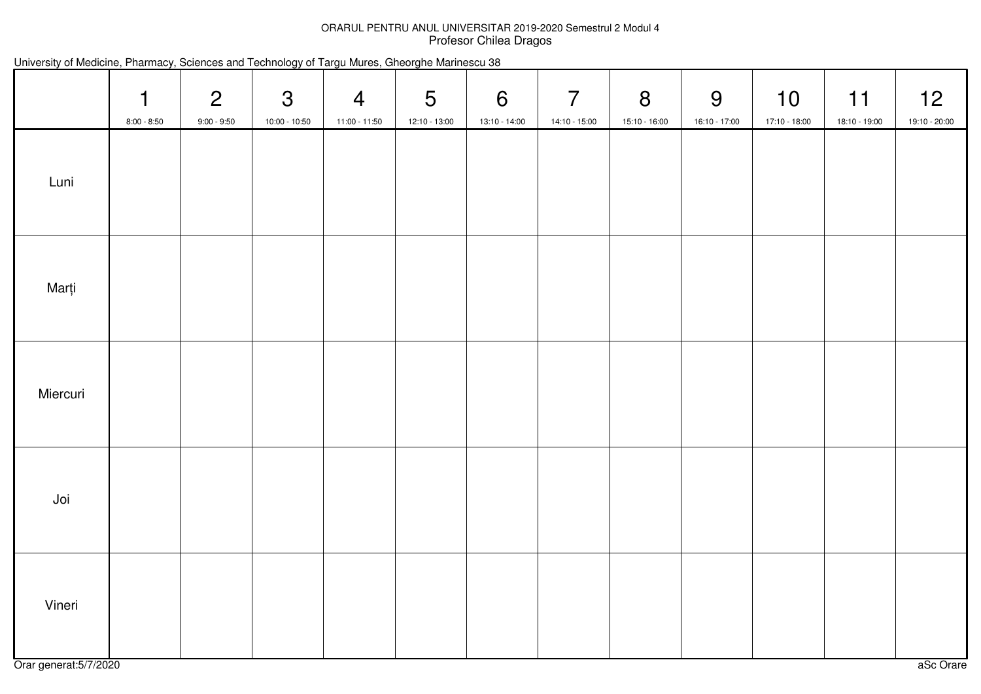## ORARUL PENTRU ANUL UNIVERSITAR 2019-2020 Semestrul 2 Modul 4 Profesor Chilea Dragos

| University of Medicine, Pharmacy, Sciences and Technology of Targu Mures, Gheorghe Marinescu 38 |  |  |  |  |  |  |
|-------------------------------------------------------------------------------------------------|--|--|--|--|--|--|
|-------------------------------------------------------------------------------------------------|--|--|--|--|--|--|

|          | $\mathbf{1}$<br>$8:00 - 8:50$ | $\overline{2}$<br>$9:00 - 9:50$ | $\mathbf{3}$<br>10:00 - 10:50 | $\overline{4}$<br>11:00 - 11:50 | $\overline{5}$<br>12:10 - 13:00 | $6\overline{6}$<br>13:10 - 14:00 | $\overline{7}$<br>14:10 - 15:00 | 8<br>15:10 - 16:00 | 9<br>16:10 - 17:00 | 10<br>17:10 - 18:00 | 11<br>18:10 - 19:00 | 12<br>19:10 - 20:00 |
|----------|-------------------------------|---------------------------------|-------------------------------|---------------------------------|---------------------------------|----------------------------------|---------------------------------|--------------------|--------------------|---------------------|---------------------|---------------------|
| Luni     |                               |                                 |                               |                                 |                                 |                                  |                                 |                    |                    |                     |                     |                     |
| Marți    |                               |                                 |                               |                                 |                                 |                                  |                                 |                    |                    |                     |                     |                     |
| Miercuri |                               |                                 |                               |                                 |                                 |                                  |                                 |                    |                    |                     |                     |                     |
| Joi      |                               |                                 |                               |                                 |                                 |                                  |                                 |                    |                    |                     |                     |                     |
| Vineri   |                               |                                 |                               |                                 |                                 |                                  |                                 |                    |                    |                     |                     |                     |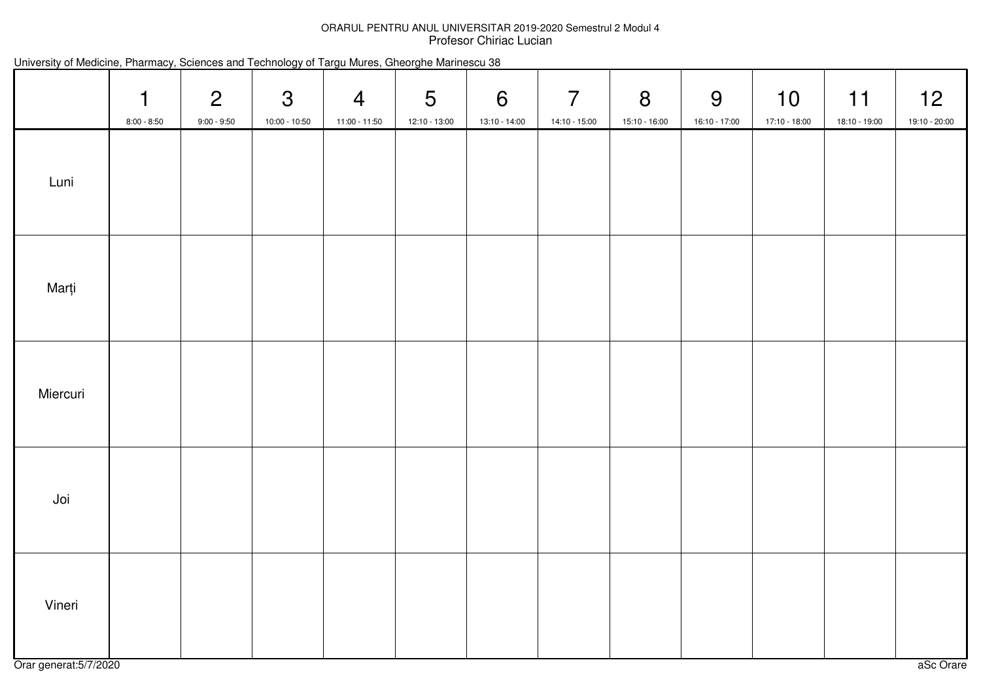## ORARUL PENTRU ANUL UNIVERSITAR 2019-2020 Semestrul 2 Modul 4Profesor Chiriac Lucian

|  |  |  |  |  |  | University of Medicine, Pharmacy, Sciences and Technology of Targu Mures, Gheorghe Marinescu 38 |  |
|--|--|--|--|--|--|-------------------------------------------------------------------------------------------------|--|
|--|--|--|--|--|--|-------------------------------------------------------------------------------------------------|--|

|          | $\mathbf{1}$<br>$8:00 - 8:50$ | $\overline{2}$<br>$9:00 - 9:50$ | $\mathbf{3}$<br>10:00 - 10:50 | $\overline{4}$<br>11:00 - 11:50 | $5\overline{)}$<br>12:10 - 13:00 | 6<br>13:10 - 14:00 | $\overline{7}$<br>14:10 - 15:00 | 8<br>15:10 - 16:00 | 9<br>16:10 - 17:00 | 10<br>17:10 - 18:00 | 11<br>18:10 - 19:00 | 12<br>19:10 - 20:00 |
|----------|-------------------------------|---------------------------------|-------------------------------|---------------------------------|----------------------------------|--------------------|---------------------------------|--------------------|--------------------|---------------------|---------------------|---------------------|
| Luni     |                               |                                 |                               |                                 |                                  |                    |                                 |                    |                    |                     |                     |                     |
| Marți    |                               |                                 |                               |                                 |                                  |                    |                                 |                    |                    |                     |                     |                     |
| Miercuri |                               |                                 |                               |                                 |                                  |                    |                                 |                    |                    |                     |                     |                     |
| Joi      |                               |                                 |                               |                                 |                                  |                    |                                 |                    |                    |                     |                     |                     |
| Vineri   |                               |                                 |                               |                                 |                                  |                    |                                 |                    |                    |                     |                     |                     |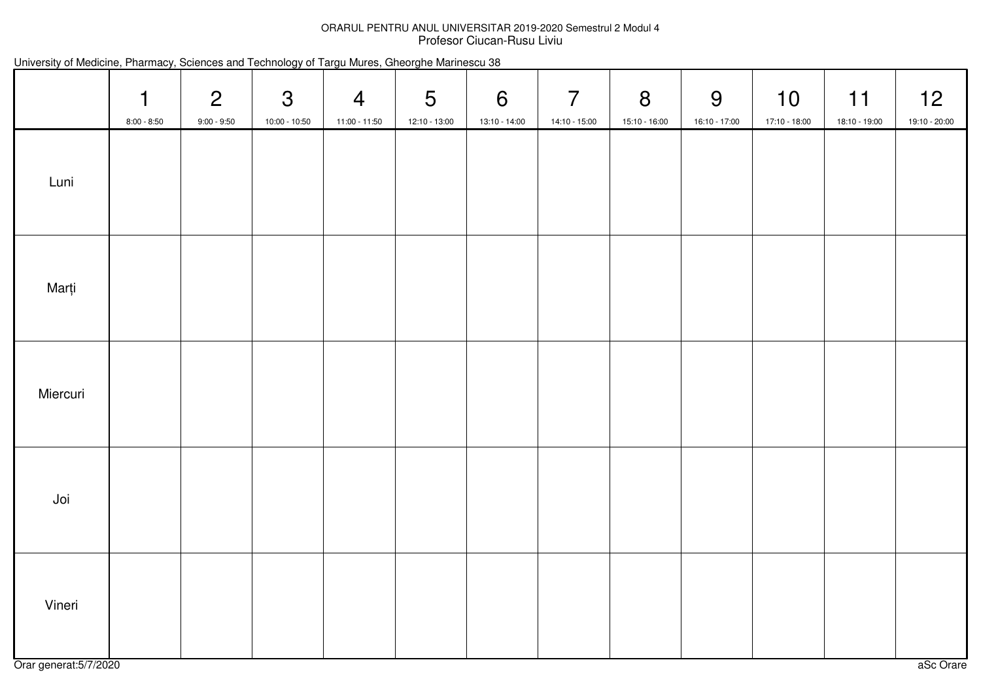## ORARUL PENTRU ANUL UNIVERSITAR 2019-2020 Semestrul 2 Modul 4 Profesor Ciucan-Rusu Liviu

| University of Medicine, Pharmacy, Sciences and Technology of Targu Mures, Gheorghe Marinescu 38 |  |  |  |  |  |  |
|-------------------------------------------------------------------------------------------------|--|--|--|--|--|--|
|-------------------------------------------------------------------------------------------------|--|--|--|--|--|--|

|          | $\mathbf{1}$<br>$8:00 - 8:50$ | $\overline{2}$<br>$9:00 - 9:50$ | $\mathbf{3}$<br>$10:00 - 10:50$ | $\overline{4}$<br>11:00 - 11:50 | $\overline{5}$<br>12:10 - 13:00 | $6\overline{6}$<br>13:10 - 14:00 | $\overline{7}$<br>14:10 - 15:00 | 8<br>15:10 - 16:00 | 9<br>16:10 - 17:00 | 10<br>17:10 - 18:00 | 11<br>18:10 - 19:00 | 12<br>19:10 - 20:00 |
|----------|-------------------------------|---------------------------------|---------------------------------|---------------------------------|---------------------------------|----------------------------------|---------------------------------|--------------------|--------------------|---------------------|---------------------|---------------------|
| Luni     |                               |                                 |                                 |                                 |                                 |                                  |                                 |                    |                    |                     |                     |                     |
| Marți    |                               |                                 |                                 |                                 |                                 |                                  |                                 |                    |                    |                     |                     |                     |
| Miercuri |                               |                                 |                                 |                                 |                                 |                                  |                                 |                    |                    |                     |                     |                     |
| Joi      |                               |                                 |                                 |                                 |                                 |                                  |                                 |                    |                    |                     |                     |                     |
| Vineri   |                               |                                 |                                 |                                 |                                 |                                  |                                 |                    |                    |                     |                     |                     |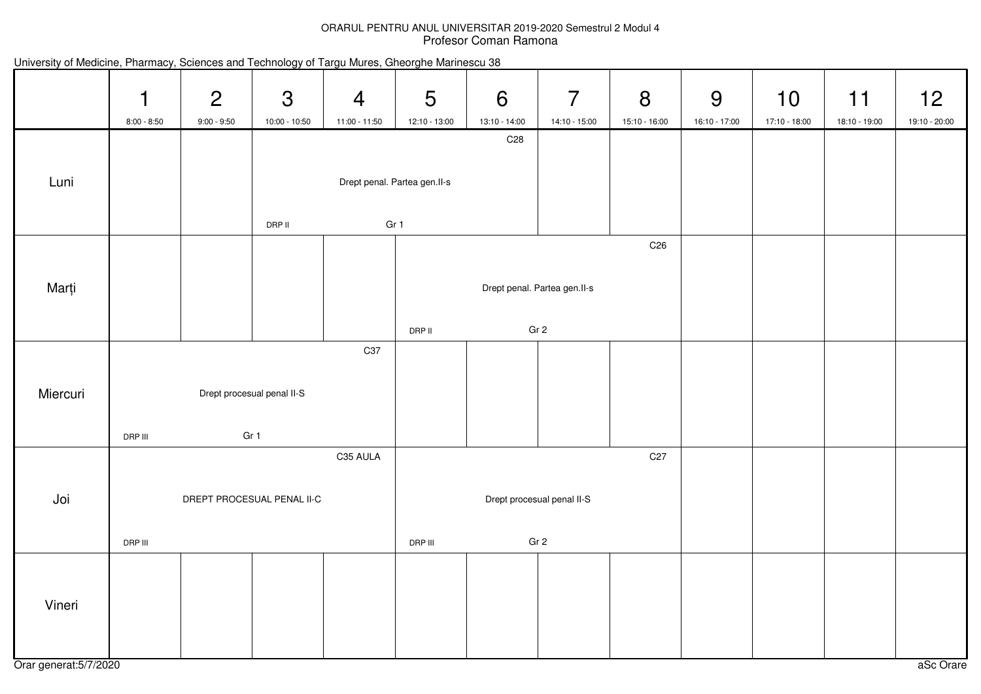## ORARUL PENTRU ANUL UNIVERSITAR 2019-2020 Semestrul 2 Modul 4Profesor Coman Ramona

|          | 1<br>$8:00 - 8:50$ | $\overline{2}$<br>$9:00 - 9:50$ | 3<br>10:00 - 10:50                 | $\overline{4}$<br>$11:00 - 11:50$ | 5<br>12:10 - 13:00 | 6<br>13:10 - 14:00           | $\overline{7}$<br>14:10 - 15:00 | 8<br>15:10 - 16:00 | 9<br>16:10 - 17:00 | 10<br>17:10 - 18:00 | 11<br>18:10 - 19:00 | 12<br>19:10 - 20:00 |
|----------|--------------------|---------------------------------|------------------------------------|-----------------------------------|--------------------|------------------------------|---------------------------------|--------------------|--------------------|---------------------|---------------------|---------------------|
| Luni     |                    |                                 |                                    | Drept penal. Partea gen.II-s      |                    | C <sub>28</sub>              |                                 |                    |                    |                     |                     |                     |
| Marți    |                    |                                 | DRP II                             | Gr 1                              |                    | Drept penal. Partea gen.II-s |                                 | C <sub>26</sub>    |                    |                     |                     |                     |
| Miercuri | DRP III            |                                 | Drept procesual penal II-S<br>Gr 1 | C37                               | DRP II             |                              | Gr <sub>2</sub>                 |                    |                    |                     |                     |                     |
| Joi      | DRP III            |                                 | DREPT PROCESUAL PENAL II-C         | C35 AULA                          | DRP III            | Drept procesual penal II-S   | Gr <sub>2</sub>                 | C <sub>27</sub>    |                    |                     |                     |                     |
| Vineri   |                    |                                 |                                    |                                   |                    |                              |                                 |                    |                    |                     |                     |                     |

## University of Medicine, Pharmacy, Sciences and Technology of Targu Mures, Gheorghe Marinescu 38

Orar generat:5/7/2020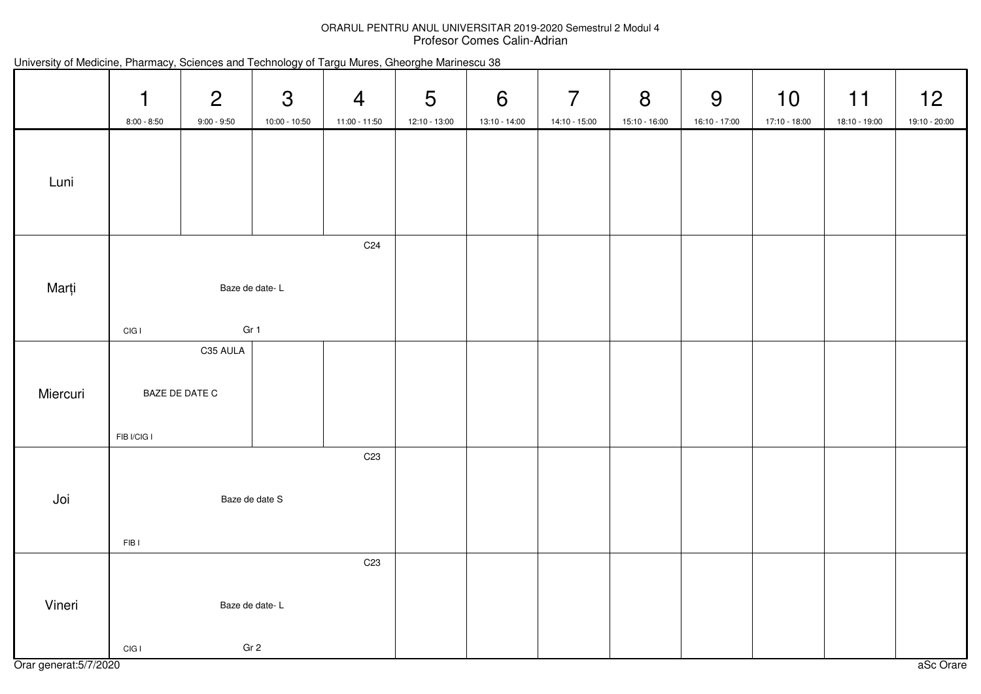## ORARUL PENTRU ANUL UNIVERSITAR 2019-2020 Semestrul 2 Modul 4 Profesor Comes Calin-Adrian

|          | 1<br>$8:00 - 8:50$ | $\overline{2}$<br>$9:00 - 9:50$ | 3<br>10:00 - 10:50     | $\overline{4}$<br>$11:00 - 11:50$ | 5<br>12:10 - 13:00 | 6<br>13:10 - 14:00 | $\overline{7}$<br>14:10 - 15:00 | 8<br>15:10 - 16:00 | 9<br>16:10 - 17:00 | 10<br>17:10 - 18:00 | 11<br>18:10 - 19:00 |
|----------|--------------------|---------------------------------|------------------------|-----------------------------------|--------------------|--------------------|---------------------------------|--------------------|--------------------|---------------------|---------------------|
| Luni     |                    |                                 |                        |                                   |                    |                    |                                 |                    |                    |                     |                     |
| Marți    | CIGI               |                                 | Baze de date-L<br>Gr 1 | C <sub>24</sub>                   |                    |                    |                                 |                    |                    |                     |                     |
| Miercuri | FIB I/CIG I        | C35 AULA<br>BAZE DE DATE C      |                        |                                   |                    |                    |                                 |                    |                    |                     |                     |
| Joi      | FIB <sub>I</sub>   |                                 | Baze de date S         | C <sub>23</sub>                   |                    |                    |                                 |                    |                    |                     |                     |
| Vineri   |                    |                                 | Baze de date-L         | C <sub>23</sub>                   |                    |                    |                                 |                    |                    |                     |                     |

| University of Medicine, Pharmacy, Sciences and Technology of Targu Mures, Gheorghe Marinescu 38 |  |  |  |  |  |  |
|-------------------------------------------------------------------------------------------------|--|--|--|--|--|--|
|-------------------------------------------------------------------------------------------------|--|--|--|--|--|--|

Gr 2

CIG I

12

19:10 - 20:00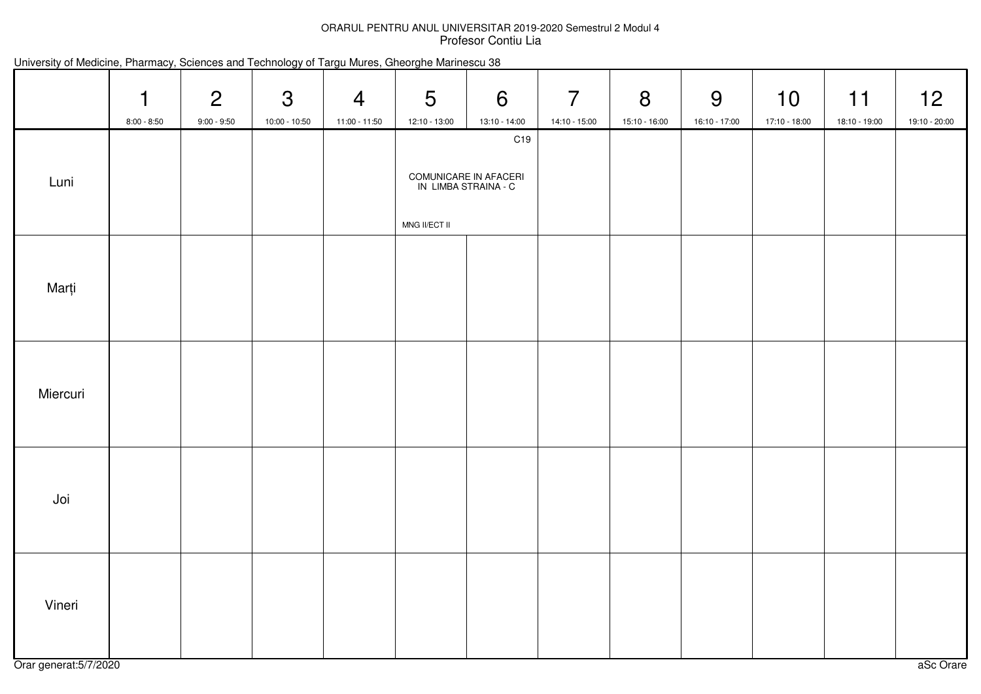## ORARUL PENTRU ANUL UNIVERSITAR 2019-2020 Semestrul 2 Modul 4Profesor Contiu Lia

| University of Medicine, Pharmacy, Sciences and Technology of Targu Mures, Gheorghe Marinescu 38 |  |  |  |  |  |  |
|-------------------------------------------------------------------------------------------------|--|--|--|--|--|--|
|-------------------------------------------------------------------------------------------------|--|--|--|--|--|--|

|          | $\mathbf 1$<br>$8:00 - 8:50$ | $\overline{2}$<br>$9:00 - 9:50$ | $\mathbf{3}$<br>10:00 - 10:50 | $\overline{4}$<br>11:00 - 11:50 | $5\overline{)}$<br>12:10 - 13:00 | 6<br>13:10 - 14:00                                               | $\overline{7}$<br>14:10 - 15:00 | 8<br>15:10 - 16:00 | 9<br>16:10 - 17:00 | 10<br>17:10 - 18:00 | 11<br>18:10 - 19:00 | 12<br>19:10 - 20:00 |
|----------|------------------------------|---------------------------------|-------------------------------|---------------------------------|----------------------------------|------------------------------------------------------------------|---------------------------------|--------------------|--------------------|---------------------|---------------------|---------------------|
| Luni     |                              |                                 |                               |                                 | MNG II/ECT II                    | C <sub>19</sub><br>COMUNICARE IN AFACERI<br>IN LIMBA STRAINA - C |                                 |                    |                    |                     |                     |                     |
| Marți    |                              |                                 |                               |                                 |                                  |                                                                  |                                 |                    |                    |                     |                     |                     |
| Miercuri |                              |                                 |                               |                                 |                                  |                                                                  |                                 |                    |                    |                     |                     |                     |
| Joi      |                              |                                 |                               |                                 |                                  |                                                                  |                                 |                    |                    |                     |                     |                     |
| Vineri   |                              |                                 |                               |                                 |                                  |                                                                  |                                 |                    |                    |                     |                     |                     |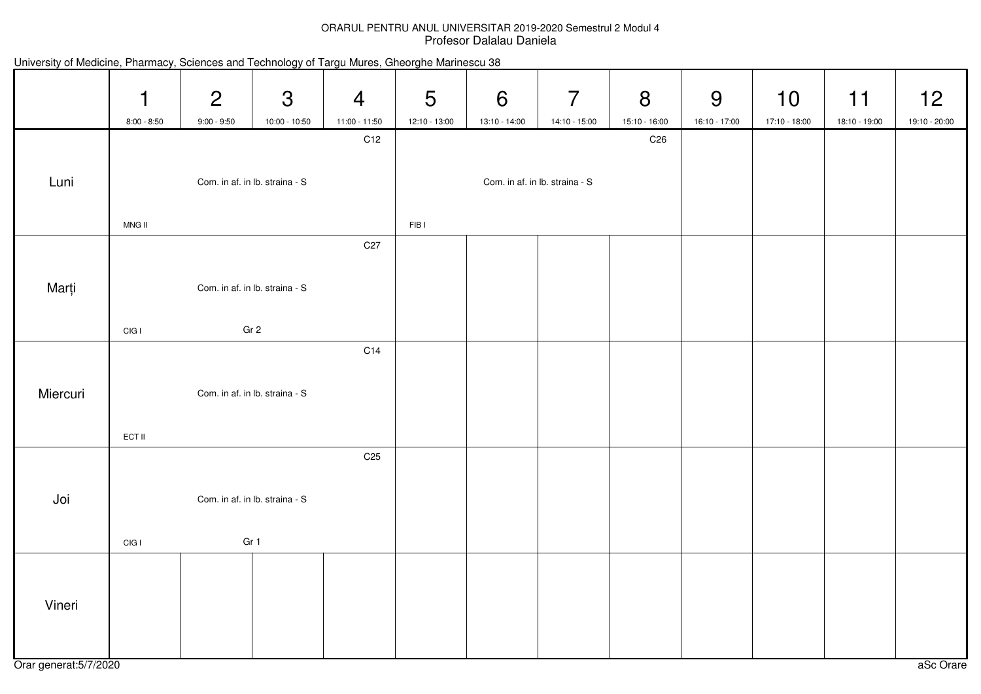### ORARUL PENTRU ANUL UNIVERSITAR 2019-2020 Semestrul 2 Modul 4Profesor Dalalau Daniela

|          | 1<br>$8:00 - 8:50$ | $\overline{2}$<br>$9:00 - 9:50$ | 3<br>$10:00 - 10:50$           | $\overline{4}$<br>11:00 - 11:50 | 5<br>12:10 - 13:00 | 6<br>13:10 - 14:00             | $\overline{7}$<br>14:10 - 15:00 | 8<br>15:10 - 16:00 | 9<br>16:10 - 17:00 | 10<br>17:10 - 18:00 | $11$<br>18:10 - 19:00 | 12<br>19:10 - 20:00 |
|----------|--------------------|---------------------------------|--------------------------------|---------------------------------|--------------------|--------------------------------|---------------------------------|--------------------|--------------------|---------------------|-----------------------|---------------------|
|          |                    |                                 |                                | C12                             |                    |                                |                                 | C <sub>26</sub>    |                    |                     |                       |                     |
| Luni     |                    |                                 | Com. in af. in lb. straina - S |                                 |                    | Com. in af. in lb. straina - S |                                 |                    |                    |                     |                       |                     |
|          | MNG II             |                                 |                                |                                 | FIB <sub>1</sub>   |                                |                                 |                    |                    |                     |                       |                     |
|          |                    |                                 |                                | C <sub>27</sub>                 |                    |                                |                                 |                    |                    |                     |                       |                     |
| Marți    |                    |                                 | Com. in af. in lb. straina - S |                                 |                    |                                |                                 |                    |                    |                     |                       |                     |
|          | CIGI               |                                 | Gr <sub>2</sub>                |                                 |                    |                                |                                 |                    |                    |                     |                       |                     |
|          |                    |                                 |                                | C14                             |                    |                                |                                 |                    |                    |                     |                       |                     |
| Miercuri |                    |                                 | Com. in af. in lb. straina - S |                                 |                    |                                |                                 |                    |                    |                     |                       |                     |
|          | ECT II             |                                 |                                |                                 |                    |                                |                                 |                    |                    |                     |                       |                     |
|          |                    |                                 |                                | C <sub>25</sub>                 |                    |                                |                                 |                    |                    |                     |                       |                     |
| Joi      |                    |                                 | Com. in af. in lb. straina - S |                                 |                    |                                |                                 |                    |                    |                     |                       |                     |
|          | CIGI               |                                 | Gr 1                           |                                 |                    |                                |                                 |                    |                    |                     |                       |                     |
|          |                    |                                 |                                |                                 |                    |                                |                                 |                    |                    |                     |                       |                     |
| Vineri   |                    |                                 |                                |                                 |                    |                                |                                 |                    |                    |                     |                       |                     |
|          |                    |                                 |                                |                                 |                    |                                |                                 |                    |                    |                     |                       |                     |

## University of Medicine, Pharmacy, Sciences and Technology of Targu Mures, Gheorghe Marinescu 38

Orar generat:5/7/2020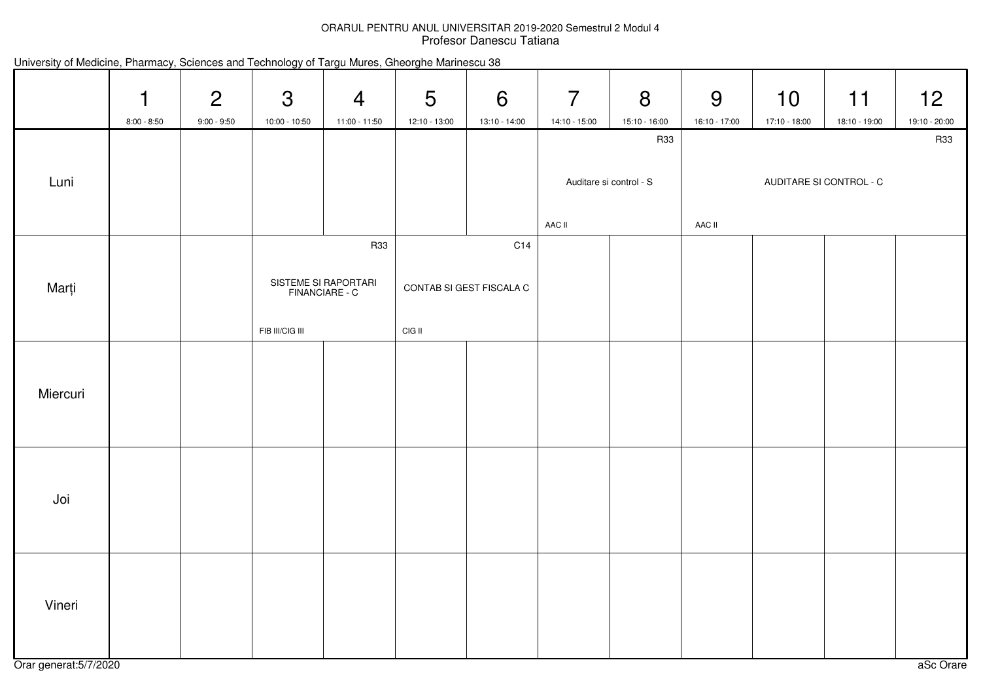## ORARUL PENTRU ANUL UNIVERSITAR 2019-2020 Semestrul 2 Modul 4 Profesor Danescu Tatiana

| University of Medicine, Pharmacy, Sciences and Technology of Targu Mures, Gheorghe Marinescu 38 |  |  |  |  |  |  |
|-------------------------------------------------------------------------------------------------|--|--|--|--|--|--|
|-------------------------------------------------------------------------------------------------|--|--|--|--|--|--|

|          | 1             | $\overline{2}$ | 3               | $\overline{4}$                         | 5             | 6                        | $\overline{7}$ | 8                                     | 9             | 10                      | 11            | 12 <sub>2</sub> |
|----------|---------------|----------------|-----------------|----------------------------------------|---------------|--------------------------|----------------|---------------------------------------|---------------|-------------------------|---------------|-----------------|
|          | $8:00 - 8:50$ | $9:00 - 9:50$  | 10:00 - 10:50   | 11:00 - 11:50                          | 12:10 - 13:00 | 13:10 - 14:00            | 14:10 - 15:00  | 15:10 - 16:00                         | 16:10 - 17:00 | 17:10 - 18:00           | 18:10 - 19:00 | 19:10 - 20:00   |
| Luni     |               |                |                 |                                        |               |                          |                | <b>R33</b><br>Auditare si control - S |               | AUDITARE SI CONTROL - C |               | <b>R33</b>      |
|          |               |                |                 |                                        |               |                          |                |                                       |               |                         |               |                 |
|          |               |                |                 |                                        |               |                          | AAC II         |                                       | AAC II        |                         |               |                 |
|          |               |                |                 | R33                                    |               | C14                      |                |                                       |               |                         |               |                 |
| Marți    |               |                |                 | SISTEME SI RAPORTARI<br>FINANCIARE - C |               | CONTAB SI GEST FISCALA C |                |                                       |               |                         |               |                 |
|          |               |                | FIB III/CIG III |                                        | CIG II        |                          |                |                                       |               |                         |               |                 |
|          |               |                |                 |                                        |               |                          |                |                                       |               |                         |               |                 |
| Miercuri |               |                |                 |                                        |               |                          |                |                                       |               |                         |               |                 |
|          |               |                |                 |                                        |               |                          |                |                                       |               |                         |               |                 |
|          |               |                |                 |                                        |               |                          |                |                                       |               |                         |               |                 |
|          |               |                |                 |                                        |               |                          |                |                                       |               |                         |               |                 |
| Joi      |               |                |                 |                                        |               |                          |                |                                       |               |                         |               |                 |
|          |               |                |                 |                                        |               |                          |                |                                       |               |                         |               |                 |
|          |               |                |                 |                                        |               |                          |                |                                       |               |                         |               |                 |
| Vineri   |               |                |                 |                                        |               |                          |                |                                       |               |                         |               |                 |
|          |               |                |                 |                                        |               |                          |                |                                       |               |                         |               |                 |
|          |               |                |                 |                                        |               |                          |                |                                       |               |                         |               |                 |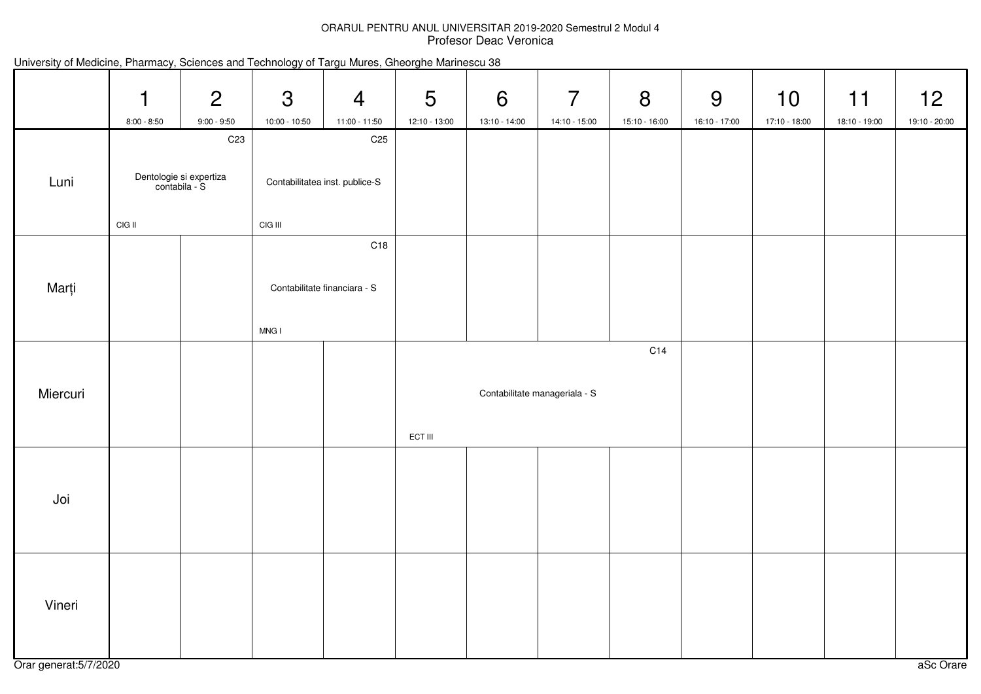## ORARUL PENTRU ANUL UNIVERSITAR 2019-2020 Semestrul 2 Modul 4 Profesor Deac Veronica

|          | 1<br>$8:00 - 8:50$ | $\overline{2}$<br>$9:00 - 9:50$                             | $\mathfrak{S}$<br>10:00 - 10:50             | $\overline{4}$<br>11:00 - 11:50 | 5<br>12:10 - 13:00 | 6<br>13:10 - 14:00 | $\overline{7}$<br>14:10 - 15:00 | 8<br>15:10 - 16:00 | 9<br>16:10 - 17:00 | 10<br>17:10 - 18:00 | 11<br>18:10 - 19:00 | 12<br>19:10 - 20:00 |
|----------|--------------------|-------------------------------------------------------------|---------------------------------------------|---------------------------------|--------------------|--------------------|---------------------------------|--------------------|--------------------|---------------------|---------------------|---------------------|
| Luni     | CIG II             | C <sub>23</sub><br>Dentologie si expertiza<br>contabila - S | Contabilitatea inst. publice-S<br>$CIG$ III | C <sub>25</sub>                 |                    |                    |                                 |                    |                    |                     |                     |                     |
| Marți    |                    |                                                             | Contabilitate financiara - S<br>MNG I       | C18                             |                    |                    |                                 |                    |                    |                     |                     |                     |
| Miercuri |                    |                                                             |                                             |                                 | ECT III            |                    | Contabilitate manageriala - S   | C14                |                    |                     |                     |                     |
| Joi      |                    |                                                             |                                             |                                 |                    |                    |                                 |                    |                    |                     |                     |                     |
| Vineri   |                    |                                                             |                                             |                                 |                    |                    |                                 |                    |                    |                     |                     |                     |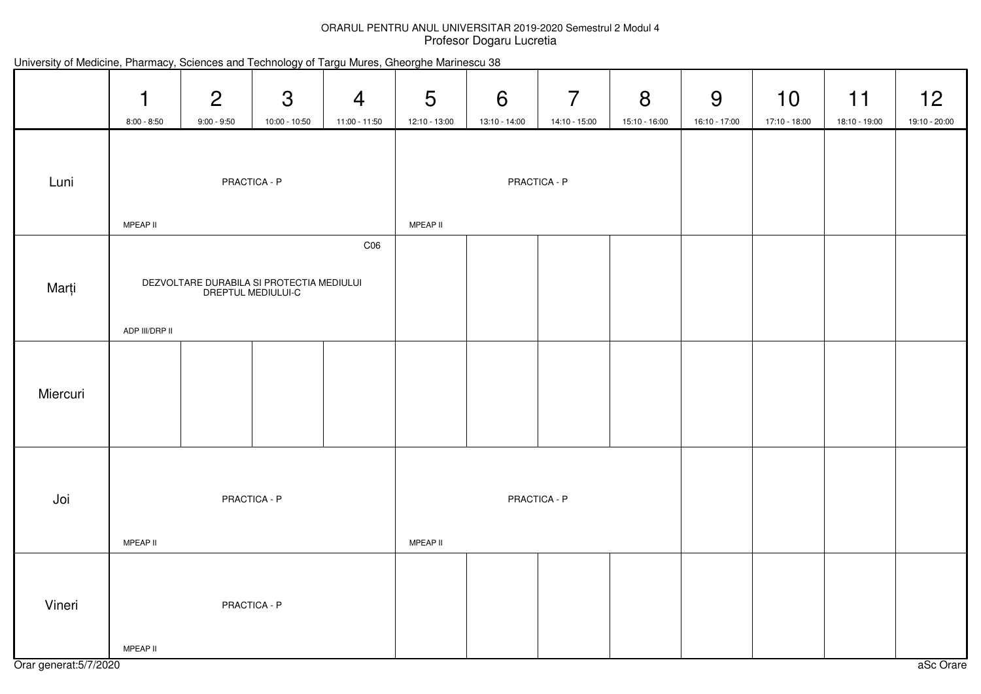## ORARUL PENTRU ANUL UNIVERSITAR 2019-2020 Semestrul 2 Modul 4Profesor Dogaru Lucretia

| Pharmacy.<br>Gheorahe Marinescu 38<br>l argu Mures.<br>Sciences and<br>I echnology of<br>'Jniversity of Medicine. |  |  |  |  |  |  |  |  |  |  |
|-------------------------------------------------------------------------------------------------------------------|--|--|--|--|--|--|--|--|--|--|
|                                                                                                                   |  |  |  |  |  |  |  |  |  |  |

|          | $\mathbf 1$<br>$8:00 - 8:50$ | $\overline{2}$<br>$9:00 - 9:50$ | 3<br>10:00 - 10:50                                              | $\overline{4}$<br>11:00 - 11:50 | 5<br>12:10 - 13:00 | 6<br>13:10 - 14:00 | $\overline{7}$<br>14:10 - 15:00 | 8<br>15:10 - 16:00 | 9<br>16:10 - 17:00 | 10<br>17:10 - 18:00 | 11<br>18:10 - 19:00 | 12<br>19:10 - 20:00 |
|----------|------------------------------|---------------------------------|-----------------------------------------------------------------|---------------------------------|--------------------|--------------------|---------------------------------|--------------------|--------------------|---------------------|---------------------|---------------------|
| Luni     |                              |                                 | PRACTICA - P                                                    |                                 |                    |                    | PRACTICA - P                    |                    |                    |                     |                     |                     |
| Marți    | MPEAP II<br>ADP III/DRP II   |                                 | DEZVOLTARE DURABILA SI PROTECTIA MEDIULUI<br>DREPTUL MEDIULUI-C | CO6                             | MPEAP II           |                    |                                 |                    |                    |                     |                     |                     |
| Miercuri |                              |                                 |                                                                 |                                 |                    |                    |                                 |                    |                    |                     |                     |                     |
| Joi      | MPEAP II                     |                                 | PRACTICA - P                                                    |                                 | MPEAP II           |                    | PRACTICA - P                    |                    |                    |                     |                     |                     |
| Vineri   | MPEAP II                     |                                 | PRACTICA - P                                                    |                                 |                    |                    |                                 |                    |                    |                     |                     |                     |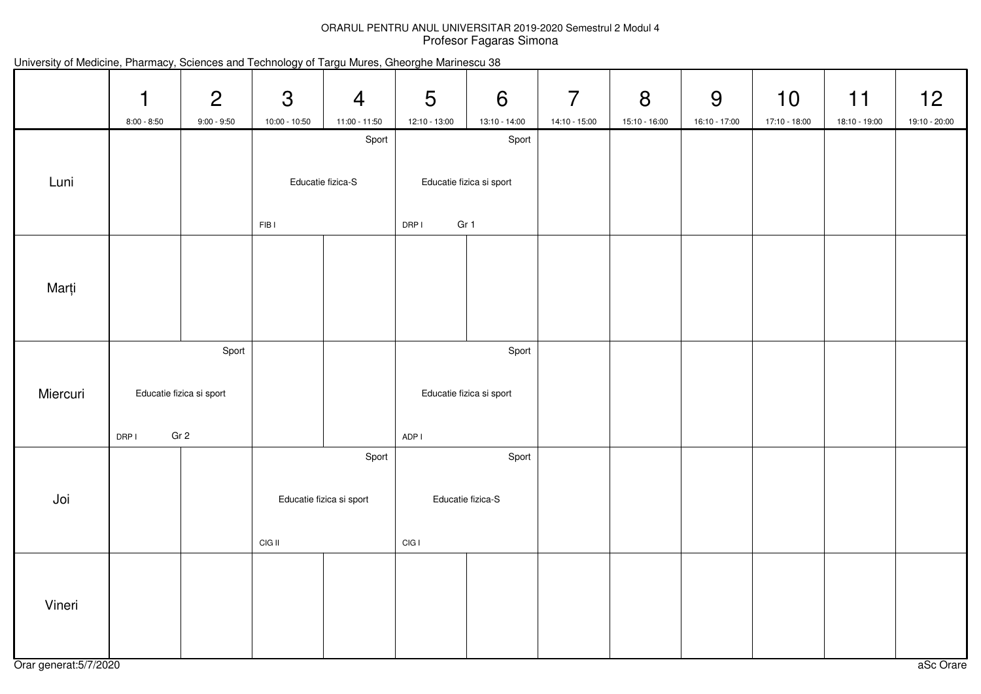## ORARUL PENTRU ANUL UNIVERSITAR 2019-2020 Semestrul 2 Modul 4Profesor Fagaras Simona

| 12<br>19:10 - 20:00 | 11<br>18:10 - 19:00 | 10<br>17:10 - 18:00 | 9<br>16:10 - 17:00 | 8<br>15:10 - 16:00 | $\overline{7}$<br>14:10 - 15:00 | 6<br>13:10 - 14:00               | 5<br>12:10 - 13:00 | $\overline{4}$<br>11:00 - 11:50 | 3<br>$10:00 - 10:50$ | $\overline{2}$<br>$9:00 - 9:50$ | $\mathbf 1$<br>$8:00 - 8:50$ |          |
|---------------------|---------------------|---------------------|--------------------|--------------------|---------------------------------|----------------------------------|--------------------|---------------------------------|----------------------|---------------------------------|------------------------------|----------|
|                     |                     |                     |                    |                    |                                 | Sport                            |                    | Sport                           |                      |                                 |                              |          |
|                     |                     |                     |                    |                    |                                 | Educatie fizica si sport<br>Gr 1 | DRP I              | Educatie fizica-S               | FIB <sub>I</sub>     |                                 |                              | Luni     |
|                     |                     |                     |                    |                    |                                 |                                  |                    |                                 |                      |                                 |                              |          |
|                     |                     |                     |                    |                    |                                 |                                  |                    |                                 |                      |                                 |                              | Marți    |
|                     |                     |                     |                    |                    |                                 | Sport                            |                    |                                 |                      | Sport                           |                              |          |
|                     |                     |                     |                    |                    |                                 | Educatie fizica si sport         |                    |                                 |                      | Educatie fizica si sport        |                              | Miercuri |
|                     |                     |                     |                    |                    |                                 |                                  | ADP I              |                                 |                      | Gr <sub>2</sub>                 | DRP I                        |          |
|                     |                     |                     |                    |                    |                                 | Sport                            |                    | Sport                           |                      |                                 |                              |          |
|                     |                     |                     |                    |                    |                                 | Educatie fizica-S                |                    | Educatie fizica si sport        |                      |                                 |                              | Joi      |
|                     |                     |                     |                    |                    |                                 |                                  | CIGI               |                                 | CIG II               |                                 |                              |          |
|                     |                     |                     |                    |                    |                                 |                                  |                    |                                 |                      |                                 |                              | Vineri   |
|                     |                     |                     |                    |                    |                                 |                                  |                    |                                 |                      |                                 |                              |          |

## University of Medicine, Pharmacy, Sciences and Technology of Targu Mures, Gheorghe Marinescu 38

Orar generat:5/7/2020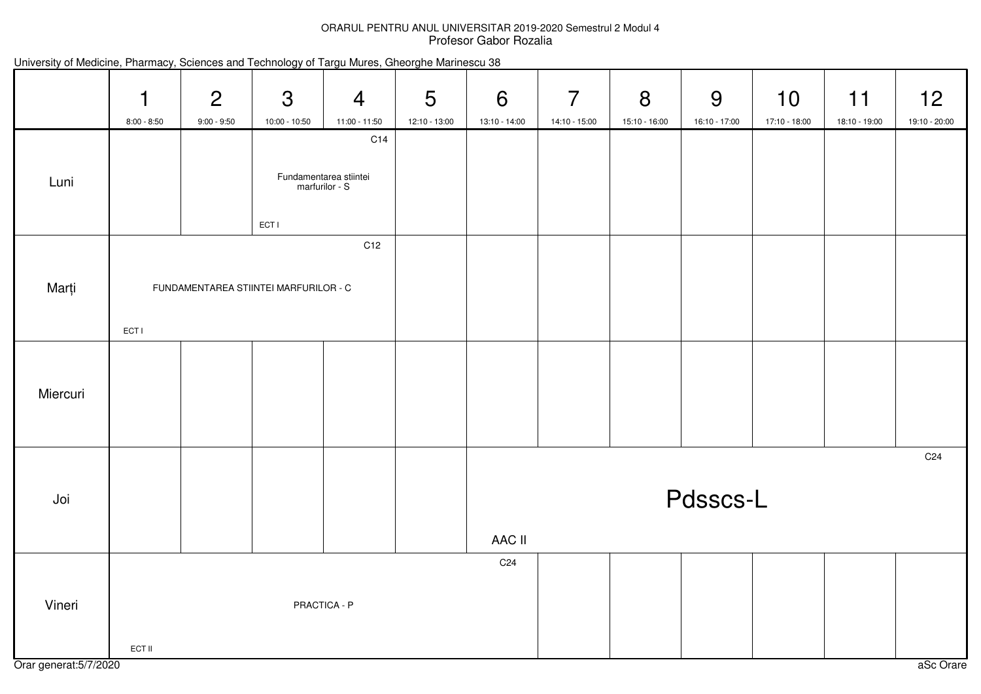## ORARUL PENTRU ANUL UNIVERSITAR 2019-2020 Semestrul 2 Modul 4 Profesor Gabor Rozalia

|          | 1<br>$8:00 - 8:50$ | $\overline{2}$<br>$9:00 - 9:50$ | 3<br>10:00 - 10:50                                | $\overline{4}$<br>11:00 - 11:50 | 5<br>12:10 - 13:00 | 6<br>13:10 - 14:00 | $\overline{7}$<br>14:10 - 15:00 | 8<br>15:10 - 16:00 | 9<br>16:10 - 17:00 | 10<br>17:10 - 18:00 | 11<br>18:10 - 19:00 | 12<br>19:10 - 20:00 |
|----------|--------------------|---------------------------------|---------------------------------------------------|---------------------------------|--------------------|--------------------|---------------------------------|--------------------|--------------------|---------------------|---------------------|---------------------|
| Luni     |                    |                                 | Fundamentarea stiintei<br>marfurilor - S<br>ECT I | C14                             |                    |                    |                                 |                    |                    |                     |                     |                     |
| Marți    | <b>ECTI</b>        |                                 | FUNDAMENTAREA STIINTEI MARFURILOR - C             | C12                             |                    |                    |                                 |                    |                    |                     |                     |                     |
| Miercuri |                    |                                 |                                                   |                                 |                    |                    |                                 |                    |                    |                     |                     |                     |
| Joi      |                    |                                 |                                                   |                                 |                    | AAC II             |                                 |                    | Pdsscs-L           |                     |                     | C <sub>24</sub>     |
| Vineri   | ECT II             |                                 | PRACTICA - P                                      |                                 |                    | C <sub>24</sub>    |                                 |                    |                    |                     |                     |                     |

| University of Medicine, Pharmacy, Sciences and Technology of Targu Mures, Gheorghe Marinescu 38 |  |  |  |  |  |  |
|-------------------------------------------------------------------------------------------------|--|--|--|--|--|--|
|-------------------------------------------------------------------------------------------------|--|--|--|--|--|--|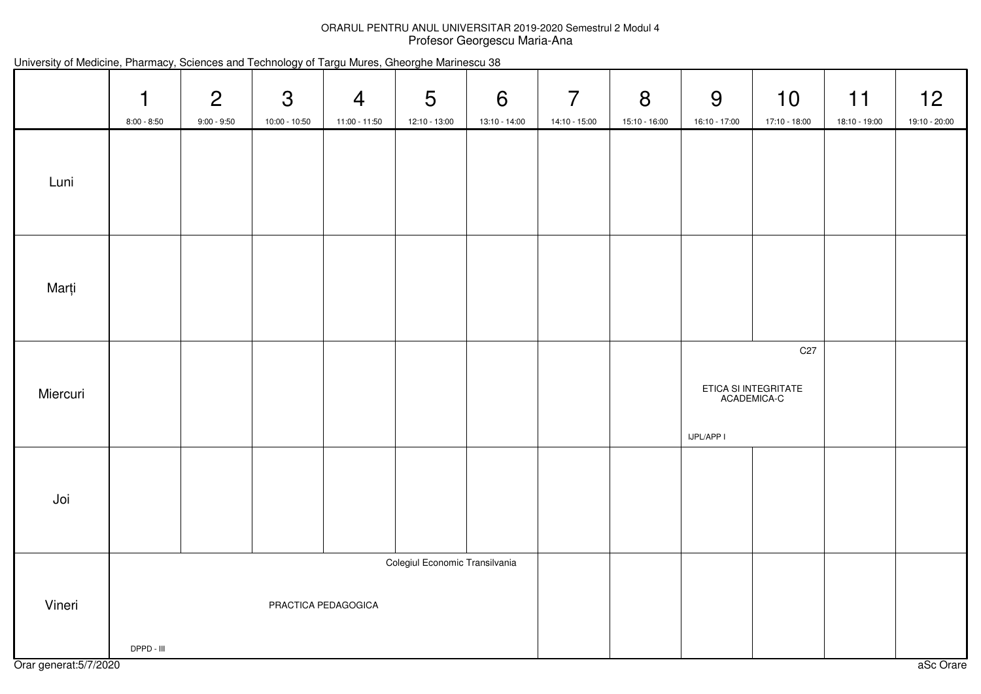## ORARUL PENTRU ANUL UNIVERSITAR 2019-2020 Semestrul 2 Modul 4Profesor Georgescu Maria-Ana

|          | $\mathbf 1$<br>$8:00 - 8:50$ | $\overline{2}$<br>$9:00 - 9:50$ | 3<br>$10:00 - 10:50$ | $\overline{4}$<br>11:00 - 11:50 | 5<br>12:10 - 13:00             | 6<br>13:10 - 14:00 | $\overline{7}$<br>14:10 - 15:00 | 8<br>15:10 - 16:00 | 9<br>16:10 - 17:00 | 10<br>17:10 - 18:00                                    | 11<br>18:10 - 19:00 |
|----------|------------------------------|---------------------------------|----------------------|---------------------------------|--------------------------------|--------------------|---------------------------------|--------------------|--------------------|--------------------------------------------------------|---------------------|
| Luni     |                              |                                 |                      |                                 |                                |                    |                                 |                    |                    |                                                        |                     |
| Marți    |                              |                                 |                      |                                 |                                |                    |                                 |                    |                    |                                                        |                     |
| Miercuri |                              |                                 |                      |                                 |                                |                    |                                 |                    | IJPL/APP I         | C <sub>27</sub><br>ETICA SI INTEGRITATE<br>ACADEMICA-C |                     |
| Joi      |                              |                                 |                      |                                 |                                |                    |                                 |                    |                    |                                                        |                     |
| Vineri   |                              |                                 | PRACTICA PEDAGOGICA  |                                 | Colegiul Economic Transilvania |                    |                                 |                    |                    |                                                        |                     |

|  |  |  |  | University of Medicine, Pharmacy, Sciences and Technology of Targu Mures, Gheorghe Marinescu 38 |  |  |  |
|--|--|--|--|-------------------------------------------------------------------------------------------------|--|--|--|
|--|--|--|--|-------------------------------------------------------------------------------------------------|--|--|--|

DPPD - III

12

19:10 - 20:00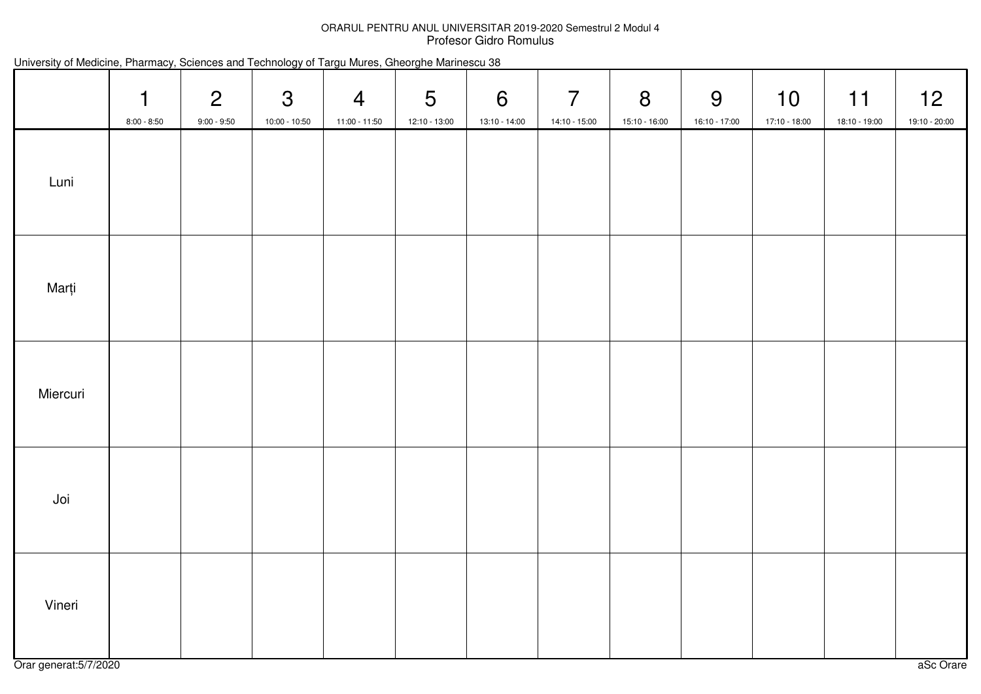## ORARUL PENTRU ANUL UNIVERSITAR 2019-2020 Semestrul 2 Modul 4Profesor Gidro Romulus

| University of Medicine, Pharmacy, Sciences and Technology of Targu Mures, Gheorghe Marinescu 38 |  |  |  |  |  |  |
|-------------------------------------------------------------------------------------------------|--|--|--|--|--|--|
|-------------------------------------------------------------------------------------------------|--|--|--|--|--|--|

|          | $\mathbf{1}$<br>$8:00 - 8:50$ | $\overline{2}$<br>$9:00 - 9:50$ | $\mathbf{3}$<br>10:00 - 10:50 | $\overline{4}$<br>11:00 - 11:50 | $5\overline{)}$<br>12:10 - 13:00 | 6<br>13:10 - 14:00 | $\overline{7}$<br>14:10 - 15:00 | 8<br>15:10 - 16:00 | 9<br>16:10 - 17:00 | 10<br>17:10 - 18:00 | 11<br>18:10 - 19:00 | 12<br>19:10 - 20:00 |
|----------|-------------------------------|---------------------------------|-------------------------------|---------------------------------|----------------------------------|--------------------|---------------------------------|--------------------|--------------------|---------------------|---------------------|---------------------|
| Luni     |                               |                                 |                               |                                 |                                  |                    |                                 |                    |                    |                     |                     |                     |
| Marți    |                               |                                 |                               |                                 |                                  |                    |                                 |                    |                    |                     |                     |                     |
| Miercuri |                               |                                 |                               |                                 |                                  |                    |                                 |                    |                    |                     |                     |                     |
| Joi      |                               |                                 |                               |                                 |                                  |                    |                                 |                    |                    |                     |                     |                     |
| Vineri   |                               |                                 |                               |                                 |                                  |                    |                                 |                    |                    |                     |                     |                     |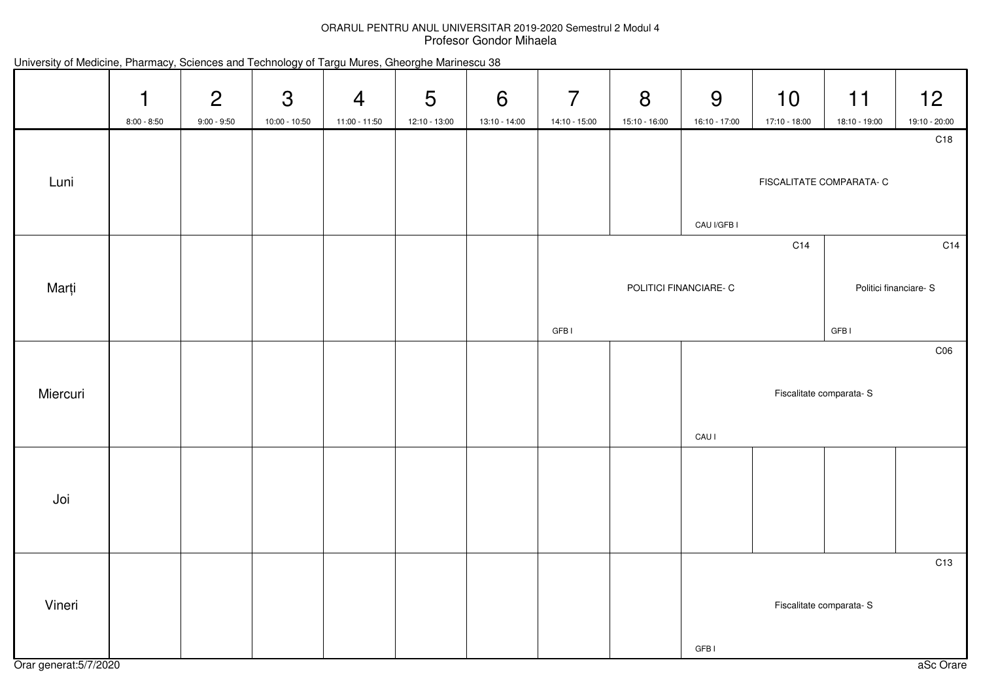## ORARUL PENTRU ANUL UNIVERSITAR 2019-2020 Semestrul 2 Modul 4Profesor Gondor Mihaela

| University of Medicine, Pharmacy, Sciences and Technology of Targu Mures, Gheorghe Marinescu 38 |  |  |  |  |  |  |
|-------------------------------------------------------------------------------------------------|--|--|--|--|--|--|
|-------------------------------------------------------------------------------------------------|--|--|--|--|--|--|

|          | 1<br>$8:00 - 8:50$ | $\overline{2}$<br>$9:00 - 9:50$ | $\mathfrak{S}$<br>10:00 - 10:50 | $\overline{4}$<br>11:00 - 11:50 | 5<br>12:10 - 13:00 | 6<br>13:10 - 14:00 | $\overline{7}$<br>14:10 - 15:00 | 8<br>15:10 - 16:00 | 9<br>16:10 - 17:00     | 10<br>17:10 - 18:00              | 11<br>18:10 - 19:00      | 12<br>19:10 - 20:00          |  |
|----------|--------------------|---------------------------------|---------------------------------|---------------------------------|--------------------|--------------------|---------------------------------|--------------------|------------------------|----------------------------------|--------------------------|------------------------------|--|
| Luni     |                    |                                 |                                 |                                 |                    |                    |                                 |                    | CAU I/GFB I            |                                  | FISCALITATE COMPARATA- C | C18                          |  |
| Marți    |                    |                                 |                                 |                                 |                    |                    | GFB I                           |                    | POLITICI FINANCIARE- C | C14                              |                          | C14<br>Politici financiare-S |  |
| Miercuri |                    |                                 |                                 |                                 |                    |                    |                                 |                    | <b>CAU I</b>           | GFB I<br>Fiscalitate comparata-S |                          |                              |  |
| Joi      |                    |                                 |                                 |                                 |                    |                    |                                 |                    |                        |                                  |                          |                              |  |
| Vineri   |                    |                                 |                                 |                                 |                    |                    |                                 |                    | GFB I                  |                                  | Fiscalitate comparata-S  | C <sub>13</sub>              |  |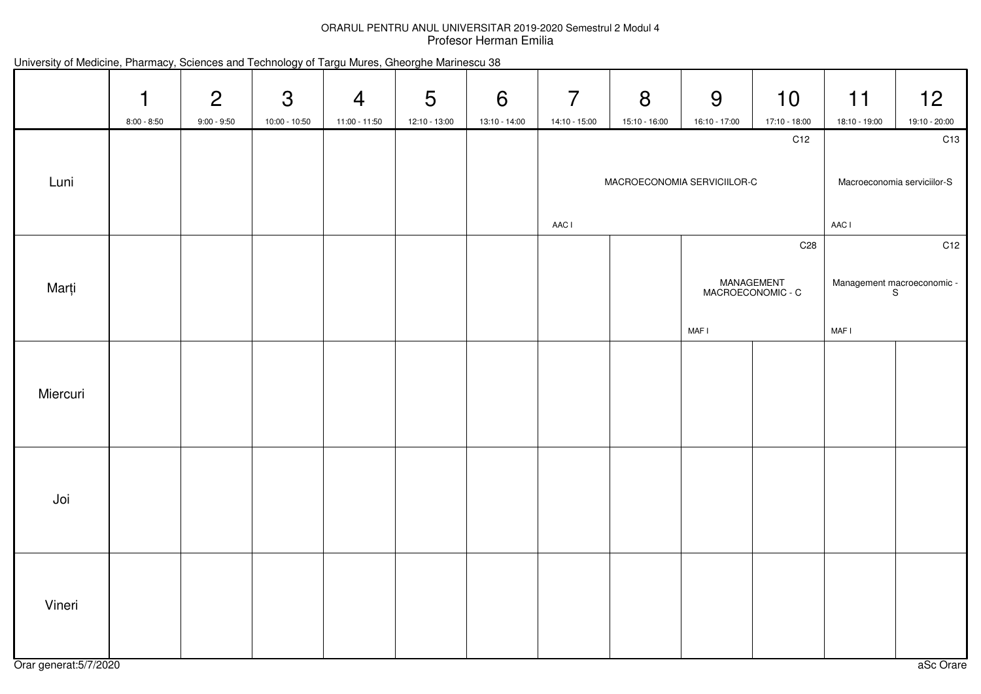### ORARUL PENTRU ANUL UNIVERSITAR 2019-2020 Semestrul 2 Modul 4Profesor Herman Emilia

| University of Medicine, Pharmacy, Sciences and Technology of Targu Mures, Gheorghe Marinescu 38 |  |  |  |  |  |  |
|-------------------------------------------------------------------------------------------------|--|--|--|--|--|--|
|-------------------------------------------------------------------------------------------------|--|--|--|--|--|--|

|          | $\mathbf{1}$<br>$8:00 - 8:50$ | 2<br>$9:00 - 9:50$ | 3<br>10:00 - 10:50 | $\overline{4}$<br>11:00 - 11:50 | $5\phantom{1}$<br>12:10 - 13:00 | 6<br>13:10 - 14:00 | $\overline{7}$<br>14:10 - 15:00 | 8<br>15:10 - 16:00 | 9<br>16:10 - 17:00          | 10<br>17:10 - 18:00             | 11<br>18:10 - 19:00                  | 12<br>19:10 - 20:00 |
|----------|-------------------------------|--------------------|--------------------|---------------------------------|---------------------------------|--------------------|---------------------------------|--------------------|-----------------------------|---------------------------------|--------------------------------------|---------------------|
|          |                               |                    |                    |                                 |                                 |                    |                                 |                    |                             | C12                             |                                      | C13                 |
| Luni     |                               |                    |                    |                                 |                                 |                    | AAC I                           |                    | MACROECONOMIA SERVICIILOR-C |                                 | Macroeconomia serviciilor-S<br>AAC I |                     |
|          |                               |                    |                    |                                 |                                 |                    |                                 |                    |                             | C <sub>28</sub>                 |                                      | C12                 |
| Marți    |                               |                    |                    |                                 |                                 |                    |                                 |                    |                             | MANAGEMENT<br>MACROECONOMIC - C | Management macroeconomic -<br>S      |                     |
|          |                               |                    |                    |                                 |                                 |                    |                                 |                    | MAF I                       |                                 | MAF I                                |                     |
| Miercuri |                               |                    |                    |                                 |                                 |                    |                                 |                    |                             |                                 |                                      |                     |
|          |                               |                    |                    |                                 |                                 |                    |                                 |                    |                             |                                 |                                      |                     |
| Joi      |                               |                    |                    |                                 |                                 |                    |                                 |                    |                             |                                 |                                      |                     |
|          |                               |                    |                    |                                 |                                 |                    |                                 |                    |                             |                                 |                                      |                     |
| Vineri   |                               |                    |                    |                                 |                                 |                    |                                 |                    |                             |                                 |                                      |                     |
|          |                               |                    |                    |                                 |                                 |                    |                                 |                    |                             |                                 |                                      |                     |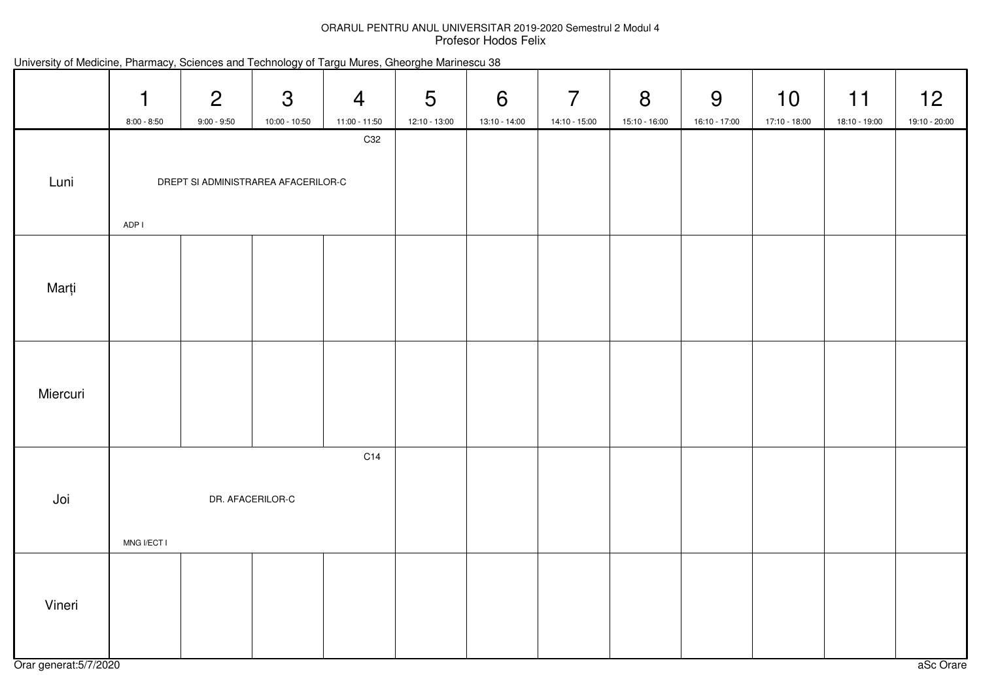## ORARUL PENTRU ANUL UNIVERSITAR 2019-2020 Semestrul 2 Modul 4Profesor Hodos Felix

|          | $\mathbf 1$<br>$8:00 - 8:50$ | $\overline{2}$<br>$9:00 - 9:50$ | $\mathfrak{S}$<br>10:00 - 10:50     | $\overline{4}$<br>11:00 - 11:50 | $5\overline{)}$<br>12:10 - 13:00 | $6\phantom{1}6$<br>13:10 - 14:00 | $\overline{7}$<br>14:10 - 15:00 | 8<br>15:10 - 16:00 | 9<br>16:10 - 17:00 | 10<br>17:10 - 18:00 | 11<br>18:10 - 19:00 | 12<br>19:10 - 20:00 |
|----------|------------------------------|---------------------------------|-------------------------------------|---------------------------------|----------------------------------|----------------------------------|---------------------------------|--------------------|--------------------|---------------------|---------------------|---------------------|
| Luni     | ADP I                        |                                 | DREPT SI ADMINISTRAREA AFACERILOR-C | C32                             |                                  |                                  |                                 |                    |                    |                     |                     |                     |
| Marți    |                              |                                 |                                     |                                 |                                  |                                  |                                 |                    |                    |                     |                     |                     |
| Miercuri |                              |                                 |                                     |                                 |                                  |                                  |                                 |                    |                    |                     |                     |                     |
| Joi      | MNG I/ECT I                  |                                 | DR. AFACERILOR-C                    | C14                             |                                  |                                  |                                 |                    |                    |                     |                     |                     |
| Vineri   |                              |                                 |                                     |                                 |                                  |                                  |                                 |                    |                    |                     |                     |                     |

|  |  |  |  | University of Medicine, Pharmacy, Sciences and Technology of Targu Mures, Gheorghe Marinescu 38 |  |  |  |
|--|--|--|--|-------------------------------------------------------------------------------------------------|--|--|--|
|--|--|--|--|-------------------------------------------------------------------------------------------------|--|--|--|

Orar generat:5/7/2020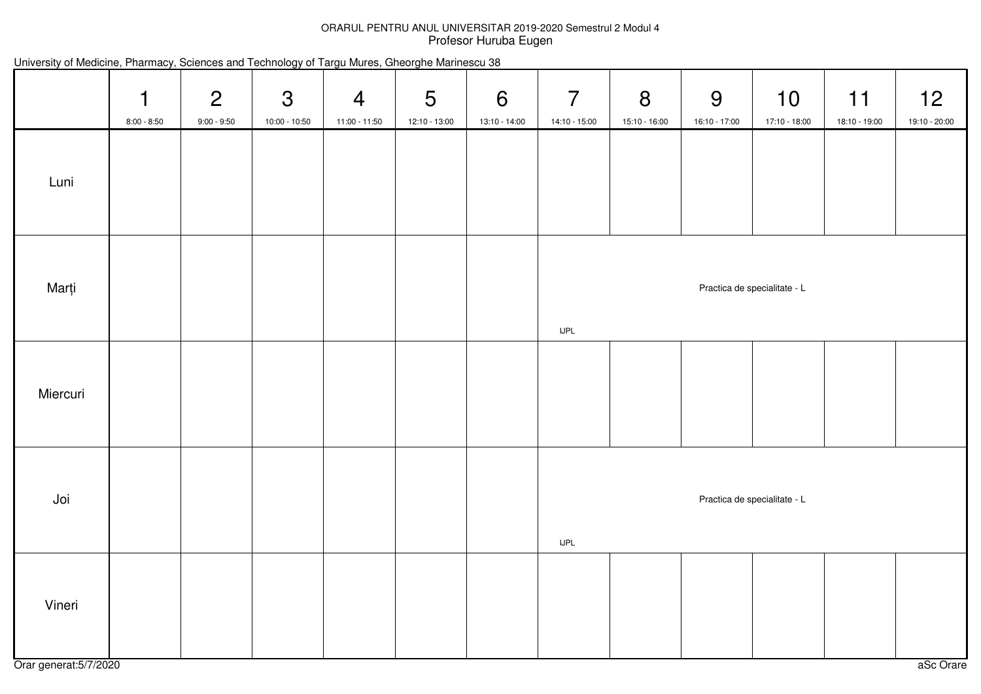## ORARUL PENTRU ANUL UNIVERSITAR 2019-2020 Semestrul 2 Modul 4Profesor Huruba Eugen

| University of Medicine, Pharmacy, Sciences and Technology of Targu Mures, Gheorghe Marinescu 38 |  |  |  |  |
|-------------------------------------------------------------------------------------------------|--|--|--|--|
|-------------------------------------------------------------------------------------------------|--|--|--|--|

|          | 1<br>$8:00 - 8:50$ | $\overline{2}$<br>$9:00 - 9:50$ | $\mathbf{3}$<br>10:00 - 10:50 | $\overline{4}$<br>11:00 - 11:50 | $5\overline{)}$<br>12:10 - 13:00 | $6\overline{6}$<br>13:10 - 14:00 | $\overline{7}$<br>14:10 - 15:00 | 8<br>15:10 - 16:00 | 9<br>16:10 - 17:00 | 10<br>17:10 - 18:00          | 11<br>18:10 - 19:00 | 12<br>19:10 - 20:00 |
|----------|--------------------|---------------------------------|-------------------------------|---------------------------------|----------------------------------|----------------------------------|---------------------------------|--------------------|--------------------|------------------------------|---------------------|---------------------|
| Luni     |                    |                                 |                               |                                 |                                  |                                  |                                 |                    |                    |                              |                     |                     |
| Marți    |                    |                                 |                               |                                 |                                  |                                  | IJPL                            |                    |                    | Practica de specialitate - L |                     |                     |
| Miercuri |                    |                                 |                               |                                 |                                  |                                  |                                 |                    |                    |                              |                     |                     |
| Joi      |                    |                                 |                               |                                 |                                  |                                  | <b>IJPL</b>                     |                    |                    | Practica de specialitate - L |                     |                     |
| Vineri   |                    |                                 |                               |                                 |                                  |                                  |                                 |                    |                    |                              |                     |                     |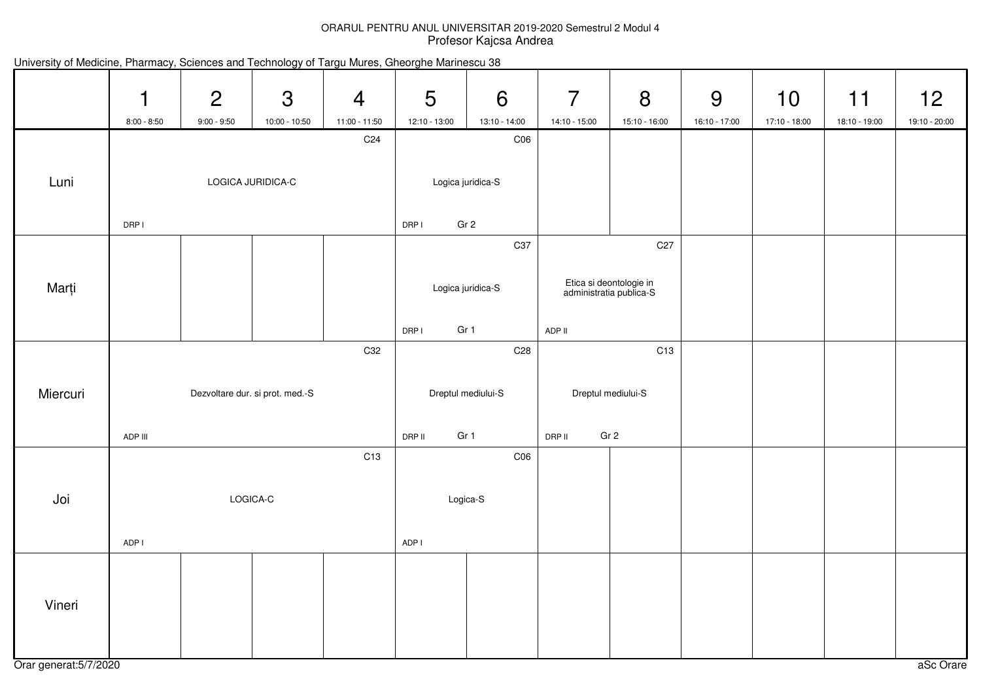## ORARUL PENTRU ANUL UNIVERSITAR 2019-2020 Semestrul 2 Modul 4Profesor Kajcsa Andrea

|          | 1<br>$8:00 - 8:50$ | $\overline{2}$<br>$9:00 - 9:50$ | 3<br>10:00 - 10:50              | $\overline{4}$<br>11:00 - 11:50 | 5<br>12:10 - 13:00 | 6<br>13:10 - 14:00 | $\overline{7}$<br>14:10 - 15:00                    | 8<br>15:10 - 16:00 | 9<br>16:10 - 17:00 | 10<br>17:10 - 18:00 | 11<br>18:10 - 19:00 | 12<br>19:10 - 20:00 |
|----------|--------------------|---------------------------------|---------------------------------|---------------------------------|--------------------|--------------------|----------------------------------------------------|--------------------|--------------------|---------------------|---------------------|---------------------|
|          |                    |                                 |                                 | C <sub>24</sub>                 |                    | C <sub>06</sub>    |                                                    |                    |                    |                     |                     |                     |
| Luni     |                    |                                 | LOGICA JURIDICA-C               |                                 | Logica juridica-S  |                    |                                                    |                    |                    |                     |                     |                     |
|          | DRP I              |                                 |                                 |                                 | DRP I              | Gr <sub>2</sub>    |                                                    |                    |                    |                     |                     |                     |
|          |                    |                                 |                                 |                                 |                    | C37                |                                                    | C <sub>27</sub>    |                    |                     |                     |                     |
| Marți    |                    |                                 |                                 |                                 | Logica juridica-S  |                    | Etica si deontologie in<br>administratia publica-S |                    |                    |                     |                     |                     |
|          |                    |                                 |                                 |                                 | Gr 1<br>DRP I      |                    | ADP II                                             |                    |                    |                     |                     |                     |
|          |                    |                                 |                                 | C32                             |                    | C <sub>28</sub>    |                                                    | C13                |                    |                     |                     |                     |
| Miercuri |                    |                                 | Dezvoltare dur. si prot. med.-S |                                 |                    | Dreptul mediului-S | Dreptul mediului-S                                 |                    |                    |                     |                     |                     |
|          | ADP III            |                                 |                                 |                                 | Gr 1<br>DRP II     |                    | Gr <sub>2</sub><br>DRP II                          |                    |                    |                     |                     |                     |
|          |                    |                                 |                                 | C13                             |                    | C <sub>06</sub>    |                                                    |                    |                    |                     |                     |                     |
| Joi      |                    |                                 | LOGICA-C                        |                                 | Logica-S           |                    |                                                    |                    |                    |                     |                     |                     |
|          | ADP I              |                                 |                                 |                                 | ADP I              |                    |                                                    |                    |                    |                     |                     |                     |
| Vineri   |                    |                                 |                                 |                                 |                    |                    |                                                    |                    |                    |                     |                     |                     |

## University of Medicine, Pharmacy, Sciences and Technology of Targu Mures, Gheorghe Marinescu 38

Orar generat:5/7/2020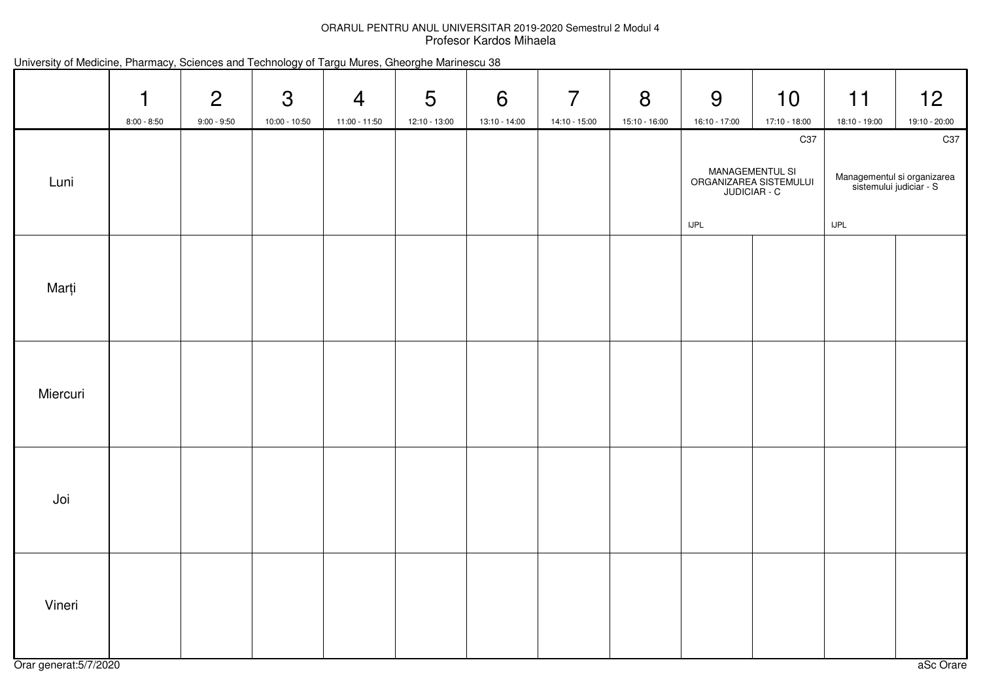## ORARUL PENTRU ANUL UNIVERSITAR 2019-2020 Semestrul 2 Modul 4Profesor Kardos Mihaela

| University of Medicine, Pharmacy, Sciences and Technology of Targu Mures, Gheorghe Marinescu 38 |  |  |  |  |  |  |
|-------------------------------------------------------------------------------------------------|--|--|--|--|--|--|
|-------------------------------------------------------------------------------------------------|--|--|--|--|--|--|

|          | $\mathbf{1}$<br>$8:00 - 8:50$ | $\overline{2}$<br>$9:00 - 9:50$ | $\mathfrak{S}$<br>10:00 - 10:50 | $\overline{4}$<br>11:00 - 11:50 | 5<br>12:10 - 13:00 | 6<br>13:10 - 14:00 | $\overline{7}$<br>14:10 - 15:00 | 8<br>15:10 - 16:00 | 9<br>16:10 - 17:00                                                       | 10<br>17:10 - 18:00 | 11<br>18:10 - 19:00                                                                          | 12<br>19:10 - 20:00 |
|----------|-------------------------------|---------------------------------|---------------------------------|---------------------------------|--------------------|--------------------|---------------------------------|--------------------|--------------------------------------------------------------------------|---------------------|----------------------------------------------------------------------------------------------|---------------------|
| Luni     |                               |                                 |                                 |                                 |                    |                    |                                 |                    | MANAGEMENTUL SI<br>ORGANIZAREA SISTEMULUI<br>JUDICIAR - C<br><b>IJPL</b> |                     | C <sub>37</sub><br>Managementul si organizarea<br>sistemului judiciar - S<br>$I\mathsf{JPL}$ |                     |
| Marți    |                               |                                 |                                 |                                 |                    |                    |                                 |                    |                                                                          |                     |                                                                                              |                     |
| Miercuri |                               |                                 |                                 |                                 |                    |                    |                                 |                    |                                                                          |                     |                                                                                              |                     |
| Joi      |                               |                                 |                                 |                                 |                    |                    |                                 |                    |                                                                          |                     |                                                                                              |                     |
| Vineri   |                               |                                 |                                 |                                 |                    |                    |                                 |                    |                                                                          |                     |                                                                                              |                     |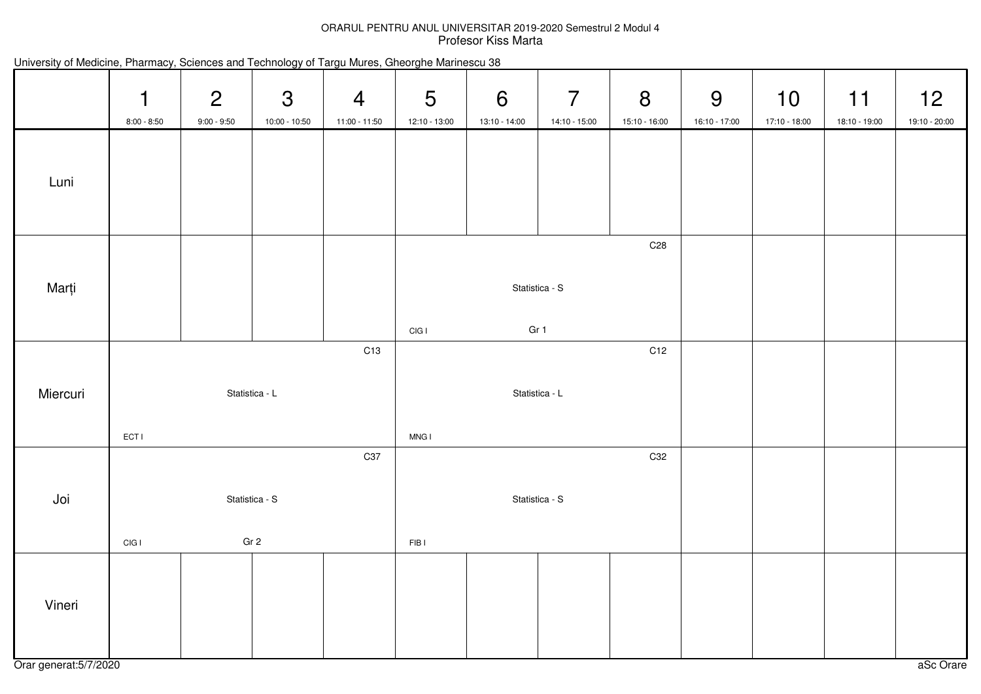# ORARUL PENTRU ANUL UNIVERSITAR 2019-2020 Semestrul 2 Modul 4 Profesor Kiss Marta

|          | $\mathbf 1$<br>$8:00 - 8:50$ | $\overline{2}$<br>$9:00 - 9:50$ | 3<br>$10:00 - 10:50$ | $\overline{4}$<br>$11:00 - 11:50$ | 5<br>12:10 - 13:00 | 6<br>13:10 - 14:00 | $\overline{7}$<br>14:10 - 15:00 | 8<br>15:10 - 16:00 | 9<br>16:10 - 17:00 | $10$<br>17:10 - 18:00 | $11$<br>18:10 - 19:00 | 12<br>19:10 - 20:00 |
|----------|------------------------------|---------------------------------|----------------------|-----------------------------------|--------------------|--------------------|---------------------------------|--------------------|--------------------|-----------------------|-----------------------|---------------------|
| Luni     |                              |                                 |                      |                                   |                    |                    |                                 |                    |                    |                       |                       |                     |
| Marți    |                              |                                 |                      |                                   |                    |                    | Statistica - S                  | C <sub>28</sub>    |                    |                       |                       |                     |
|          |                              |                                 |                      | C13                               | CIGI               | Gr 1               |                                 | C12                |                    |                       |                       |                     |
| Miercuri | <b>ECTI</b>                  |                                 | Statistica - L       |                                   | MNG I              |                    | Statistica - L                  |                    |                    |                       |                       |                     |
|          |                              |                                 |                      | C37                               |                    |                    |                                 | C32                |                    |                       |                       |                     |
| Joi      |                              |                                 | Statistica - S       |                                   |                    |                    | Statistica - S                  |                    |                    |                       |                       |                     |
|          | CIGI                         |                                 | Gr <sub>2</sub>      |                                   | FIB <sub>I</sub>   |                    |                                 |                    |                    |                       |                       |                     |
| Vineri   |                              |                                 |                      |                                   |                    |                    |                                 |                    |                    |                       |                       |                     |

|  |  | University of Medicine, Pharmacy, Sciences and Technology of Targu Mures, Gheorghe Marinescu 38 |  |
|--|--|-------------------------------------------------------------------------------------------------|--|
|--|--|-------------------------------------------------------------------------------------------------|--|

Orar generat:5/7/2020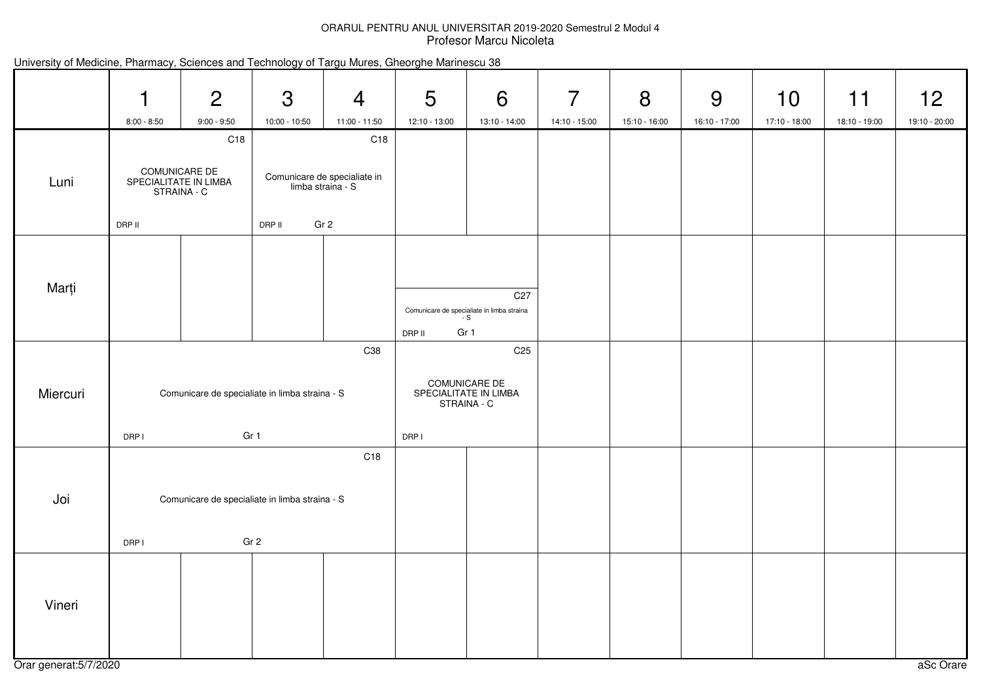## ORARUL PENTRU ANUL UNIVERSITAR 2019-2020 Semestrul 2 Modul 4Profesor Marcu Nicoleta

| University of Medicine, Pharmacy, Sciences and Technology of Targu Mures, Gheorghe Marinescu 38 |  |  |  |  |
|-------------------------------------------------------------------------------------------------|--|--|--|--|
|-------------------------------------------------------------------------------------------------|--|--|--|--|

|          | 1<br>$8:00 - 8:50$                                                                | $\overline{2}$<br>$9:00 - 9:50$                              | $\mathfrak{S}$<br>$10:00 - 10:50$ | $\overline{4}$<br>11:00 - 11:50                                             | 5<br>12:10 - 13:00                                                       | 6<br>13:10 - 14:00                                                           | $\overline{7}$<br>14:10 - 15:00 | 8<br>15:10 - 16:00 | 9<br>16:10 - 17:00 | 10<br>17:10 - 18:00 | 11<br>18:10 - 19:00 | 12<br>19:10 - 20:00 |
|----------|-----------------------------------------------------------------------------------|--------------------------------------------------------------|-----------------------------------|-----------------------------------------------------------------------------|--------------------------------------------------------------------------|------------------------------------------------------------------------------|---------------------------------|--------------------|--------------------|---------------------|---------------------|---------------------|
| Luni     | DRP II                                                                            | C18<br>COMUNICARE DE<br>SPECIALITATE IN LIMBA<br>STRAINA - C | DRP II                            | C18<br>Comunicare de specialiate in<br>limba straina - S<br>Gr <sub>2</sub> |                                                                          |                                                                              |                                 |                    |                    |                     |                     |                     |
| Marți    |                                                                                   |                                                              |                                   |                                                                             | DRP II                                                                   | C <sub>27</sub><br>Comunicare de specialiate in limba straina<br>- S<br>Gr 1 |                                 |                    |                    |                     |                     |                     |
| Miercuri | C38<br>Comunicare de specialiate in limba straina - S<br>Gr 1<br>DRP I            |                                                              |                                   | DRP I                                                                       | C <sub>25</sub><br>COMUNICARE DE<br>SPECIALITATE IN LIMBA<br>STRAINA - C |                                                                              |                                 |                    |                    |                     |                     |                     |
| Joi      | C18<br>Comunicare de specialiate in limba straina - S<br>Gr <sub>2</sub><br>DRP I |                                                              |                                   |                                                                             |                                                                          |                                                                              |                                 |                    |                    |                     |                     |                     |
| Vineri   |                                                                                   |                                                              |                                   |                                                                             |                                                                          |                                                                              |                                 |                    |                    |                     |                     |                     |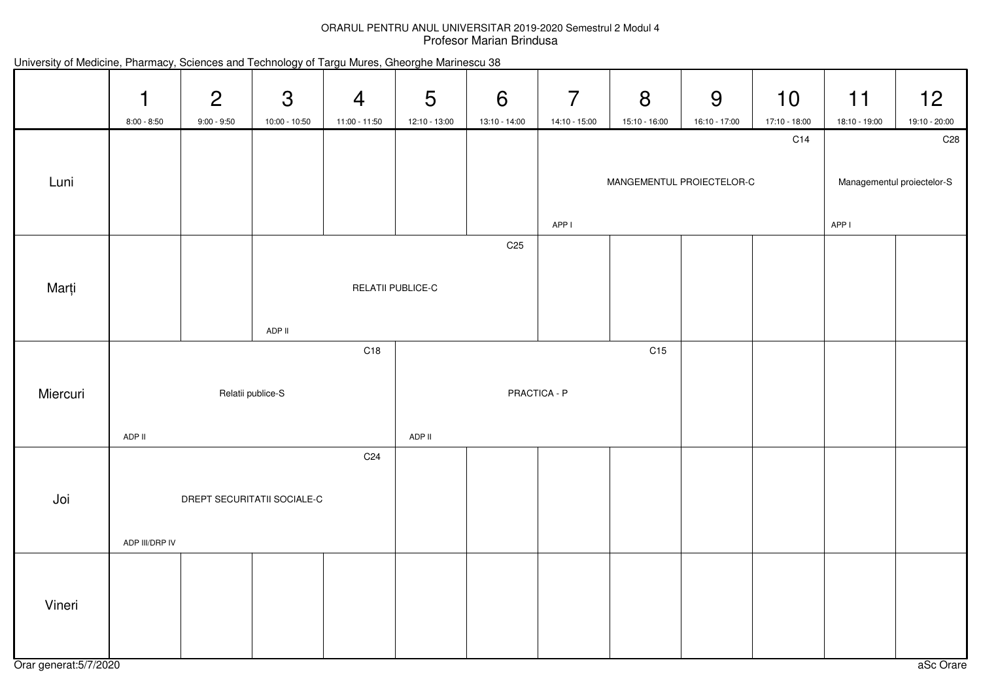## ORARUL PENTRU ANUL UNIVERSITAR 2019-2020 Semestrul 2 Modul 4Profesor Marian Brindusa

|  |  |  |  |  |  | University of Medicine, Pharmacy, Sciences and Technology of Targu Mures, Gheorghe Marinescu 38 |  |
|--|--|--|--|--|--|-------------------------------------------------------------------------------------------------|--|
|--|--|--|--|--|--|-------------------------------------------------------------------------------------------------|--|

|          | $\mathbf 1$    | $\overline{2}$ | $\mathfrak{S}$              | 4                 | 5             | $6\phantom{1}6$ | $\overline{7}$ | 8               | 9                         | 10            | $11$                       | 12              |
|----------|----------------|----------------|-----------------------------|-------------------|---------------|-----------------|----------------|-----------------|---------------------------|---------------|----------------------------|-----------------|
|          | $8:00 - 8:50$  | $9:00 - 9:50$  | 10:00 - 10:50               | 11:00 - 11:50     | 12:10 - 13:00 | 13:10 - 14:00   | 14:10 - 15:00  | 15:10 - 16:00   | 16:10 - 17:00             | 17:10 - 18:00 | 18:10 - 19:00              | 19:10 - 20:00   |
|          |                |                |                             |                   |               |                 |                |                 |                           | C14           |                            | C <sub>28</sub> |
| Luni     |                |                |                             |                   |               |                 |                |                 | MANGEMENTUL PROIECTELOR-C |               | Managementul proiectelor-S |                 |
|          |                |                |                             |                   |               |                 | APP I          |                 |                           |               | APP I                      |                 |
|          |                |                |                             |                   |               | C <sub>25</sub> |                |                 |                           |               |                            |                 |
|          |                |                |                             |                   |               |                 |                |                 |                           |               |                            |                 |
| Marți    |                |                |                             | RELATII PUBLICE-C |               |                 |                |                 |                           |               |                            |                 |
|          |                |                |                             |                   |               |                 |                |                 |                           |               |                            |                 |
|          |                |                | ADP II                      |                   |               |                 |                |                 |                           |               |                            |                 |
|          | C18            |                |                             |                   |               |                 |                | C <sub>15</sub> |                           |               |                            |                 |
| Miercuri |                |                | Relatii publice-S           |                   |               | PRACTICA - P    |                |                 |                           |               |                            |                 |
|          |                |                |                             |                   |               |                 |                |                 |                           |               |                            |                 |
|          | ADP II         |                |                             |                   | ADP II        |                 |                |                 |                           |               |                            |                 |
|          |                |                |                             | C <sub>24</sub>   |               |                 |                |                 |                           |               |                            |                 |
|          |                |                |                             |                   |               |                 |                |                 |                           |               |                            |                 |
| Joi      |                |                | DREPT SECURITATII SOCIALE-C |                   |               |                 |                |                 |                           |               |                            |                 |
|          |                |                |                             |                   |               |                 |                |                 |                           |               |                            |                 |
|          | ADP III/DRP IV |                |                             |                   |               |                 |                |                 |                           |               |                            |                 |
|          |                |                |                             |                   |               |                 |                |                 |                           |               |                            |                 |
| Vineri   |                |                |                             |                   |               |                 |                |                 |                           |               |                            |                 |
|          |                |                |                             |                   |               |                 |                |                 |                           |               |                            |                 |
|          |                |                |                             |                   |               |                 |                |                 |                           |               |                            |                 |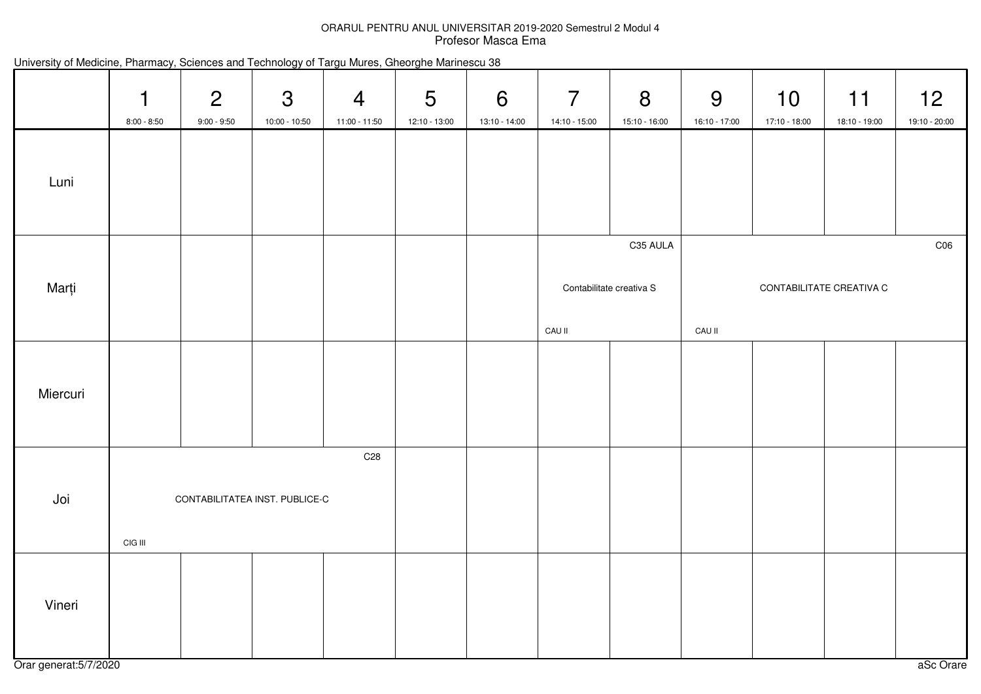## ORARUL PENTRU ANUL UNIVERSITAR 2019-2020 Semestrul 2 Modul 4Profesor Masca Ema

|  |  |  |  |  |  | University of Medicine, Pharmacy, Sciences and Technology of Targu Mures, Gheorghe Marinescu 38 |
|--|--|--|--|--|--|-------------------------------------------------------------------------------------------------|
|--|--|--|--|--|--|-------------------------------------------------------------------------------------------------|

|          | 1<br>$8:00 - 8:50$ | $\overline{2}$<br>$9:00 - 9:50$ | $\mathfrak{S}$<br>10:00 - 10:50 | $\overline{4}$<br>11:00 - 11:50 | $5\phantom{1}$<br>12:10 - 13:00 | 6<br>13:10 - 14:00 | $\overline{7}$<br>14:10 - 15:00 | 8<br>15:10 - 16:00                   | 9<br>16:10 - 17:00 | 10<br>17:10 - 18:00 | 11<br>18:10 - 19:00      | 12<br>19:10 - 20:00 |
|----------|--------------------|---------------------------------|---------------------------------|---------------------------------|---------------------------------|--------------------|---------------------------------|--------------------------------------|--------------------|---------------------|--------------------------|---------------------|
| Luni     |                    |                                 |                                 |                                 |                                 |                    |                                 |                                      |                    |                     |                          |                     |
| Marți    |                    |                                 |                                 |                                 |                                 |                    |                                 | C35 AULA<br>Contabilitate creativa S |                    |                     | CONTABILITATE CREATIVA C | C06                 |
|          |                    |                                 |                                 |                                 |                                 |                    | <b>CAU II</b>                   |                                      | CAU II             |                     |                          |                     |
| Miercuri |                    |                                 |                                 |                                 |                                 |                    |                                 |                                      |                    |                     |                          |                     |
| Joi      | CIG III            | CONTABILITATEA INST. PUBLICE-C  |                                 | C <sub>28</sub>                 |                                 |                    |                                 |                                      |                    |                     |                          |                     |
| Vineri   |                    |                                 |                                 |                                 |                                 |                    |                                 |                                      |                    |                     |                          |                     |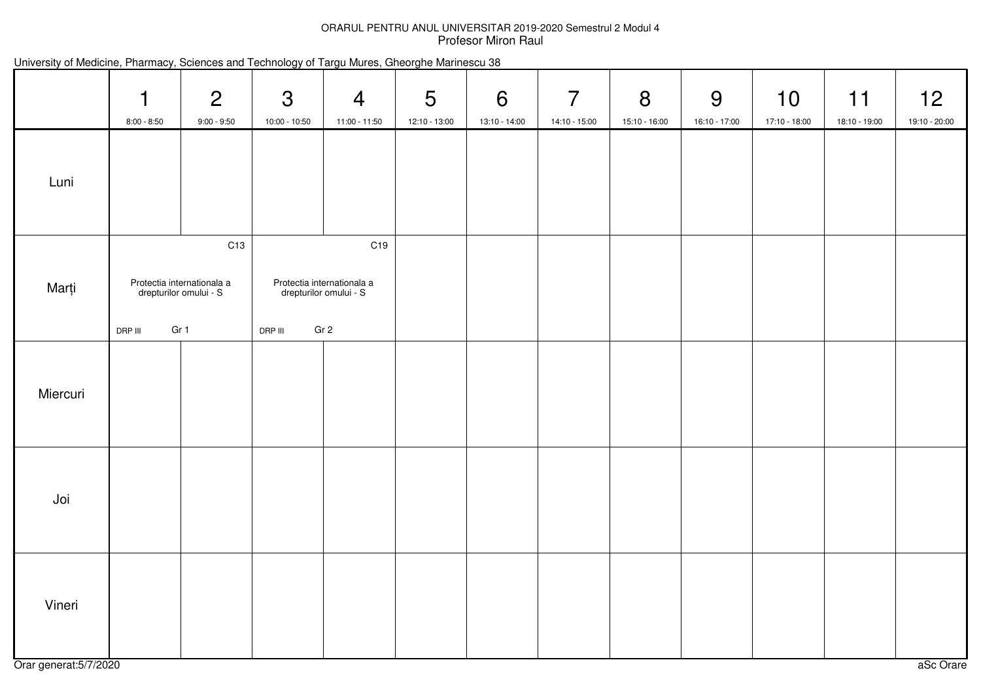## ORARUL PENTRU ANUL UNIVERSITAR 2019-2020 Semestrul 2 Modul 4Profesor Miron Raul

| University of Medicine, Pharmacy, Sciences and Technology of Targu Mures, Gheorghe Marinescu 38 |  |  |  |  |  |  |
|-------------------------------------------------------------------------------------------------|--|--|--|--|--|--|
|-------------------------------------------------------------------------------------------------|--|--|--|--|--|--|

|          | $\mathbf 1$<br>$8:00 - 8:50$ | $\overline{2}$<br>$9:00 - 9:50$                                                 | $\mathbf{3}$<br>10:00 - 10:50 | $\overline{4}$<br>11:00 - 11:50                                                | 5<br>12:10 - 13:00 | 6<br>13:10 - 14:00 | $\overline{7}$<br>14:10 - 15:00 | 8<br>15:10 - 16:00 | 9<br>16:10 - 17:00 | 10<br>17:10 - 18:00 | 11<br>18:10 - 19:00 | 12<br>19:10 - 20:00 |
|----------|------------------------------|---------------------------------------------------------------------------------|-------------------------------|--------------------------------------------------------------------------------|--------------------|--------------------|---------------------------------|--------------------|--------------------|---------------------|---------------------|---------------------|
| Luni     |                              |                                                                                 |                               |                                                                                |                    |                    |                                 |                    |                    |                     |                     |                     |
| Marți    | DRP III                      | C <sub>13</sub><br>Protectia internationala a<br>drepturilor omului - S<br>Gr 1 | DRP III                       | C19<br>Protectia internationala a<br>drepturilor omului - S<br>Gr <sub>2</sub> |                    |                    |                                 |                    |                    |                     |                     |                     |
| Miercuri |                              |                                                                                 |                               |                                                                                |                    |                    |                                 |                    |                    |                     |                     |                     |
| Joi      |                              |                                                                                 |                               |                                                                                |                    |                    |                                 |                    |                    |                     |                     |                     |
| Vineri   |                              |                                                                                 |                               |                                                                                |                    |                    |                                 |                    |                    |                     |                     |                     |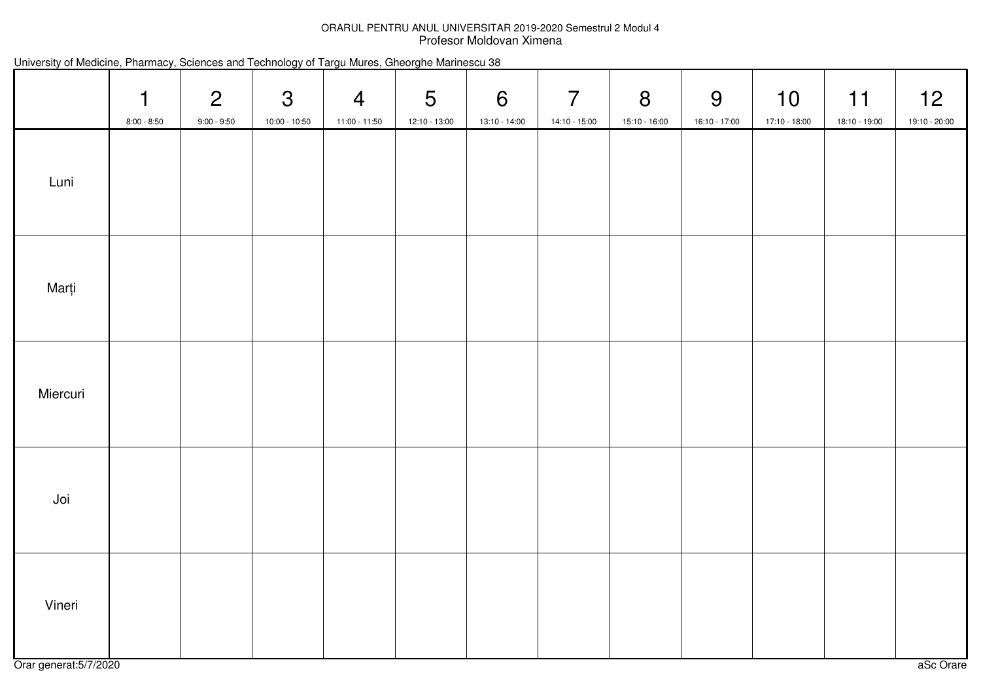## ORARUL PENTRU ANUL UNIVERSITAR 2019-2020 Semestrul 2 Modul 4 Profesor Moldovan Ximena

|  |  |  |  |  |  | University of Medicine, Pharmacy, Sciences and Technology of Targu Mures, Gheorghe Marinescu 38 |  |
|--|--|--|--|--|--|-------------------------------------------------------------------------------------------------|--|
|--|--|--|--|--|--|-------------------------------------------------------------------------------------------------|--|

|          | $\mathbf 1$<br>$8:00 - 8:50$ | $\overline{2}$<br>$9:00 - 9:50$ | $\mathbf{3}$<br>10:00 - 10:50 | $\overline{4}$<br>11:00 - 11:50 | $5\overline{)}$<br>12:10 - 13:00 | $6\overline{6}$<br>13:10 - 14:00 | $\overline{7}$<br>14:10 - 15:00 | 8<br>15:10 - 16:00 | 9<br>16:10 - 17:00 | 10<br>17:10 - 18:00 | 11<br>18:10 - 19:00 | 12<br>19:10 - 20:00 |
|----------|------------------------------|---------------------------------|-------------------------------|---------------------------------|----------------------------------|----------------------------------|---------------------------------|--------------------|--------------------|---------------------|---------------------|---------------------|
| Luni     |                              |                                 |                               |                                 |                                  |                                  |                                 |                    |                    |                     |                     |                     |
| Marți    |                              |                                 |                               |                                 |                                  |                                  |                                 |                    |                    |                     |                     |                     |
| Miercuri |                              |                                 |                               |                                 |                                  |                                  |                                 |                    |                    |                     |                     |                     |
| Joi      |                              |                                 |                               |                                 |                                  |                                  |                                 |                    |                    |                     |                     |                     |
| Vineri   |                              |                                 |                               |                                 |                                  |                                  |                                 |                    |                    |                     |                     |                     |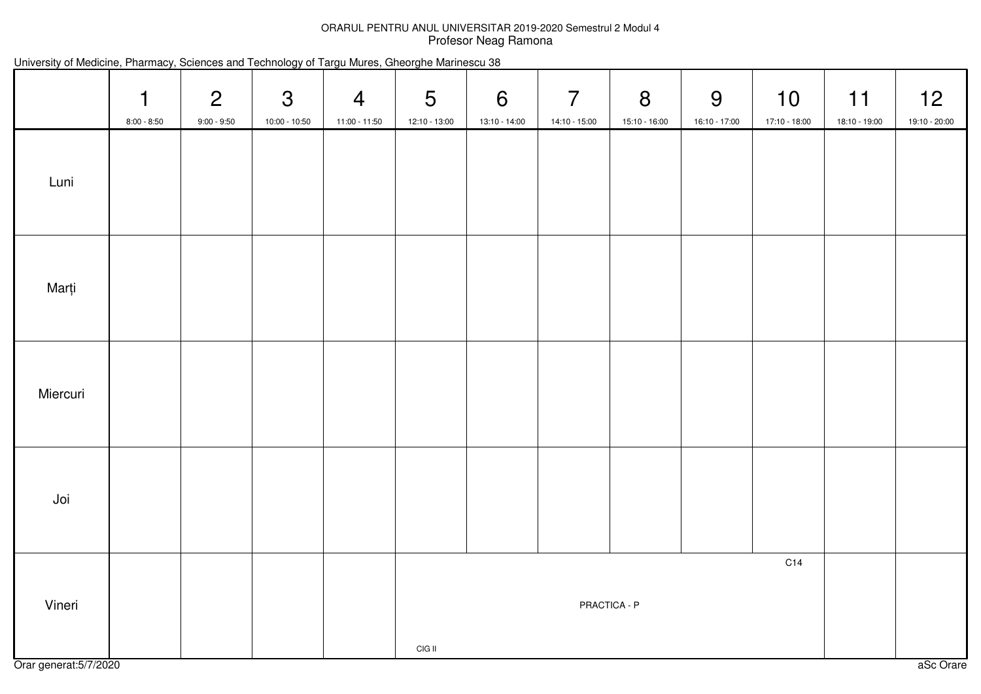## ORARUL PENTRU ANUL UNIVERSITAR 2019-2020 Semestrul 2 Modul 4Profesor Neag Ramona

| University of Medicine, Pharmacy, Sciences and Technology of Targu Mures, Gheorghe Marinescu 38 |  |  |  |  |  |  |
|-------------------------------------------------------------------------------------------------|--|--|--|--|--|--|
|-------------------------------------------------------------------------------------------------|--|--|--|--|--|--|

|          | $\mathbf 1$<br>$8:00 - 8:50$ | $\overline{2}$<br>$9:00 - 9:50$ | $\mathbf{3}$<br>10:00 - 10:50 | $\overline{4}$<br>11:00 - 11:50 | $5\overline{)}$<br>12:10 - 13:00 | $6\overline{6}$<br>13:10 - 14:00 | $\overline{7}$<br>14:10 - 15:00 | 8<br>15:10 - 16:00 | 9<br>16:10 - 17:00 | 10<br>17:10 - 18:00 | 11<br>18:10 - 19:00 | 12<br>19:10 - 20:00 |
|----------|------------------------------|---------------------------------|-------------------------------|---------------------------------|----------------------------------|----------------------------------|---------------------------------|--------------------|--------------------|---------------------|---------------------|---------------------|
| Luni     |                              |                                 |                               |                                 |                                  |                                  |                                 |                    |                    |                     |                     |                     |
| Marți    |                              |                                 |                               |                                 |                                  |                                  |                                 |                    |                    |                     |                     |                     |
| Miercuri |                              |                                 |                               |                                 |                                  |                                  |                                 |                    |                    |                     |                     |                     |
| Joi      |                              |                                 |                               |                                 |                                  |                                  |                                 |                    |                    |                     |                     |                     |
| Vineri   |                              |                                 |                               |                                 | CIG II                           |                                  |                                 | PRACTICA - P       |                    | C14                 |                     |                     |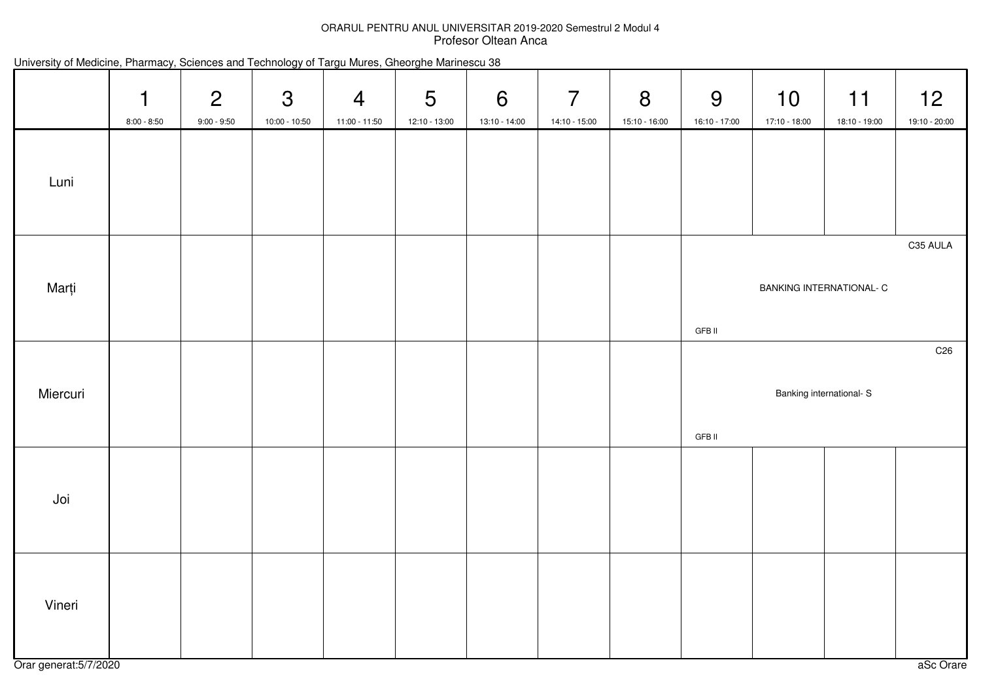## ORARUL PENTRU ANUL UNIVERSITAR 2019-2020 Semestrul 2 Modul 4Profesor Oltean Anca

|  |  |  |  |  |  | University of Medicine, Pharmacy, Sciences and Technology of Targu Mures, Gheorghe Marinescu 38 |  |
|--|--|--|--|--|--|-------------------------------------------------------------------------------------------------|--|
|--|--|--|--|--|--|-------------------------------------------------------------------------------------------------|--|

|          | $\mathbf 1$<br>$8:00 - 8:50$ | $\overline{2}$<br>$9:00 - 9:50$ | $\mathfrak{S}$<br>10:00 - 10:50 | $\overline{4}$<br>11:00 - 11:50 | $5\phantom{1}$<br>12:10 - 13:00 | $6\overline{6}$<br>13:10 - 14:00 | $\overline{7}$<br>14:10 - 15:00 | 8<br>15:10 - 16:00 | 9<br>16:10 - 17:00 | 10<br>17:10 - 18:00 | 11<br>18:10 - 19:00             | 12<br>19:10 - 20:00 |
|----------|------------------------------|---------------------------------|---------------------------------|---------------------------------|---------------------------------|----------------------------------|---------------------------------|--------------------|--------------------|---------------------|---------------------------------|---------------------|
| Luni     |                              |                                 |                                 |                                 |                                 |                                  |                                 |                    |                    |                     |                                 |                     |
| Marți    |                              |                                 |                                 |                                 |                                 |                                  |                                 |                    | <b>GFB II</b>      |                     | <b>BANKING INTERNATIONAL- C</b> | C35 AULA            |
| Miercuri |                              |                                 |                                 |                                 |                                 |                                  |                                 |                    | <b>GFB II</b>      |                     | Banking international- S        | C <sub>26</sub>     |
| Joi      |                              |                                 |                                 |                                 |                                 |                                  |                                 |                    |                    |                     |                                 |                     |
| Vineri   |                              |                                 |                                 |                                 |                                 |                                  |                                 |                    |                    |                     |                                 |                     |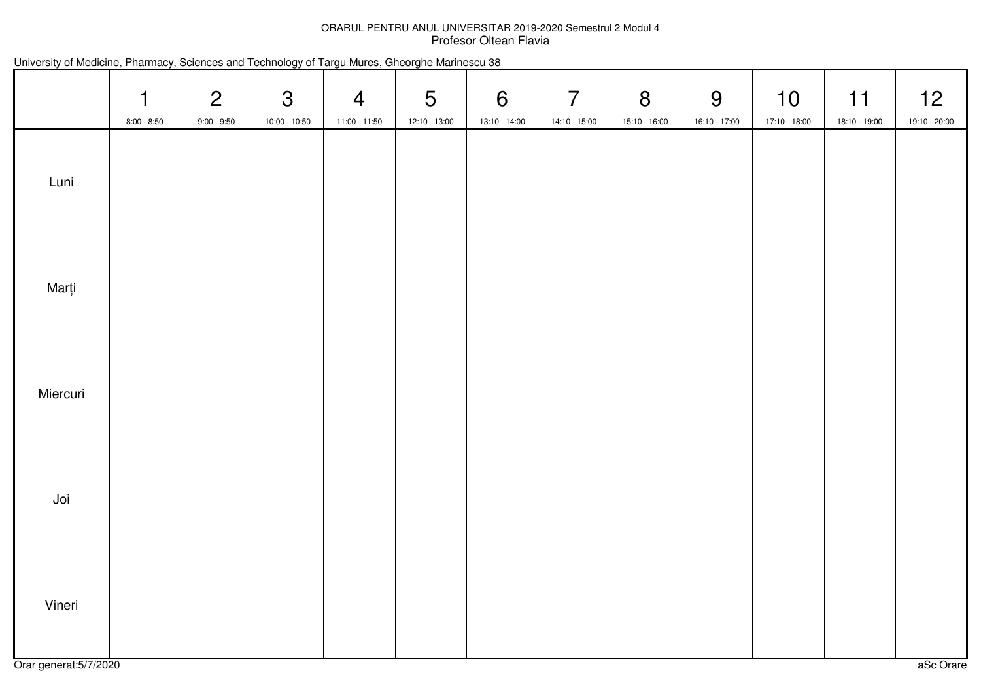## ORARUL PENTRU ANUL UNIVERSITAR 2019-2020 Semestrul 2 Modul 4 Profesor Oltean Flavia

|  |  |  |  |  |  | University of Medicine, Pharmacy, Sciences and Technology of Targu Mures, Gheorghe Marinescu 38 |  |
|--|--|--|--|--|--|-------------------------------------------------------------------------------------------------|--|
|--|--|--|--|--|--|-------------------------------------------------------------------------------------------------|--|

|          | $\mathbf 1$<br>$8:00 - 8:50$ | $\overline{2}$<br>$9:00 - 9:50$ | $\mathbf{3}$<br>10:00 - 10:50 | $\overline{4}$<br>11:00 - 11:50 | $5\overline{)}$<br>12:10 - 13:00 | $6\overline{6}$<br>13:10 - 14:00 | $\overline{7}$<br>14:10 - 15:00 | 8<br>15:10 - 16:00 | 9<br>16:10 - 17:00 | 10<br>17:10 - 18:00 | 11<br>18:10 - 19:00 | 12<br>19:10 - 20:00 |
|----------|------------------------------|---------------------------------|-------------------------------|---------------------------------|----------------------------------|----------------------------------|---------------------------------|--------------------|--------------------|---------------------|---------------------|---------------------|
| Luni     |                              |                                 |                               |                                 |                                  |                                  |                                 |                    |                    |                     |                     |                     |
| Marți    |                              |                                 |                               |                                 |                                  |                                  |                                 |                    |                    |                     |                     |                     |
| Miercuri |                              |                                 |                               |                                 |                                  |                                  |                                 |                    |                    |                     |                     |                     |
| Joi      |                              |                                 |                               |                                 |                                  |                                  |                                 |                    |                    |                     |                     |                     |
| Vineri   |                              |                                 |                               |                                 |                                  |                                  |                                 |                    |                    |                     |                     |                     |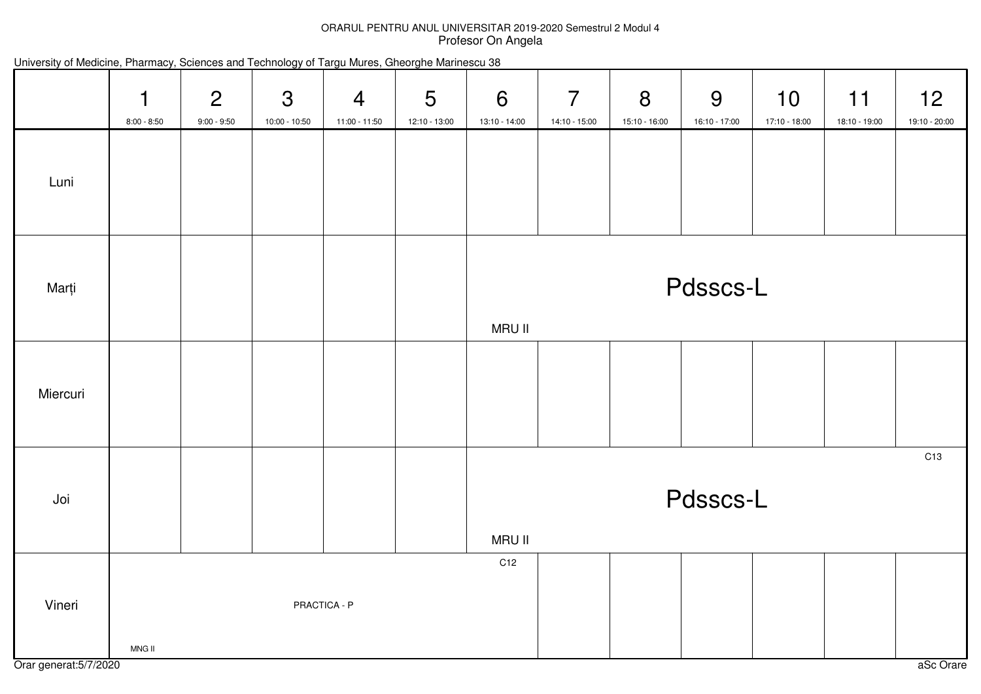## ORARUL PENTRU ANUL UNIVERSITAR 2019-2020 Semestrul 2 Modul 4Profesor On Angela

| University of Medicine, Pharmacy, Sciences and Technology of Targu Mures, Gheorghe Marinescu 38 |                    |                                 |                    |                    |                    |                    |                                 |                    |                    |                                  |
|-------------------------------------------------------------------------------------------------|--------------------|---------------------------------|--------------------|--------------------|--------------------|--------------------|---------------------------------|--------------------|--------------------|----------------------------------|
|                                                                                                 | 1<br>$8:00 - 8:50$ | $\overline{2}$<br>$9:00 - 9:50$ | 3<br>10:00 - 10:50 | 4<br>11:00 - 11:50 | 5<br>12:10 - 13:00 | 6<br>13:10 - 14:00 | $\overline{7}$<br>14:10 - 15:00 | 8<br>15:10 - 16:00 | 9<br>16:10 - 17:00 | 10 <sup>1</sup><br>17:10 - 18:00 |
| Luni                                                                                            |                    |                                 |                    |                    |                    |                    |                                 |                    |                    |                                  |
| Marți                                                                                           |                    |                                 |                    |                    |                    | <b>MRU II</b>      |                                 |                    | Pdsscs-L           |                                  |
| Miercuri                                                                                        |                    |                                 |                    |                    |                    |                    |                                 |                    |                    |                                  |
| Joi                                                                                             |                    |                                 |                    |                    |                    |                    |                                 |                    | Pdsscs-L           |                                  |

PRACTICA - P

| University of Medicine, Pharmacy, Sciences and Technology of Targu Mures, Gheorghe Marinescu 38 |  |  |  |
|-------------------------------------------------------------------------------------------------|--|--|--|
|                                                                                                 |  |  |  |

MRU IIC12

Vineri

MNG II

C13

12

19:10 - 20:00

11

18:10 - 19:00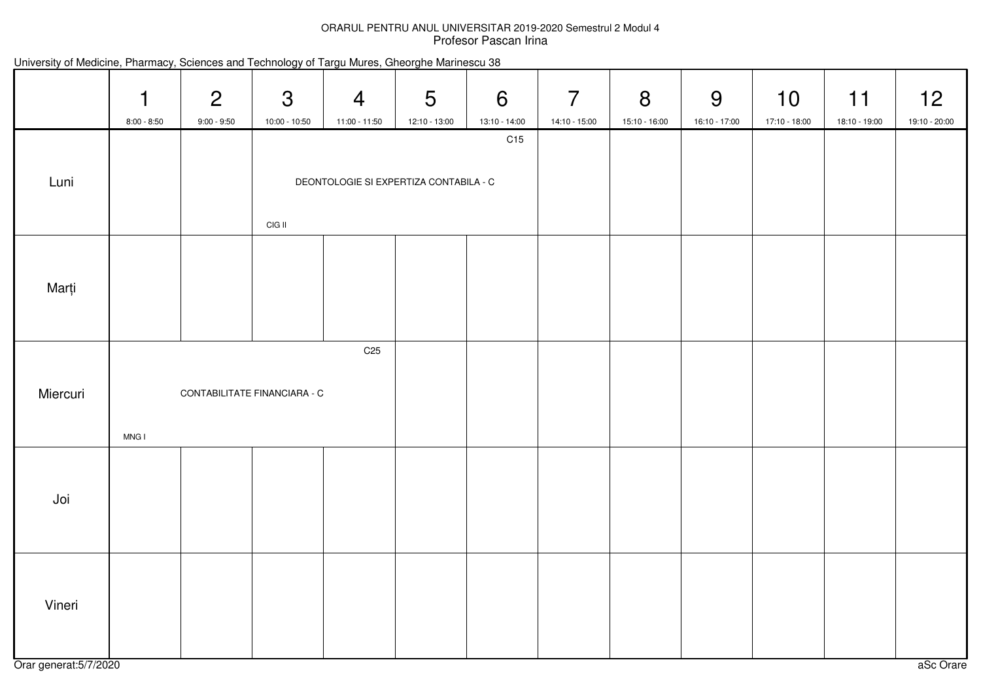## ORARUL PENTRU ANUL UNIVERSITAR 2019-2020 Semestrul 2 Modul 4Profesor Pascan Irina

|          | $\mathbf 1$<br>$8:00 - 8:50$ | $\overline{2}$<br>$9:00 - 9:50$ | $\mathfrak{S}$<br>10:00 - 10:50 | $\overline{4}$<br>11:00 - 11:50        | 5<br>12:10 - 13:00 | $6\phantom{1}6$<br>13:10 - 14:00 | $\overline{7}$<br>14:10 - 15:00 | 8<br>15:10 - 16:00 | 9<br>16:10 - 17:00 | 10<br>17:10 - 18:00 | 11<br>18:10 - 19:00 | 12<br>19:10 - 20:00 |
|----------|------------------------------|---------------------------------|---------------------------------|----------------------------------------|--------------------|----------------------------------|---------------------------------|--------------------|--------------------|---------------------|---------------------|---------------------|
| Luni     |                              |                                 | CIG II                          | DEONTOLOGIE SI EXPERTIZA CONTABILA - C |                    | C15                              |                                 |                    |                    |                     |                     |                     |
| Marți    |                              |                                 |                                 |                                        |                    |                                  |                                 |                    |                    |                     |                     |                     |
| Miercuri | MNG I                        | CONTABILITATE FINANCIARA - C    |                                 | C <sub>25</sub>                        |                    |                                  |                                 |                    |                    |                     |                     |                     |
| Joi      |                              |                                 |                                 |                                        |                    |                                  |                                 |                    |                    |                     |                     |                     |
| Vineri   |                              |                                 |                                 |                                        |                    |                                  |                                 |                    |                    |                     |                     |                     |

## University of Medicine, Pharmacy, Sciences and Technology of Targu Mures, Gheorghe Marinescu 38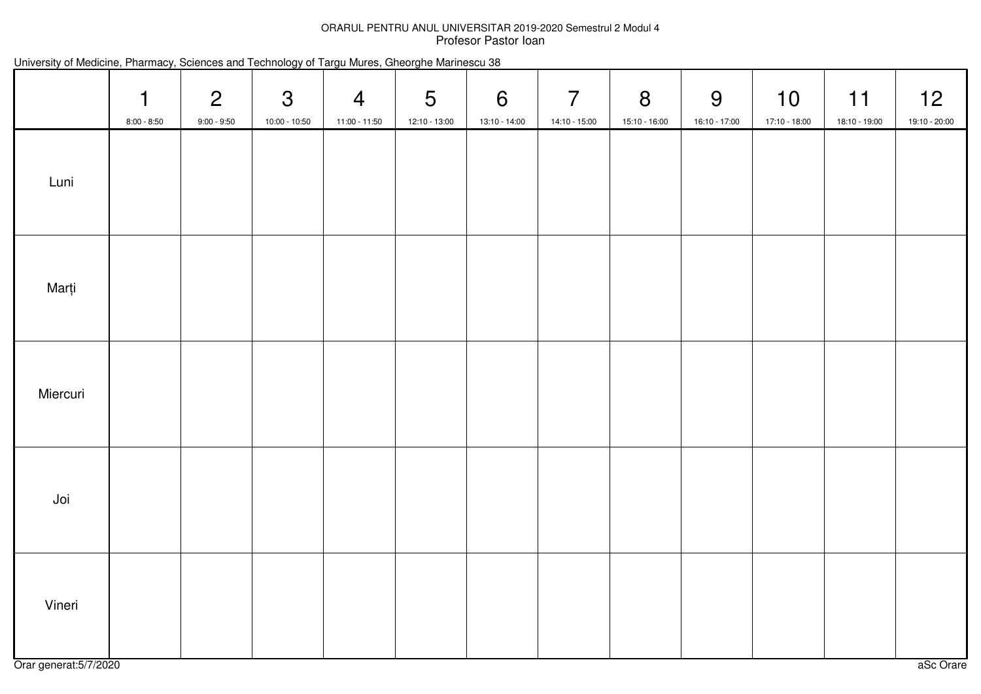## ORARUL PENTRU ANUL UNIVERSITAR 2019-2020 Semestrul 2 Modul 4Profesor Pastor Ioan

| University of Medicine, Pharmacy, Sciences and Technology of Targu Mures, Gheorghe Marinescu 38 |  |  |  |
|-------------------------------------------------------------------------------------------------|--|--|--|
|-------------------------------------------------------------------------------------------------|--|--|--|

|          | $\mathbf{1}$<br>$8:00 - 8:50$ | $\overline{2}$<br>$9:00 - 9:50$ | $\mathbf{3}$<br>10:00 - 10:50 | $\overline{4}$<br>11:00 - 11:50 | $5\overline{)}$<br>12:10 - 13:00 | $6\overline{6}$<br>13:10 - 14:00 | $\overline{7}$<br>14:10 - 15:00 | 8<br>15:10 - 16:00 | 9<br>16:10 - 17:00 | 10<br>17:10 - 18:00 | 11<br>18:10 - 19:00 | 12<br>19:10 - 20:00 |
|----------|-------------------------------|---------------------------------|-------------------------------|---------------------------------|----------------------------------|----------------------------------|---------------------------------|--------------------|--------------------|---------------------|---------------------|---------------------|
| Luni     |                               |                                 |                               |                                 |                                  |                                  |                                 |                    |                    |                     |                     |                     |
| Marți    |                               |                                 |                               |                                 |                                  |                                  |                                 |                    |                    |                     |                     |                     |
| Miercuri |                               |                                 |                               |                                 |                                  |                                  |                                 |                    |                    |                     |                     |                     |
| Joi      |                               |                                 |                               |                                 |                                  |                                  |                                 |                    |                    |                     |                     |                     |
| Vineri   |                               |                                 |                               |                                 |                                  |                                  |                                 |                    |                    |                     |                     |                     |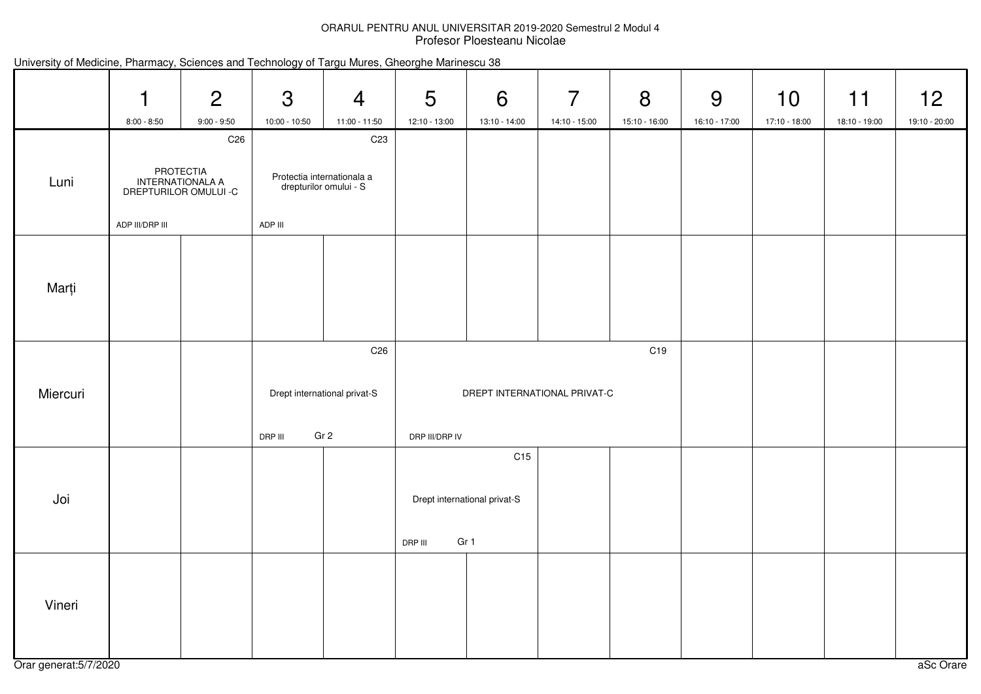## ORARUL PENTRU ANUL UNIVERSITAR 2019-2020 Semestrul 2 Modul 4 Profesor Ploesteanu Nicolae

|          | 1<br>$8:00 - 8:50$ | $\overline{2}$<br>$9:00 - 9:50$                                           | $\mathfrak{S}$<br>$10:00 - 10:50$                                                  | $\overline{4}$<br>11:00 - 11:50    | 5<br>12:10 - 13:00 | 6<br>13:10 - 14:00                          | $\overline{7}$<br>14:10 - 15:00 | 8<br>$15:10 - 16:00$ | 9<br>16:10 - 17:00 | 10 <sup>1</sup><br>17:10 - 18:00 | 11<br>18:10 - 19:00 | 12 <sub>2</sub><br>19:10 - 20:00 |
|----------|--------------------|---------------------------------------------------------------------------|------------------------------------------------------------------------------------|------------------------------------|--------------------|---------------------------------------------|---------------------------------|----------------------|--------------------|----------------------------------|---------------------|----------------------------------|
| Luni     | ADP III/DRP III    | C <sub>26</sub><br>PROTECTIA<br>INTERNATIONALA A<br>DREPTURILOR OMULUI -C | C <sub>23</sub><br>Protectia internationala a<br>drepturilor omului - S<br>ADP III |                                    |                    |                                             |                                 |                      |                    |                                  |                     |                                  |
| Marți    |                    |                                                                           |                                                                                    |                                    |                    |                                             |                                 |                      |                    |                                  |                     |                                  |
| Miercuri |                    |                                                                           | Drept international privat-S<br>DRP III                                            | C <sub>26</sub><br>Gr <sub>2</sub> | DRP III/DRP IV     | DREPT INTERNATIONAL PRIVAT-C                |                                 | C <sub>19</sub>      |                    |                                  |                     |                                  |
| Joi      |                    |                                                                           |                                                                                    |                                    | DRP III            | C15<br>Drept international privat-S<br>Gr 1 |                                 |                      |                    |                                  |                     |                                  |
| Vineri   |                    |                                                                           |                                                                                    |                                    |                    |                                             |                                 |                      |                    |                                  |                     |                                  |

University of Medicine, Pharmacy, Sciences and Technology of Targu Mures, Gheorghe Marinescu 38

Orar generat:5/7/2020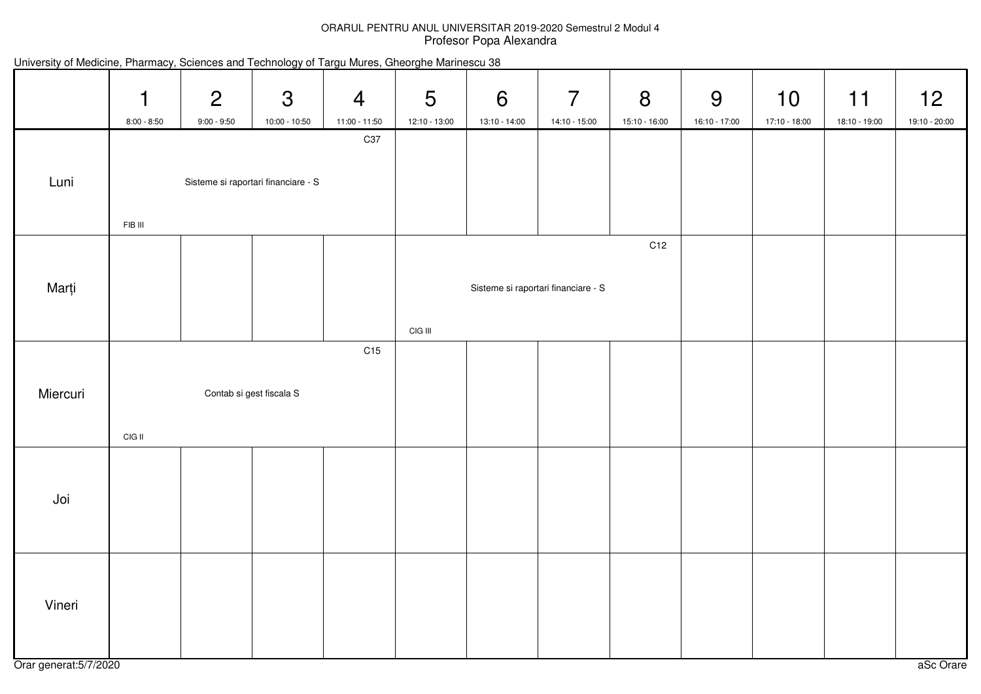## ORARUL PENTRU ANUL UNIVERSITAR 2019-2020 Semestrul 2 Modul 4Profesor Popa Alexandra

|          | 1<br>$8:00 - 8:50$                        | $\overline{2}$<br>$9:00 - 9:50$ | 3<br>10:00 - 10:50                  | $\overline{4}$<br>11:00 - 11:50 | 5<br>12:10 - 13:00 | $6\phantom{1}6$<br>13:10 - 14:00    | $\overline{7}$<br>14:10 - 15:00 | 8<br>15:10 - 16:00 | 9<br>16:10 - 17:00 | 10<br>17:10 - 18:00 | 11<br>18:10 - 19:00 | 12<br>19:10 - 20:00 |
|----------|-------------------------------------------|---------------------------------|-------------------------------------|---------------------------------|--------------------|-------------------------------------|---------------------------------|--------------------|--------------------|---------------------|---------------------|---------------------|
| Luni     |                                           |                                 | Sisteme si raportari financiare - S | C37                             |                    |                                     |                                 |                    |                    |                     |                     |                     |
| Marți    | FIB III                                   |                                 |                                     |                                 | $CIG$ III          | Sisteme si raportari financiare - S |                                 | C12                |                    |                     |                     |                     |
| Miercuri | C15<br>Contab si gest fiscala S<br>CIG II |                                 |                                     |                                 |                    |                                     |                                 |                    |                    |                     |                     |                     |
| Joi      |                                           |                                 |                                     |                                 |                    |                                     |                                 |                    |                    |                     |                     |                     |
| Vineri   |                                           |                                 |                                     |                                 |                    |                                     |                                 |                    |                    |                     |                     |                     |

|  |  |  |  |  |  | University of Medicine, Pharmacy, Sciences and Technology of Targu Mures, Gheorghe Marinescu 38 |  |
|--|--|--|--|--|--|-------------------------------------------------------------------------------------------------|--|
|--|--|--|--|--|--|-------------------------------------------------------------------------------------------------|--|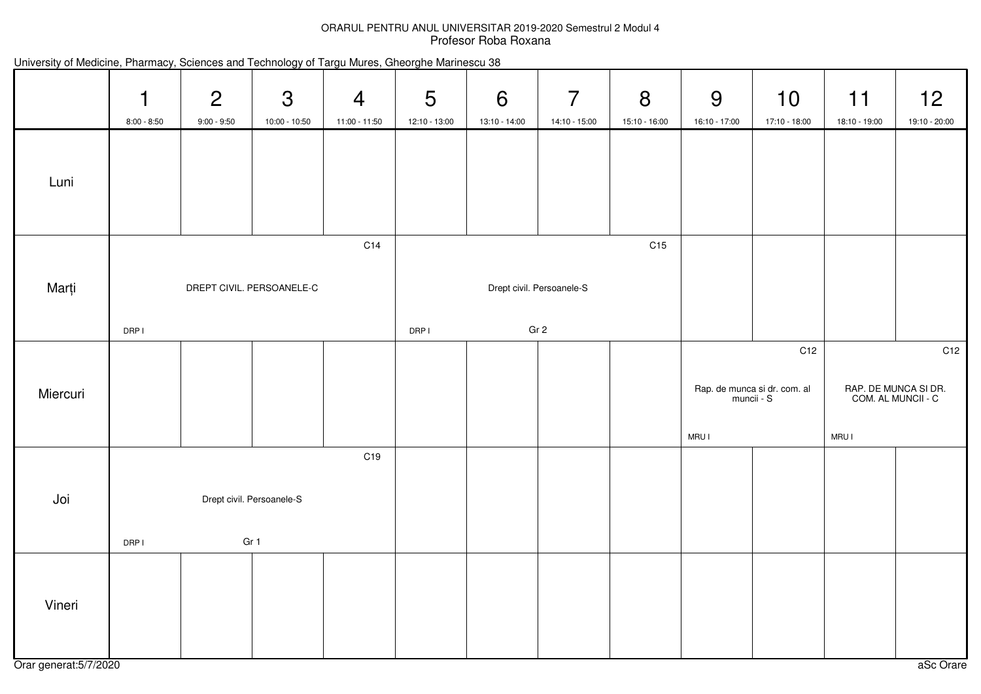## ORARUL PENTRU ANUL UNIVERSITAR 2019-2020 Semestrul 2 Modul 4Profesor Roba Roxana

| University of Medicine, Pharmacy, Sciences and Technology of Targu Mures, Gheorghe Marinescu 38 |               |                                 |                           |                                 |                    |                    |                           |                    |                    |                                                   |
|-------------------------------------------------------------------------------------------------|---------------|---------------------------------|---------------------------|---------------------------------|--------------------|--------------------|---------------------------|--------------------|--------------------|---------------------------------------------------|
|                                                                                                 | $8:00 - 8:50$ | $\overline{2}$<br>$9:00 - 9:50$ | 3<br>10:00 - 10:50        | $\overline{4}$<br>11:00 - 11:50 | 5<br>12:10 - 13:00 | 6<br>13:10 - 14:00 | 7<br>14:10 - 15:00        | 8<br>15:10 - 16:00 | 9<br>16:10 - 17:00 | 10<br>17:10 - 18:00                               |
| Luni                                                                                            |               |                                 |                           |                                 |                    |                    |                           |                    |                    |                                                   |
| Marți                                                                                           |               |                                 | DREPT CIVIL. PERSOANELE-C | C14                             |                    |                    | Drept civil. Persoanele-S | C15                |                    |                                                   |
|                                                                                                 | DRP I         |                                 |                           |                                 | DRP I              |                    | Gr <sub>2</sub>           |                    |                    |                                                   |
| Miercuri                                                                                        |               |                                 |                           |                                 |                    |                    |                           |                    | <b>MRUI</b>        | C12<br>Rap. de munca si dr. com. al<br>muncii - S |
| Joi                                                                                             |               |                                 | Drept civil. Persoanele-S | C <sub>19</sub>                 |                    |                    |                           |                    |                    |                                                   |

|  |  |  | University of Medicine, Pharmacy, Sciences and Technology of Targu Mures, Gheorghe Marinescu 38 |
|--|--|--|-------------------------------------------------------------------------------------------------|
|--|--|--|-------------------------------------------------------------------------------------------------|

Gr 1

Vineri

DRP I

MRU I

11

18:10 - 19:00

C12

RAP. DE MUNCA SI DR. COM. AL MUNCII - C

C12

12

19:10 - 20:00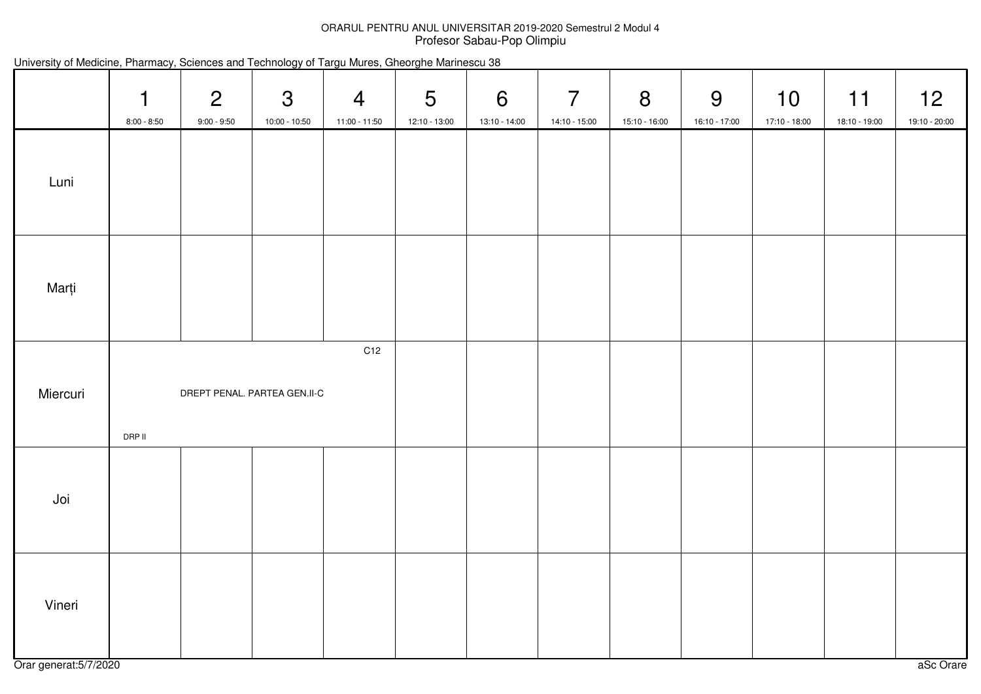## ORARUL PENTRU ANUL UNIVERSITAR 2019-2020 Semestrul 2 Modul 4 Profesor Sabau-Pop Olimpiu

| University of Medicine, Pharmacy, Sciences and Technology of Targu Mures, Gheorghe Marinescu 38 |  |  |  |  |  |  |
|-------------------------------------------------------------------------------------------------|--|--|--|--|--|--|
|-------------------------------------------------------------------------------------------------|--|--|--|--|--|--|

|          | $\mathbf 1$<br>$8:00 - 8:50$ | $\overline{2}$<br>$9:00 - 9:50$ | $\mathbf{3}$<br>10:00 - 10:50 | $\overline{4}$<br>11:00 - 11:50 | $5\overline{)}$<br>12:10 - 13:00 | 6<br>13:10 - 14:00 | $\overline{7}$<br>14:10 - 15:00 | 8<br>15:10 - 16:00 | 9<br>16:10 - 17:00 | 10<br>17:10 - 18:00 | 11<br>18:10 - 19:00 | 12<br>19:10 - 20:00 |
|----------|------------------------------|---------------------------------|-------------------------------|---------------------------------|----------------------------------|--------------------|---------------------------------|--------------------|--------------------|---------------------|---------------------|---------------------|
| Luni     |                              |                                 |                               |                                 |                                  |                    |                                 |                    |                    |                     |                     |                     |
| Marți    |                              |                                 |                               |                                 |                                  |                    |                                 |                    |                    |                     |                     |                     |
| Miercuri | DRP II                       | DREPT PENAL. PARTEA GEN.II-C    |                               | C12                             |                                  |                    |                                 |                    |                    |                     |                     |                     |
| Joi      |                              |                                 |                               |                                 |                                  |                    |                                 |                    |                    |                     |                     |                     |
| Vineri   |                              |                                 |                               |                                 |                                  |                    |                                 |                    |                    |                     |                     |                     |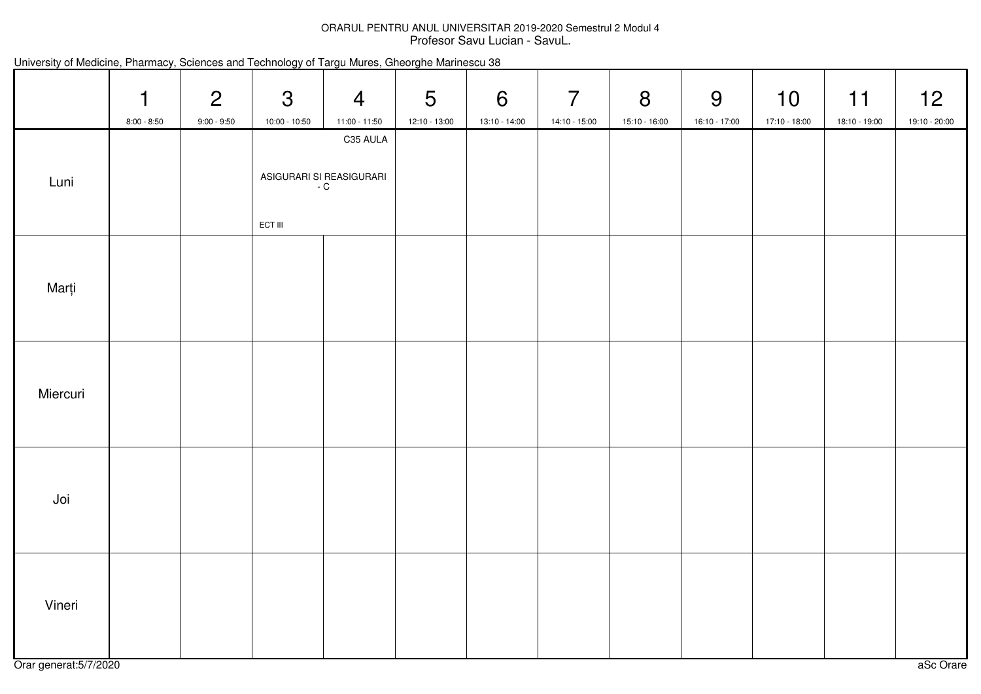## ORARUL PENTRU ANUL UNIVERSITAR 2019-2020 Semestrul 2 Modul 4 Profesor Savu Lucian - SavuL.

| University of Medicine, Pharmacy, Sciences and Technology of Targu Mures, Gheorghe Marinescu 38 |  |  |  |  |  |  |
|-------------------------------------------------------------------------------------------------|--|--|--|--|--|--|
|-------------------------------------------------------------------------------------------------|--|--|--|--|--|--|

|          | 1<br>$8:00 - 8:50$ | $\overline{2}$<br>$9:00 - 9:50$ | $\mathbf{3}$<br>10:00 - 10:50 | $\overline{4}$<br>$11:00 - 11:50$           | $5\overline{)}$<br>12:10 - 13:00 | 6<br>13:10 - 14:00 | $\overline{7}$<br>14:10 - 15:00 | 8<br>15:10 - 16:00 | 9<br>16:10 - 17:00 | 10<br>17:10 - 18:00 | 11<br>18:10 - 19:00 | 12<br>19:10 - 20:00 |
|----------|--------------------|---------------------------------|-------------------------------|---------------------------------------------|----------------------------------|--------------------|---------------------------------|--------------------|--------------------|---------------------|---------------------|---------------------|
| Luni     |                    |                                 | ECT III                       | C35 AULA<br>ASIGURARI SI REASIGURARI<br>C - |                                  |                    |                                 |                    |                    |                     |                     |                     |
| Marți    |                    |                                 |                               |                                             |                                  |                    |                                 |                    |                    |                     |                     |                     |
| Miercuri |                    |                                 |                               |                                             |                                  |                    |                                 |                    |                    |                     |                     |                     |
| Joi      |                    |                                 |                               |                                             |                                  |                    |                                 |                    |                    |                     |                     |                     |
| Vineri   |                    |                                 |                               |                                             |                                  |                    |                                 |                    |                    |                     |                     |                     |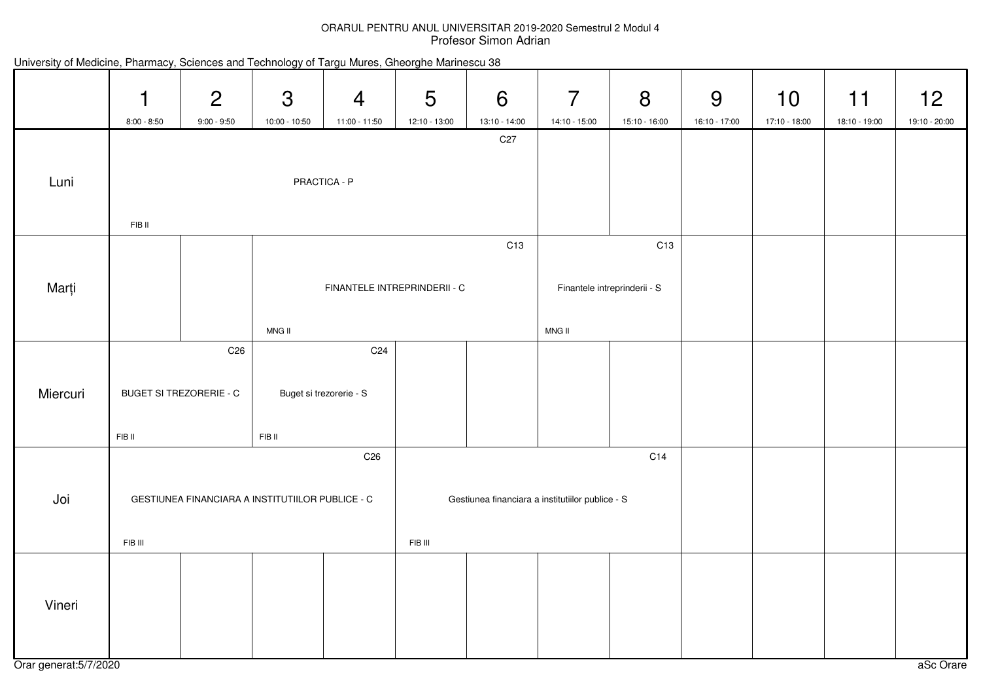### ORARUL PENTRU ANUL UNIVERSITAR 2019-2020 Semestrul 2 Modul 4Profesor Simon Adrian

|          | 1             | $\overline{2}$                 | 3                                                | $\overline{4}$          | 5                            | 6               | $\overline{7}$                                   | 8               | 9             | 10            | 11            | 12 <sup>2</sup> |
|----------|---------------|--------------------------------|--------------------------------------------------|-------------------------|------------------------------|-----------------|--------------------------------------------------|-----------------|---------------|---------------|---------------|-----------------|
|          | $8:00 - 8:50$ | $9:00 - 9:50$                  | 10:00 - 10:50                                    | 11:00 - 11:50           | 12:10 - 13:00                | 13:10 - 14:00   | 14:10 - 15:00                                    | 15:10 - 16:00   | 16:10 - 17:00 | 17:10 - 18:00 | 18:10 - 19:00 | 19:10 - 20:00   |
|          |               |                                |                                                  |                         |                              | C <sub>27</sub> |                                                  |                 |               |               |               |                 |
|          |               |                                |                                                  |                         |                              |                 |                                                  |                 |               |               |               |                 |
| Luni     |               |                                |                                                  | PRACTICA - P            |                              |                 |                                                  |                 |               |               |               |                 |
|          |               |                                |                                                  |                         |                              |                 |                                                  |                 |               |               |               |                 |
|          | FIB II        |                                |                                                  |                         |                              |                 |                                                  |                 |               |               |               |                 |
|          |               |                                |                                                  |                         |                              | C <sub>13</sub> |                                                  | C <sub>13</sub> |               |               |               |                 |
|          |               |                                |                                                  |                         |                              |                 |                                                  |                 |               |               |               |                 |
| Marți    |               |                                |                                                  |                         | FINANTELE INTREPRINDERII - C |                 | Finantele intreprinderii - S                     |                 |               |               |               |                 |
|          |               |                                |                                                  |                         |                              |                 |                                                  |                 |               |               |               |                 |
|          |               |                                | MNG II                                           |                         |                              |                 | MNG II                                           |                 |               |               |               |                 |
|          |               | C <sub>26</sub>                |                                                  | C <sub>24</sub>         |                              |                 |                                                  |                 |               |               |               |                 |
|          |               |                                |                                                  |                         |                              |                 |                                                  |                 |               |               |               |                 |
| Miercuri |               |                                |                                                  |                         |                              |                 |                                                  |                 |               |               |               |                 |
|          |               | <b>BUGET SI TREZORERIE - C</b> |                                                  | Buget si trezorerie - S |                              |                 |                                                  |                 |               |               |               |                 |
|          |               |                                |                                                  |                         |                              |                 |                                                  |                 |               |               |               |                 |
|          | FIB II        |                                | FIB II                                           |                         |                              |                 |                                                  |                 |               |               |               |                 |
|          |               |                                |                                                  | C <sub>26</sub>         |                              |                 |                                                  | C14             |               |               |               |                 |
|          |               |                                |                                                  |                         |                              |                 |                                                  |                 |               |               |               |                 |
| Joi      |               |                                | GESTIUNEA FINANCIARA A INSTITUTIILOR PUBLICE - C |                         |                              |                 | Gestiunea financiara a institutiilor publice - S |                 |               |               |               |                 |
|          |               |                                |                                                  |                         |                              |                 |                                                  |                 |               |               |               |                 |
|          | FIB III       |                                |                                                  |                         | FIB III                      |                 |                                                  |                 |               |               |               |                 |
|          |               |                                |                                                  |                         |                              |                 |                                                  |                 |               |               |               |                 |
|          |               |                                |                                                  |                         |                              |                 |                                                  |                 |               |               |               |                 |
| Vineri   |               |                                |                                                  |                         |                              |                 |                                                  |                 |               |               |               |                 |
|          |               |                                |                                                  |                         |                              |                 |                                                  |                 |               |               |               |                 |
|          |               |                                |                                                  |                         |                              |                 |                                                  |                 |               |               |               |                 |

## University of Medicine, Pharmacy, Sciences and Technology of Targu Mures, Gheorghe Marinescu 38

Orar generat:5/7/2020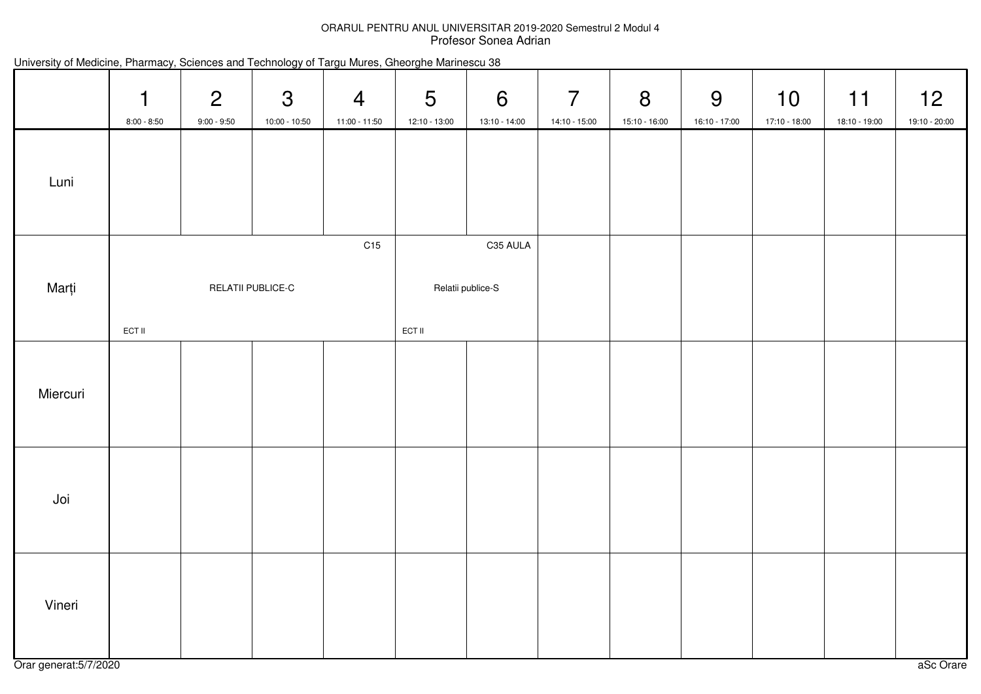## ORARUL PENTRU ANUL UNIVERSITAR 2019-2020 Semestrul 2 Modul 4Profesor Sonea Adrian

|  |  |  |  |  |  | University of Medicine, Pharmacy, Sciences and Technology of Targu Mures, Gheorghe Marinescu 38 |  |
|--|--|--|--|--|--|-------------------------------------------------------------------------------------------------|--|
|--|--|--|--|--|--|-------------------------------------------------------------------------------------------------|--|

|          | $\mathbf 1$<br>$8:00 - 8:50$ | 2<br>$9:00 - 9:50$ | $\mathfrak{S}$<br>10:00 - 10:50 | $\overline{4}$<br>11:00 - 11:50 | $5\phantom{.0}$<br>12:10 - 13:00 | 6<br>13:10 - 14:00            | $\overline{7}$<br>14:10 - 15:00 | 8<br>15:10 - 16:00 | 9<br>16:10 - 17:00 | 10<br>17:10 - 18:00 | 11<br>18:10 - 19:00 | 12<br>19:10 - 20:00 |
|----------|------------------------------|--------------------|---------------------------------|---------------------------------|----------------------------------|-------------------------------|---------------------------------|--------------------|--------------------|---------------------|---------------------|---------------------|
| Luni     |                              |                    |                                 |                                 |                                  |                               |                                 |                    |                    |                     |                     |                     |
| Marți    | ECT II                       |                    | <b>RELATII PUBLICE-C</b>        | C15                             | ECT II                           | C35 AULA<br>Relatii publice-S |                                 |                    |                    |                     |                     |                     |
| Miercuri |                              |                    |                                 |                                 |                                  |                               |                                 |                    |                    |                     |                     |                     |
| Joi      |                              |                    |                                 |                                 |                                  |                               |                                 |                    |                    |                     |                     |                     |
| Vineri   |                              |                    |                                 |                                 |                                  |                               |                                 |                    |                    |                     |                     |                     |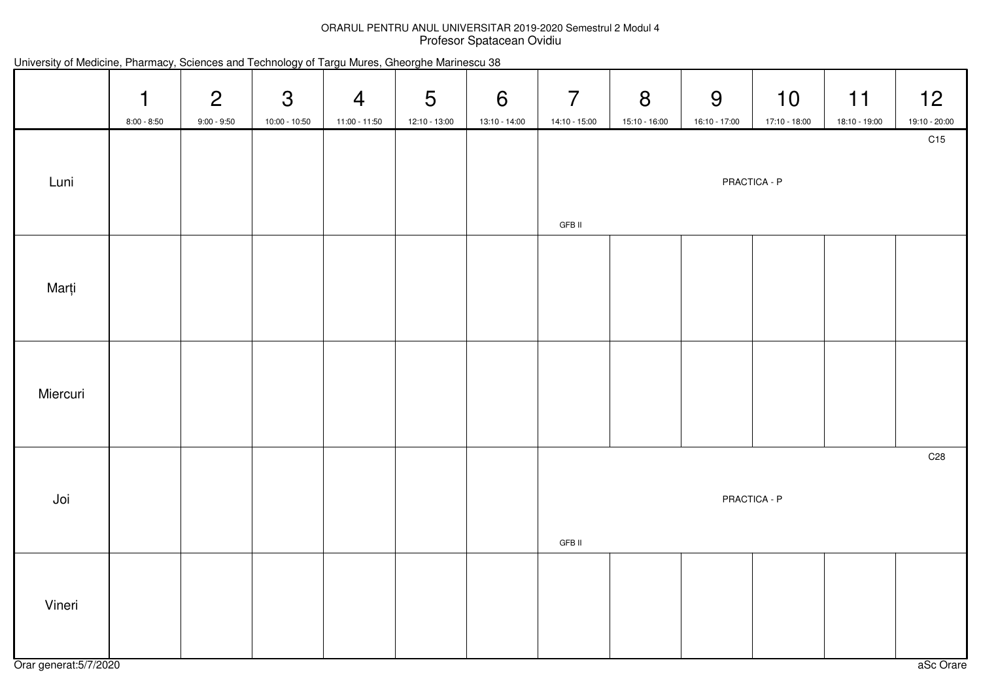## ORARUL PENTRU ANUL UNIVERSITAR 2019-2020 Semestrul 2 Modul 4Profesor Spatacean Ovidiu

|  |  |  |  |  |  | University of Medicine, Pharmacy, Sciences and Technology of Targu Mures, Gheorghe Marinescu 38 |  |
|--|--|--|--|--|--|-------------------------------------------------------------------------------------------------|--|
|--|--|--|--|--|--|-------------------------------------------------------------------------------------------------|--|

|          | $\mathbf 1$<br>$8:00 - 8:50$ | $\overline{2}$<br>$9:00 - 9:50$ | $\mathfrak{S}$<br>10:00 - 10:50 | $\overline{4}$<br>11:00 - 11:50 | $5\phantom{.0}$<br>12:10 - 13:00 | $6\overline{6}$<br>13:10 - 14:00 | $\overline{7}$<br>14:10 - 15:00 | 8<br>15:10 - 16:00 | 9<br>16:10 - 17:00 | 10<br>17:10 - 18:00 | 11<br>18:10 - 19:00 | 12<br>19:10 - 20:00 |
|----------|------------------------------|---------------------------------|---------------------------------|---------------------------------|----------------------------------|----------------------------------|---------------------------------|--------------------|--------------------|---------------------|---------------------|---------------------|
|          |                              |                                 |                                 |                                 |                                  |                                  |                                 |                    |                    |                     |                     | C15                 |
| Luni     |                              |                                 |                                 |                                 |                                  |                                  | <b>GFB II</b>                   |                    |                    | PRACTICA - P        |                     |                     |
|          |                              |                                 |                                 |                                 |                                  |                                  |                                 |                    |                    |                     |                     |                     |
|          |                              |                                 |                                 |                                 |                                  |                                  |                                 |                    |                    |                     |                     |                     |
| Marți    |                              |                                 |                                 |                                 |                                  |                                  |                                 |                    |                    |                     |                     |                     |
|          |                              |                                 |                                 |                                 |                                  |                                  |                                 |                    |                    |                     |                     |                     |
|          |                              |                                 |                                 |                                 |                                  |                                  |                                 |                    |                    |                     |                     |                     |
|          |                              |                                 |                                 |                                 |                                  |                                  |                                 |                    |                    |                     |                     |                     |
| Miercuri |                              |                                 |                                 |                                 |                                  |                                  |                                 |                    |                    |                     |                     |                     |
|          |                              |                                 |                                 |                                 |                                  |                                  |                                 |                    |                    |                     |                     |                     |
|          |                              |                                 |                                 |                                 |                                  |                                  |                                 |                    |                    |                     |                     | C <sub>28</sub>     |
|          |                              |                                 |                                 |                                 |                                  |                                  |                                 |                    |                    |                     |                     |                     |
| Joi      |                              |                                 |                                 |                                 |                                  |                                  |                                 |                    |                    | PRACTICA - P        |                     |                     |
|          |                              |                                 |                                 |                                 |                                  |                                  | <b>GFB II</b>                   |                    |                    |                     |                     |                     |
|          |                              |                                 |                                 |                                 |                                  |                                  |                                 |                    |                    |                     |                     |                     |
| Vineri   |                              |                                 |                                 |                                 |                                  |                                  |                                 |                    |                    |                     |                     |                     |
|          |                              |                                 |                                 |                                 |                                  |                                  |                                 |                    |                    |                     |                     |                     |
|          |                              |                                 |                                 |                                 |                                  |                                  |                                 |                    |                    |                     |                     |                     |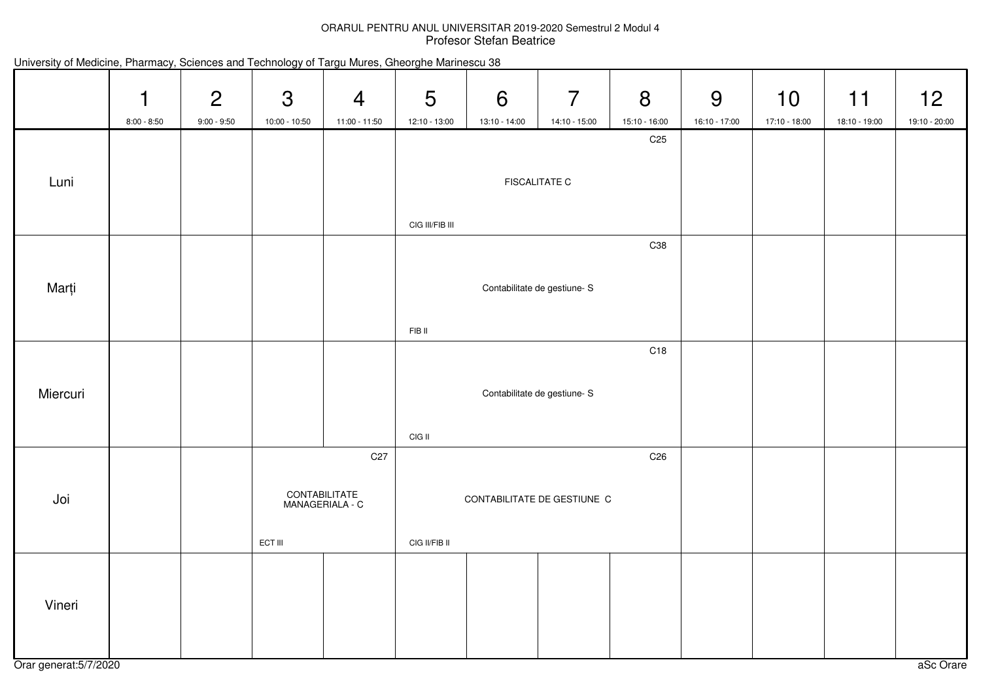## ORARUL PENTRU ANUL UNIVERSITAR 2019-2020 Semestrul 2 Modul 4Profesor Stefan Beatrice

| University of Medicine, Pharmacy, Sciences and Technology of Targu Mures, Gheorghe Marinescu 38 |  |  |  |  |
|-------------------------------------------------------------------------------------------------|--|--|--|--|
|-------------------------------------------------------------------------------------------------|--|--|--|--|

|          | 1<br>$8:00 - 8:50$ | $\overline{2}$<br>$9:00 - 9:50$ | 3<br>10:00 - 10:50               | $\overline{4}$<br>11:00 - 11:50 | 5<br>12:10 - 13:00 | 6<br>13:10 - 14:00          | $\overline{7}$<br>14:10 - 15:00 | 8<br>15:10 - 16:00 | 9<br>16:10 - 17:00 | 10<br>17:10 - 18:00 | 11<br>18:10 - 19:00 | 12<br>19:10 - 20:00 |
|----------|--------------------|---------------------------------|----------------------------------|---------------------------------|--------------------|-----------------------------|---------------------------------|--------------------|--------------------|---------------------|---------------------|---------------------|
| Luni     |                    |                                 |                                  |                                 |                    |                             | <b>FISCALITATE C</b>            | C <sub>25</sub>    |                    |                     |                     |                     |
|          |                    |                                 |                                  |                                 | CIG III/FIB III    |                             |                                 | C38                |                    |                     |                     |                     |
| Marți    |                    |                                 |                                  |                                 |                    |                             | Contabilitate de gestiune- S    |                    |                    |                     |                     |                     |
|          |                    |                                 |                                  |                                 | FIB II             |                             |                                 |                    |                    |                     |                     |                     |
| Miercuri |                    |                                 |                                  |                                 |                    |                             | Contabilitate de gestiune- S    | C18                |                    |                     |                     |                     |
|          |                    |                                 |                                  |                                 | CIG II             |                             |                                 |                    |                    |                     |                     |                     |
| Joi      |                    |                                 | CONTABILITATE<br>MANAGERIALA - C | C <sub>27</sub>                 |                    | CONTABILITATE DE GESTIUNE C |                                 | C <sub>26</sub>    |                    |                     |                     |                     |
|          |                    |                                 | ECT III                          |                                 | CIG II/FIB II      |                             |                                 |                    |                    |                     |                     |                     |
| Vineri   |                    |                                 |                                  |                                 |                    |                             |                                 |                    |                    |                     |                     |                     |

Orar generat:5/7/2020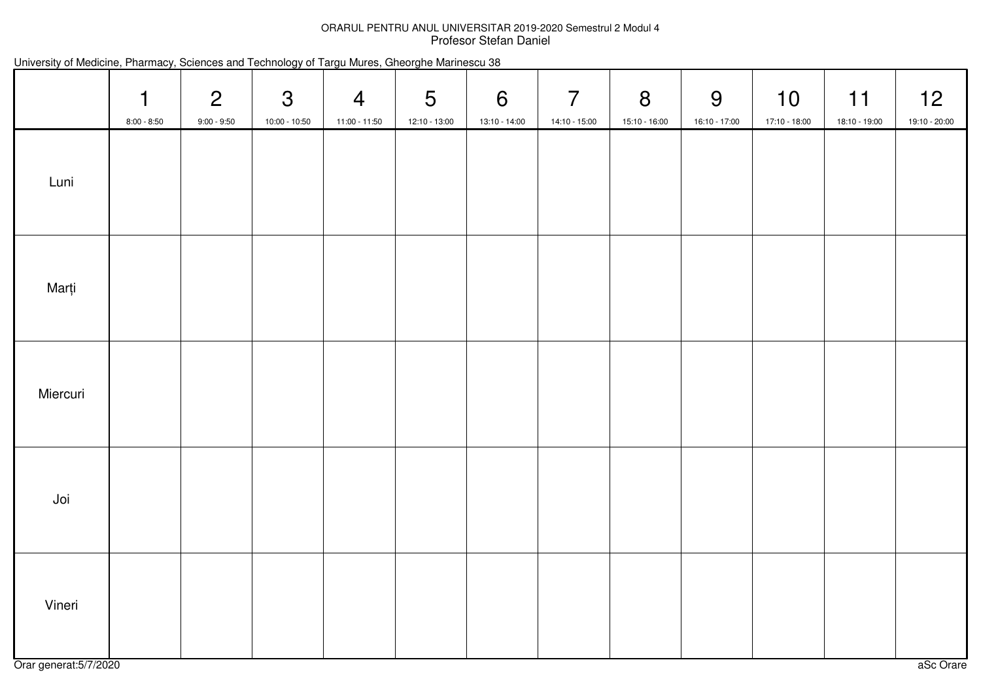## ORARUL PENTRU ANUL UNIVERSITAR 2019-2020 Semestrul 2 Modul 4Profesor Stefan Daniel

|  |  |  |  |  |  | University of Medicine, Pharmacy, Sciences and Technology of Targu Mures, Gheorghe Marinescu 38 |  |
|--|--|--|--|--|--|-------------------------------------------------------------------------------------------------|--|
|--|--|--|--|--|--|-------------------------------------------------------------------------------------------------|--|

|          | $\mathbf{1}$<br>$8:00 - 8:50$ | $\overline{2}$<br>$9:00 - 9:50$ | $\mathbf{3}$<br>10:00 - 10:50 | $\overline{4}$<br>11:00 - 11:50 | $5\overline{)}$<br>12:10 - 13:00 | 6<br>13:10 - 14:00 | $\overline{7}$<br>14:10 - 15:00 | 8<br>15:10 - 16:00 | 9<br>16:10 - 17:00 | 10<br>17:10 - 18:00 | 11<br>18:10 - 19:00 | 12<br>19:10 - 20:00 |
|----------|-------------------------------|---------------------------------|-------------------------------|---------------------------------|----------------------------------|--------------------|---------------------------------|--------------------|--------------------|---------------------|---------------------|---------------------|
| Luni     |                               |                                 |                               |                                 |                                  |                    |                                 |                    |                    |                     |                     |                     |
| Marți    |                               |                                 |                               |                                 |                                  |                    |                                 |                    |                    |                     |                     |                     |
| Miercuri |                               |                                 |                               |                                 |                                  |                    |                                 |                    |                    |                     |                     |                     |
| Joi      |                               |                                 |                               |                                 |                                  |                    |                                 |                    |                    |                     |                     |                     |
| Vineri   |                               |                                 |                               |                                 |                                  |                    |                                 |                    |                    |                     |                     |                     |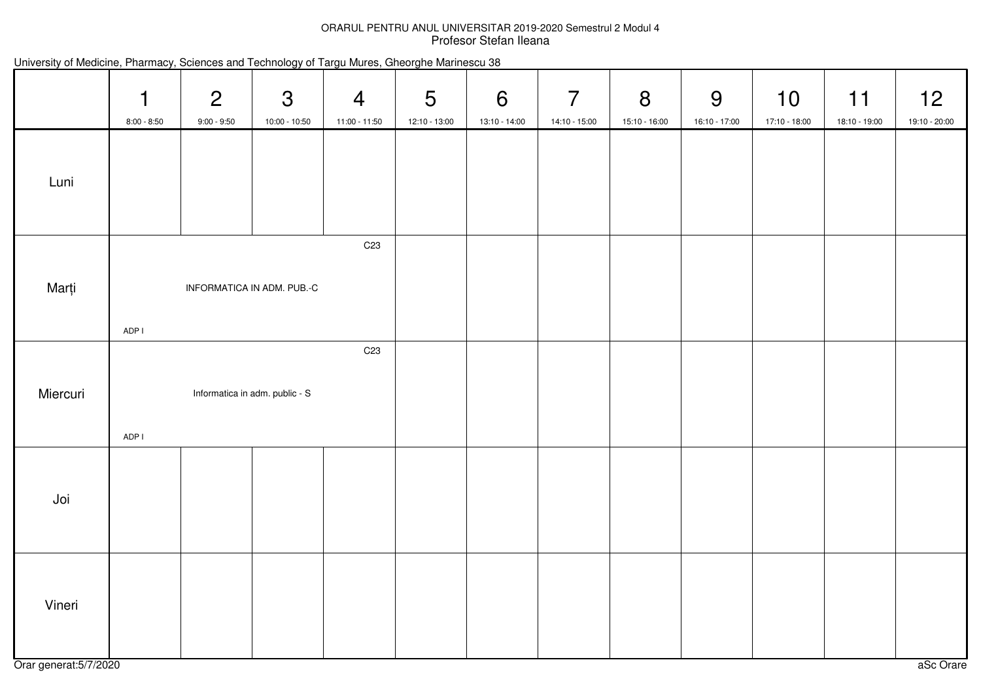## ORARUL PENTRU ANUL UNIVERSITAR 2019-2020 Semestrul 2 Modul 4 Profesor Stefan Ileana

|          | $\mathbf 1$<br>$8:00 - 8:50$ | $\overline{2}$<br>$9:00 - 9:50$ | $\mathfrak{S}$<br>10:00 - 10:50 | $\overline{4}$<br>11:00 - 11:50 | 5<br>12:10 - 13:00 | 6<br>13:10 - 14:00 | $\overline{7}$<br>14:10 - 15:00 | 8<br>15:10 - 16:00 | 9<br>16:10 - 17:00 | 10<br>17:10 - 18:00 | 11<br>18:10 - 19:00 | 12<br>19:10 - 20:00 |
|----------|------------------------------|---------------------------------|---------------------------------|---------------------------------|--------------------|--------------------|---------------------------------|--------------------|--------------------|---------------------|---------------------|---------------------|
| Luni     |                              |                                 |                                 |                                 |                    |                    |                                 |                    |                    |                     |                     |                     |
| Marți    | ADP I                        | INFORMATICA IN ADM. PUB.-C      |                                 | C <sub>23</sub>                 |                    |                    |                                 |                    |                    |                     |                     |                     |
| Miercuri | ADP I                        | Informatica in adm. public - S  |                                 | C <sub>23</sub>                 |                    |                    |                                 |                    |                    |                     |                     |                     |
| Joi      |                              |                                 |                                 |                                 |                    |                    |                                 |                    |                    |                     |                     |                     |
| Vineri   |                              |                                 |                                 |                                 |                    |                    |                                 |                    |                    |                     |                     |                     |

|  |  |  |  | University of Medicine, Pharmacy, Sciences and Technology of Targu Mures, Gheorghe Marinescu 38 |
|--|--|--|--|-------------------------------------------------------------------------------------------------|
|--|--|--|--|-------------------------------------------------------------------------------------------------|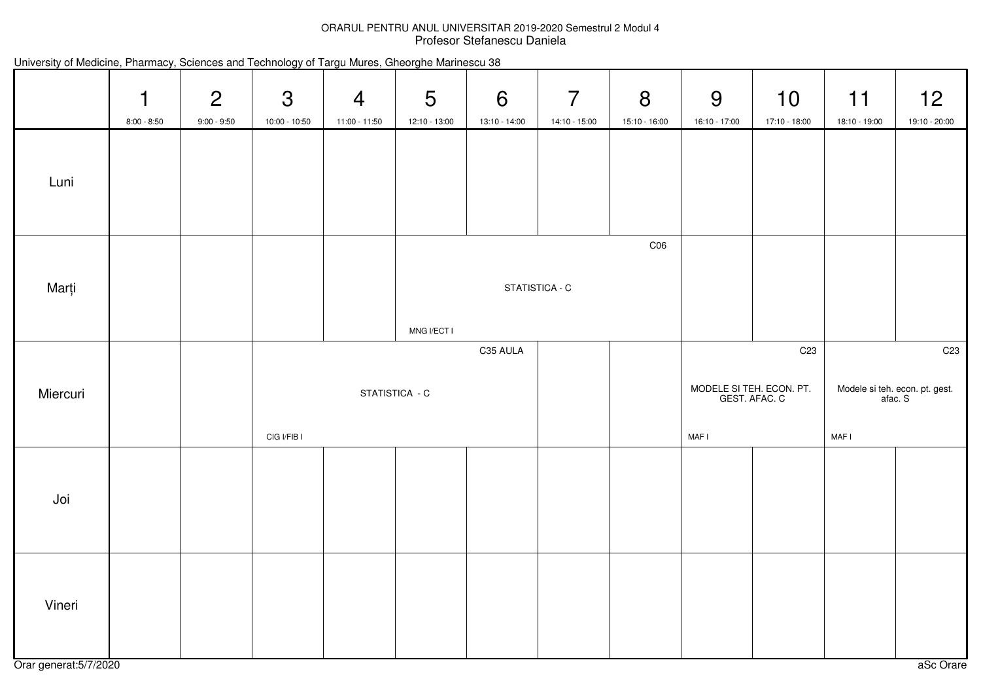## ORARUL PENTRU ANUL UNIVERSITAR 2019-2020 Semestrul 2 Modul 4Profesor Stefanescu Daniela

|  |  |  | University of Medicine, Pharmacy, Sciences and Technology of Targu Mures, Gheorghe Marinescu 38 |  |
|--|--|--|-------------------------------------------------------------------------------------------------|--|
|  |  |  |                                                                                                 |  |

|          | 1<br>$8:00 - 8:50$ | $\overline{2}$<br>$9:00 - 9:50$ | $\mathfrak{S}$<br>10:00 - 10:50 | $\overline{4}$<br>11:00 - 11:50 | $5\phantom{.0}$<br>12:10 - 13:00 | 6<br>13:10 - 14:00 | $\overline{7}$<br>14:10 - 15:00 | 8<br>15:10 - 16:00 | 9<br>16:10 - 17:00                | 10<br>17:10 - 18:00              | 11<br>18:10 - 19:00 | 12<br>19:10 - 20:00                                          |
|----------|--------------------|---------------------------------|---------------------------------|---------------------------------|----------------------------------|--------------------|---------------------------------|--------------------|-----------------------------------|----------------------------------|---------------------|--------------------------------------------------------------|
| Luni     |                    |                                 |                                 |                                 |                                  |                    |                                 |                    |                                   |                                  |                     |                                                              |
| Marți    |                    |                                 |                                 |                                 | MNG I/ECT I                      |                    | STATISTICA - C                  | CO6                |                                   |                                  |                     |                                                              |
| Miercuri |                    |                                 | CIG I/FIB I                     |                                 | STATISTICA - C                   | C35 AULA           |                                 |                    | MODELE SI TEH. ECON. PT.<br>MAF I | C <sub>23</sub><br>GEST. AFAC. C | MAF I               | C <sub>23</sub><br>Modele si teh. econ. pt. gest.<br>afac. S |
| Joi      |                    |                                 |                                 |                                 |                                  |                    |                                 |                    |                                   |                                  |                     |                                                              |
| Vineri   |                    |                                 |                                 |                                 |                                  |                    |                                 |                    |                                   |                                  |                     |                                                              |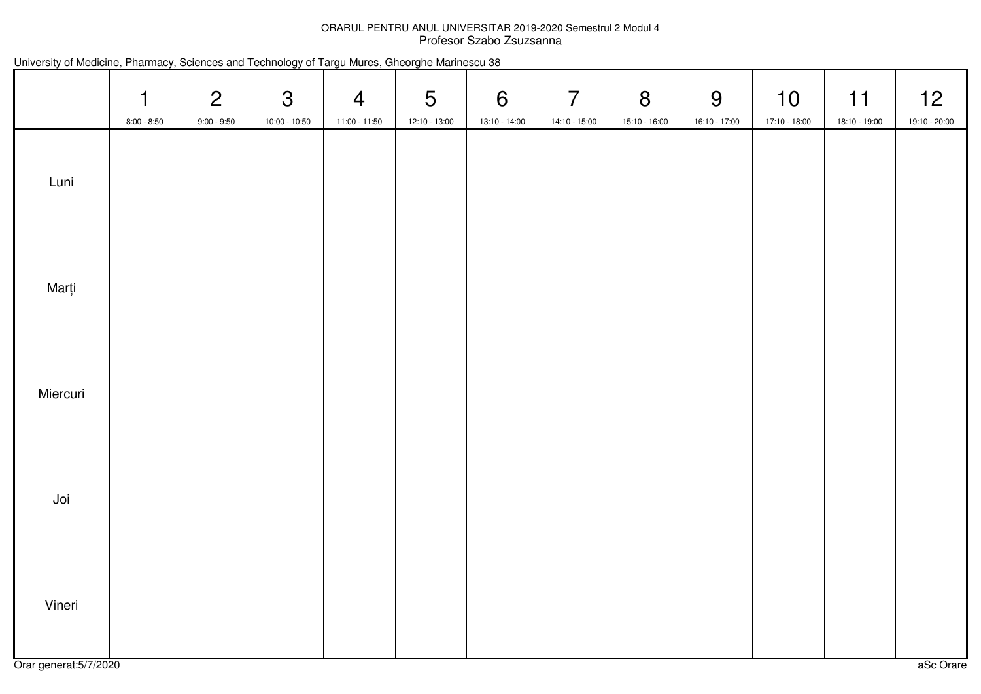## ORARUL PENTRU ANUL UNIVERSITAR 2019-2020 Semestrul 2 Modul 4 Profesor Szabo Zsuzsanna

|  |  |  |  |  |  | University of Medicine, Pharmacy, Sciences and Technology of Targu Mures, Gheorghe Marinescu 38 |  |
|--|--|--|--|--|--|-------------------------------------------------------------------------------------------------|--|
|--|--|--|--|--|--|-------------------------------------------------------------------------------------------------|--|

|          | $\mathbf 1$<br>$8:00 - 8:50$ | $\overline{2}$<br>$9:00 - 9:50$ | $\mathbf{3}$<br>10:00 - 10:50 | $\overline{4}$<br>11:00 - 11:50 | $5\overline{)}$<br>12:10 - 13:00 | $6\overline{6}$<br>13:10 - 14:00 | $\overline{7}$<br>14:10 - 15:00 | 8<br>15:10 - 16:00 | 9<br>16:10 - 17:00 | 10<br>17:10 - 18:00 | 11<br>18:10 - 19:00 | 12<br>19:10 - 20:00 |
|----------|------------------------------|---------------------------------|-------------------------------|---------------------------------|----------------------------------|----------------------------------|---------------------------------|--------------------|--------------------|---------------------|---------------------|---------------------|
| Luni     |                              |                                 |                               |                                 |                                  |                                  |                                 |                    |                    |                     |                     |                     |
| Marți    |                              |                                 |                               |                                 |                                  |                                  |                                 |                    |                    |                     |                     |                     |
| Miercuri |                              |                                 |                               |                                 |                                  |                                  |                                 |                    |                    |                     |                     |                     |
| Joi      |                              |                                 |                               |                                 |                                  |                                  |                                 |                    |                    |                     |                     |                     |
| Vineri   |                              |                                 |                               |                                 |                                  |                                  |                                 |                    |                    |                     |                     |                     |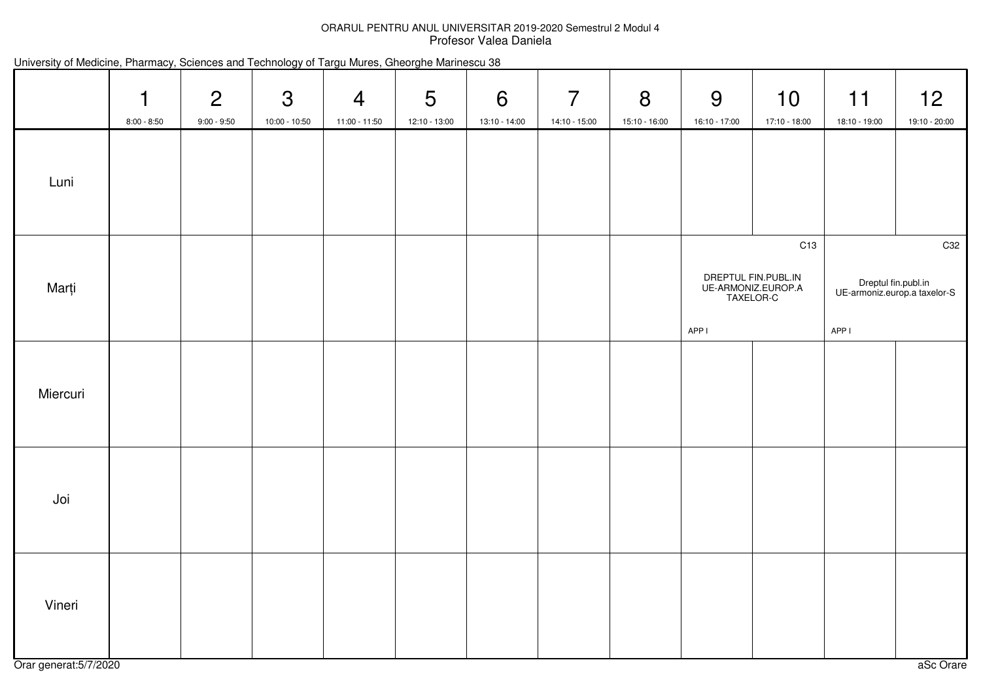## ORARUL PENTRU ANUL UNIVERSITAR 2019-2020 Semestrul 2 Modul 4 Profesor Valea Daniela

| University of Medicine, Pharmacy, Sciences and Technology of Targu Mures, Gheorghe Marinescu 38 |  |  |  |  |  |  |
|-------------------------------------------------------------------------------------------------|--|--|--|--|--|--|
|-------------------------------------------------------------------------------------------------|--|--|--|--|--|--|

|          | $\mathbf 1$<br>$8:00 - 8:50$ | 2<br>$9:00 - 9:50$ | $\mathfrak{S}$<br>10:00 - 10:50 | $\overline{4}$<br>11:00 - 11:50 | $5\overline{)}$<br>12:10 - 13:00 | 6<br>13:10 - 14:00 | $\overline{7}$<br>14:10 - 15:00 | 8<br>15:10 - 16:00 | 9<br>16:10 - 17:00 | 10<br>17:10 - 18:00                                                       | 11<br>18:10 - 19:00 | 12<br>19:10 - 20:00                                        |
|----------|------------------------------|--------------------|---------------------------------|---------------------------------|----------------------------------|--------------------|---------------------------------|--------------------|--------------------|---------------------------------------------------------------------------|---------------------|------------------------------------------------------------|
| Luni     |                              |                    |                                 |                                 |                                  |                    |                                 |                    |                    |                                                                           |                     |                                                            |
| Marți    |                              |                    |                                 |                                 |                                  |                    |                                 |                    | APP I              | C <sub>13</sub><br>DREPTUL FIN.PUBL.IN<br>UE-ARMONIZ.EUROP.A<br>TAXELOR-C | APP I               | C32<br>Dreptul fin.publ.in<br>UE-armoniz.europ.a taxelor-S |
| Miercuri |                              |                    |                                 |                                 |                                  |                    |                                 |                    |                    |                                                                           |                     |                                                            |
| Joi      |                              |                    |                                 |                                 |                                  |                    |                                 |                    |                    |                                                                           |                     |                                                            |
| Vineri   |                              |                    |                                 |                                 |                                  |                    |                                 |                    |                    |                                                                           |                     |                                                            |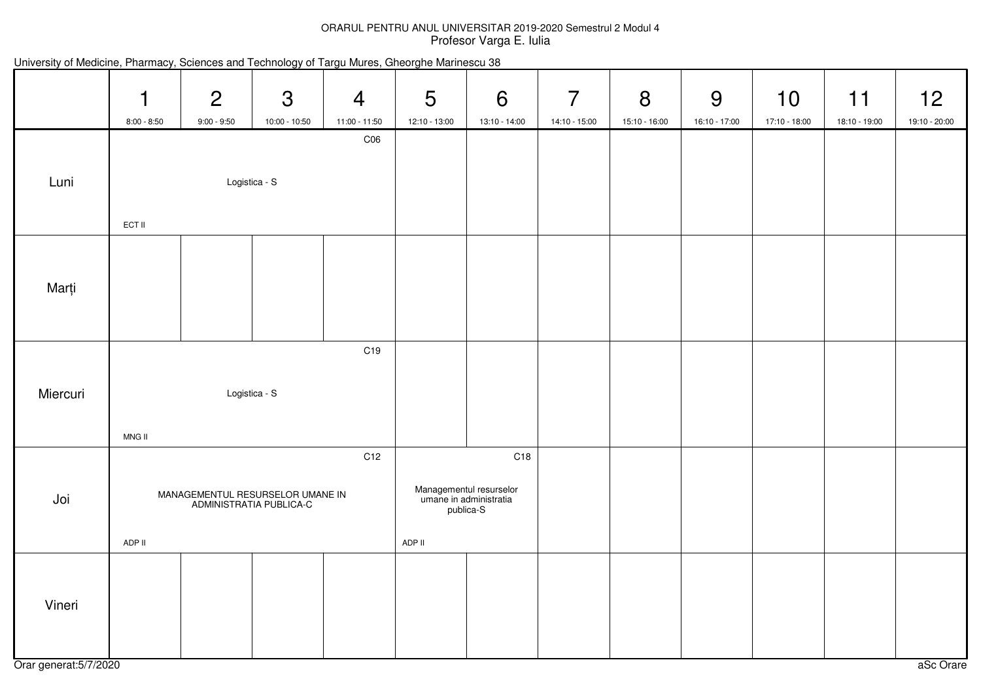## ORARUL PENTRU ANUL UNIVERSITAR 2019-2020 Semestrul 2 Modul 4Profesor Varga E. Iulia

|          | 1<br>$8:00 - 8:50$ | $\overline{2}$<br>$9:00 - 9:50$ | 3<br>10:00 - 10:50                                          | $\overline{4}$<br>11:00 - 11:50 | 5<br>12:10 - 13:00 | 6<br>13:10 - 14:00                                                    | $\overline{7}$<br>14:10 - 15:00 | 8<br>15:10 - 16:00 | 9<br>16:10 - 17:00 | 10<br>17:10 - 18:00 | 11<br>18:10 - 19:00 | 12<br>19:10 - 20:00 |
|----------|--------------------|---------------------------------|-------------------------------------------------------------|---------------------------------|--------------------|-----------------------------------------------------------------------|---------------------------------|--------------------|--------------------|---------------------|---------------------|---------------------|
| Luni     | ECT II             |                                 | Logistica - S                                               | C <sub>06</sub>                 |                    |                                                                       |                                 |                    |                    |                     |                     |                     |
| Marți    |                    |                                 |                                                             |                                 |                    |                                                                       |                                 |                    |                    |                     |                     |                     |
| Miercuri | MNG II             |                                 | Logistica - S                                               | C19                             |                    |                                                                       |                                 |                    |                    |                     |                     |                     |
| Joi      | ADP II             |                                 | MANAGEMENTUL RESURSELOR UMANE IN<br>ADMINISTRATIA PUBLICA-C | C12                             | ADP II             | C18<br>Managementul resurselor<br>umane in administratia<br>publica-S |                                 |                    |                    |                     |                     |                     |
| Vineri   |                    |                                 |                                                             |                                 |                    |                                                                       |                                 |                    |                    |                     |                     |                     |

|  |  |  |  |  |  | University of Medicine, Pharmacy, Sciences and Technology of Targu Mures, Gheorghe Marinescu 38 |  |
|--|--|--|--|--|--|-------------------------------------------------------------------------------------------------|--|
|--|--|--|--|--|--|-------------------------------------------------------------------------------------------------|--|

Orar generat:5/7/2020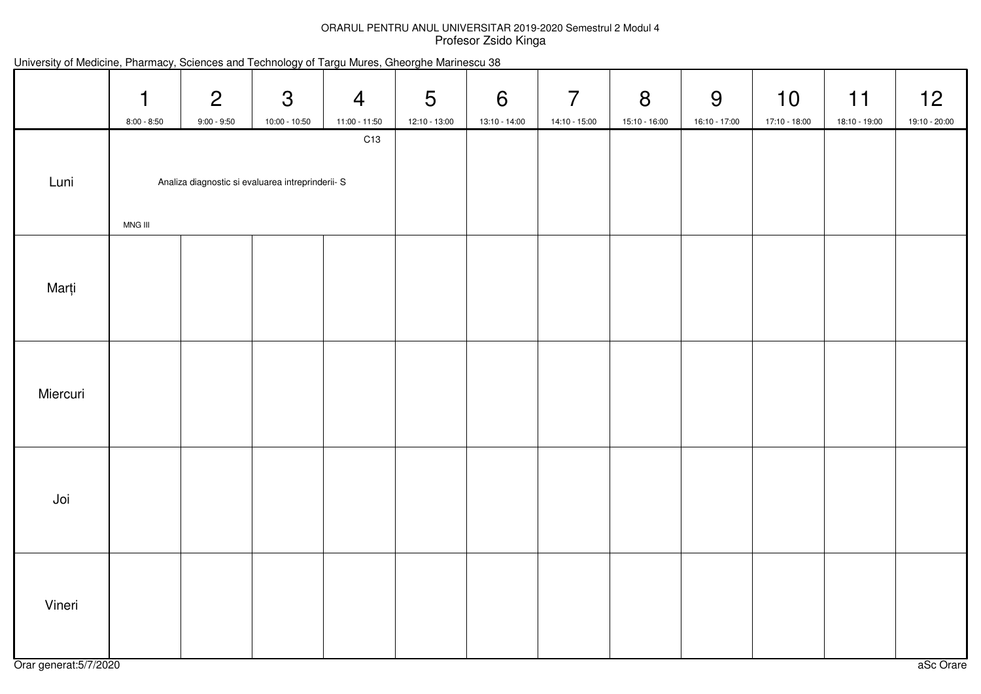## ORARUL PENTRU ANUL UNIVERSITAR 2019-2020 Semestrul 2 Modul 4Profesor Zsido Kinga

|          | $\mathbf 1$<br>$8:00 - 8:50$                                                              | 2<br>$9:00 - 9:50$ | $\mathfrak{S}$<br>10:00 - 10:50 | $\overline{4}$<br>11:00 - 11:50 | $5\overline{)}$<br>12:10 - 13:00 | $6\overline{6}$<br>13:10 - 14:00 | $\overline{7}$<br>14:10 - 15:00 | 8<br>15:10 - 16:00 | 9<br>16:10 - 17:00 | 10<br>17:10 - 18:00 | 11<br>18:10 - 19:00 | 12<br>19:10 - 20:00 |
|----------|-------------------------------------------------------------------------------------------|--------------------|---------------------------------|---------------------------------|----------------------------------|----------------------------------|---------------------------------|--------------------|--------------------|---------------------|---------------------|---------------------|
| Luni     | C13<br>Analiza diagnostic si evaluarea intreprinderii- S<br>$\textsf{MNG}\; \textsf{III}$ |                    |                                 |                                 |                                  |                                  |                                 |                    |                    |                     |                     |                     |
| Marți    |                                                                                           |                    |                                 |                                 |                                  |                                  |                                 |                    |                    |                     |                     |                     |
| Miercuri |                                                                                           |                    |                                 |                                 |                                  |                                  |                                 |                    |                    |                     |                     |                     |
| Joi      |                                                                                           |                    |                                 |                                 |                                  |                                  |                                 |                    |                    |                     |                     |                     |
| Vineri   |                                                                                           |                    |                                 |                                 |                                  |                                  |                                 |                    |                    |                     |                     |                     |

## University of Medicine, Pharmacy, Sciences and Technology of Targu Mures, Gheorghe Marinescu 38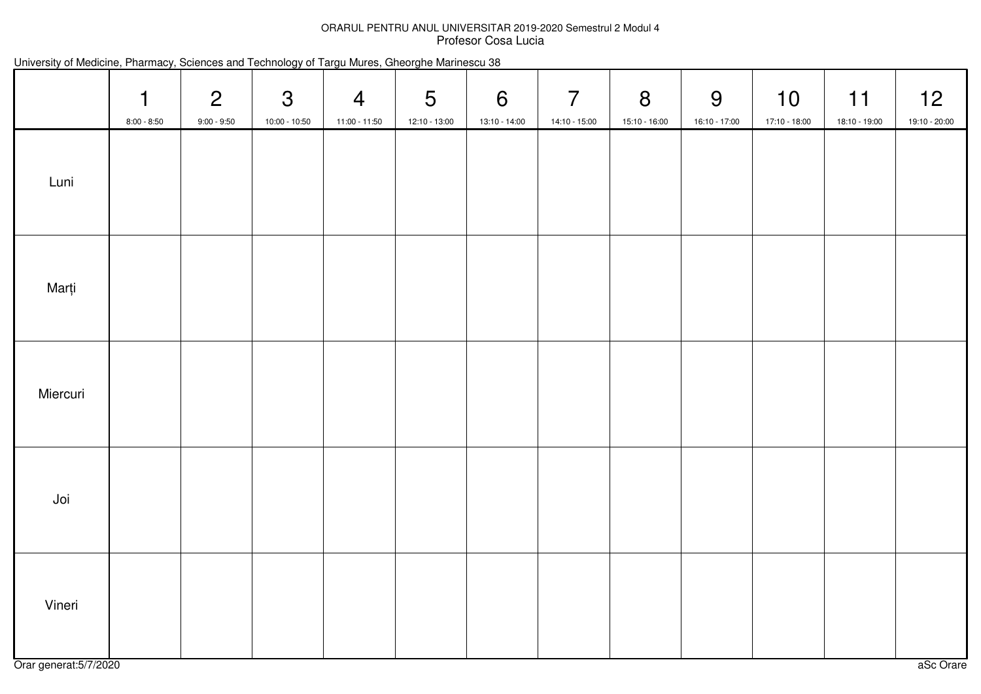## ORARUL PENTRU ANUL UNIVERSITAR 2019-2020 Semestrul 2 Modul 4Profesor Cosa Lucia

| University of Medicine, Pharmacy, Sciences and Technology of Targu Mures, Gheorghe Marinescu 38 |  |  |  |  |  |  |
|-------------------------------------------------------------------------------------------------|--|--|--|--|--|--|
|-------------------------------------------------------------------------------------------------|--|--|--|--|--|--|

|          | $\mathbf{1}$<br>$8:00 - 8:50$ | $\overline{2}$<br>$9:00 - 9:50$ | $\mathbf{3}$<br>10:00 - 10:50 | $\overline{4}$<br>11:00 - 11:50 | $5\overline{)}$<br>12:10 - 13:00 | $6\overline{6}$<br>13:10 - 14:00 | $\overline{7}$<br>14:10 - 15:00 | 8<br>15:10 - 16:00 | 9<br>16:10 - 17:00 | 10<br>17:10 - 18:00 | 11<br>18:10 - 19:00 | 12<br>19:10 - 20:00 |
|----------|-------------------------------|---------------------------------|-------------------------------|---------------------------------|----------------------------------|----------------------------------|---------------------------------|--------------------|--------------------|---------------------|---------------------|---------------------|
| Luni     |                               |                                 |                               |                                 |                                  |                                  |                                 |                    |                    |                     |                     |                     |
| Marți    |                               |                                 |                               |                                 |                                  |                                  |                                 |                    |                    |                     |                     |                     |
| Miercuri |                               |                                 |                               |                                 |                                  |                                  |                                 |                    |                    |                     |                     |                     |
| Joi      |                               |                                 |                               |                                 |                                  |                                  |                                 |                    |                    |                     |                     |                     |
| Vineri   |                               |                                 |                               |                                 |                                  |                                  |                                 |                    |                    |                     |                     |                     |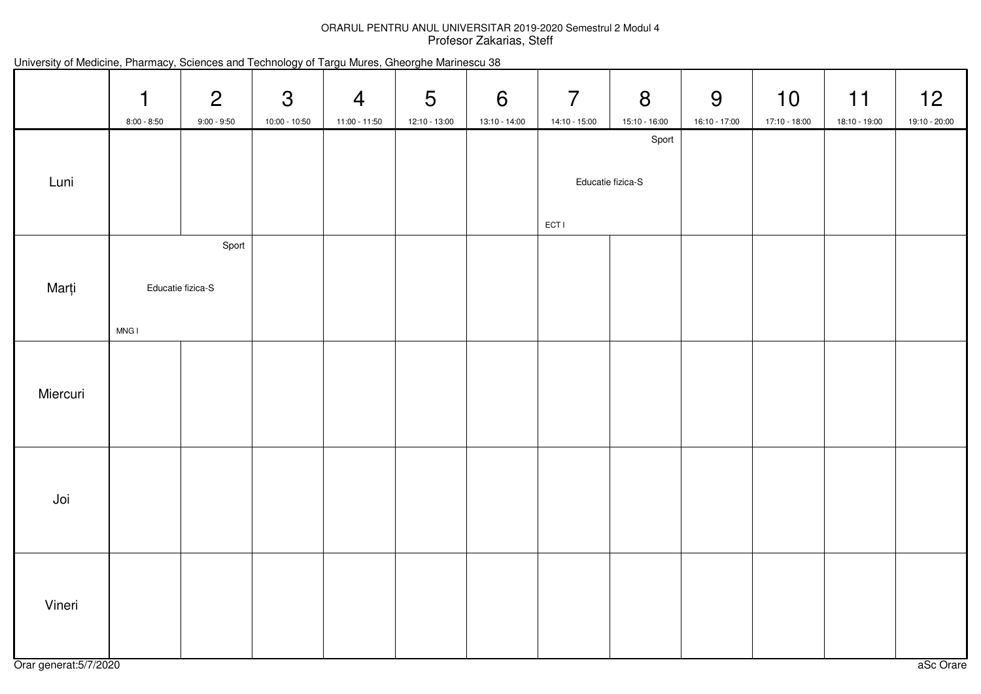## ORARUL PENTRU ANUL UNIVERSITAR 2019-2020 Semestrul 2 Modul 4Profesor Zakarias, Steff

| University of Medicine, Pharmacy, Sciences and Technology of Targu Mures, Gheorghe Marinescu 38 |  |  |  |  |  |  |
|-------------------------------------------------------------------------------------------------|--|--|--|--|--|--|
|-------------------------------------------------------------------------------------------------|--|--|--|--|--|--|

|          | $\mathbf 1$<br>$8:00 - 8:50$ | 2<br>$9:00 - 9:50$ | $\mathfrak{S}$<br>10:00 - 10:50 | $\overline{4}$<br>11:00 - 11:50 | $5\overline{)}$<br>12:10 - 13:00 | 6<br>13:10 - 14:00 | $\overline{7}$<br>14:10 - 15:00 | 8<br>15:10 - 16:00         | 9<br>16:10 - 17:00 | 10<br>17:10 - 18:00 | 11<br>18:10 - 19:00 | 12<br>19:10 - 20:00 |
|----------|------------------------------|--------------------|---------------------------------|---------------------------------|----------------------------------|--------------------|---------------------------------|----------------------------|--------------------|---------------------|---------------------|---------------------|
| Luni     |                              |                    |                                 |                                 |                                  |                    |                                 | Sport<br>Educatie fizica-S |                    |                     |                     |                     |
|          |                              | Sport              |                                 |                                 |                                  |                    | ECT I                           |                            |                    |                     |                     |                     |
| Marți    |                              | Educatie fizica-S  |                                 |                                 |                                  |                    |                                 |                            |                    |                     |                     |                     |
|          | MNG I                        |                    |                                 |                                 |                                  |                    |                                 |                            |                    |                     |                     |                     |
| Miercuri |                              |                    |                                 |                                 |                                  |                    |                                 |                            |                    |                     |                     |                     |
| Joi      |                              |                    |                                 |                                 |                                  |                    |                                 |                            |                    |                     |                     |                     |
| Vineri   |                              |                    |                                 |                                 |                                  |                    |                                 |                            |                    |                     |                     |                     |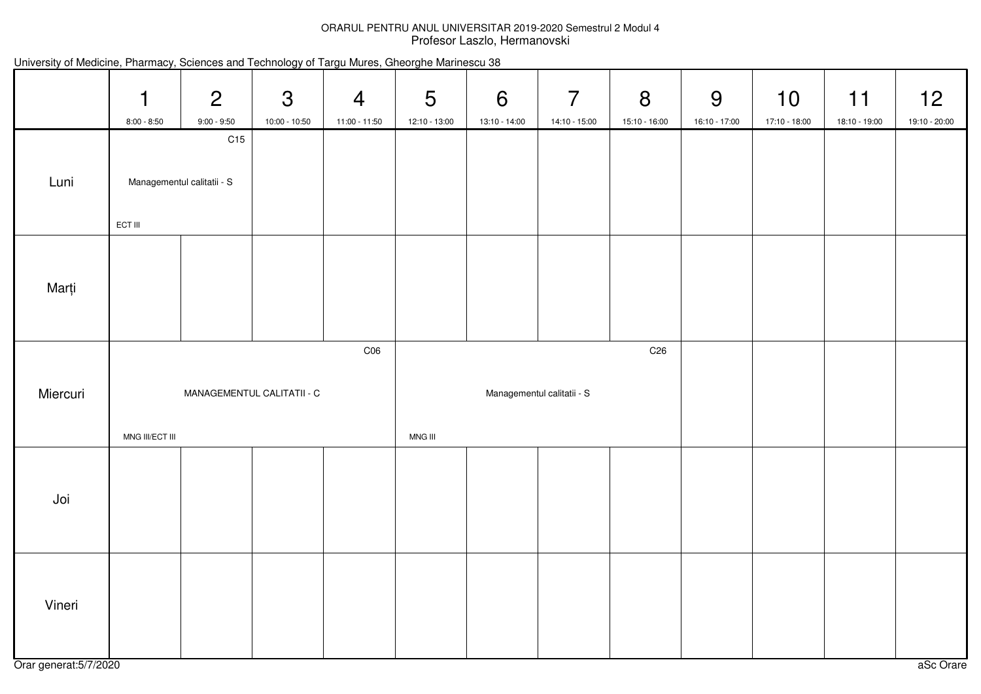### ORARUL PENTRU ANUL UNIVERSITAR 2019-2020 Semestrul 2 Modul 4Profesor Laszlo, Hermanovski

|          | $\mathbf 1$<br>$8:00 - 8:50$ | $\overline{2}$<br>$9:00 - 9:50$               | $\mathfrak{S}$<br>10:00 - 10:50 | $\overline{4}$<br>11:00 - 11:50 | $5\phantom{.0}$<br>12:10 - 13:00 | $6\phantom{1}6$<br>13:10 - 14:00 | $\overline{7}$<br>14:10 - 15:00 | 8<br>15:10 - 16:00 | 9<br>16:10 - 17:00 | 10<br>17:10 - 18:00 | 11<br>18:10 - 19:00 | 12<br>19:10 - 20:00 |
|----------|------------------------------|-----------------------------------------------|---------------------------------|---------------------------------|----------------------------------|----------------------------------|---------------------------------|--------------------|--------------------|---------------------|---------------------|---------------------|
| Luni     | ECT III                      | C <sub>15</sub><br>Managementul calitatii - S |                                 |                                 |                                  |                                  |                                 |                    |                    |                     |                     |                     |
| Marți    |                              |                                               |                                 |                                 |                                  |                                  |                                 |                    |                    |                     |                     |                     |
| Miercuri | MNG III/ECT III              | MANAGEMENTUL CALITATII - C                    |                                 | C <sub>06</sub>                 | MNG III                          |                                  | Managementul calitatii - S      | C <sub>26</sub>    |                    |                     |                     |                     |
| Joi      |                              |                                               |                                 |                                 |                                  |                                  |                                 |                    |                    |                     |                     |                     |
| Vineri   |                              |                                               |                                 |                                 |                                  |                                  |                                 |                    |                    |                     |                     |                     |

#### University of Medicine, Pharmacy, Sciences and Technology of Targu Mures, Gheorghe Marinescu 38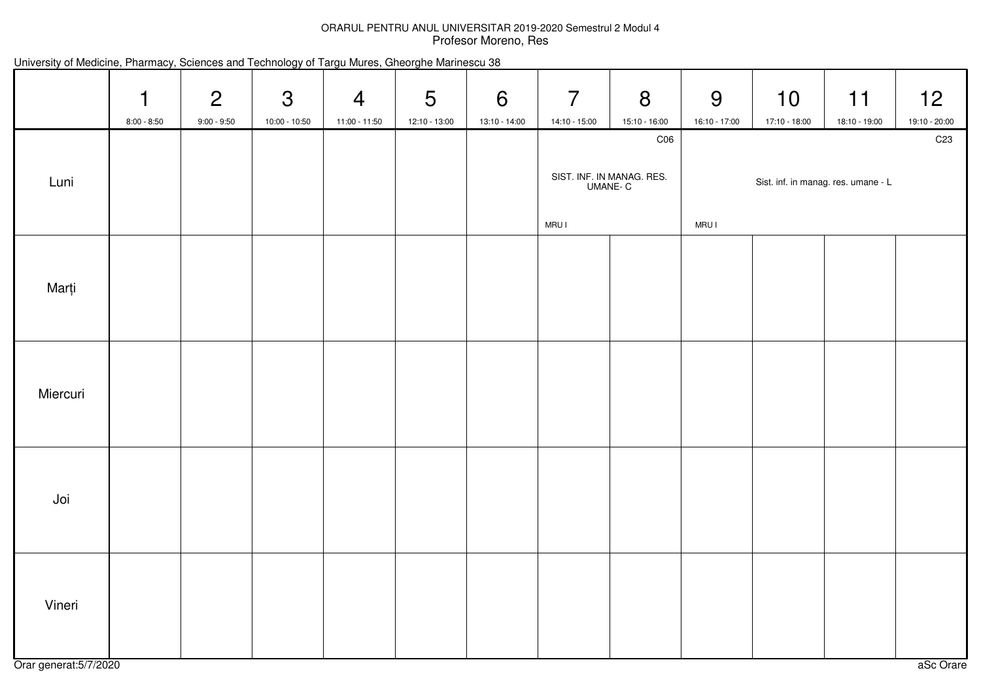## ORARUL PENTRU ANUL UNIVERSITAR 2019-2020 Semestrul 2 Modul 4Profesor Moreno, Res

|  |  |  |  |  |  | University of Medicine, Pharmacy, Sciences and Technology of Targu Mures, Gheorghe Marinescu 38 |  |
|--|--|--|--|--|--|-------------------------------------------------------------------------------------------------|--|
|--|--|--|--|--|--|-------------------------------------------------------------------------------------------------|--|

|          | $\mathbf 1$<br>$8:00 - 8:50$ | $\overline{2}$<br>$9:00 - 9:50$ | $\mathfrak{S}$<br>10:00 - 10:50 | $\overline{4}$<br>11:00 - 11:50 | $5\phantom{1}$<br>12:10 - 13:00 | 6<br>13:10 - 14:00 | $\overline{7}$<br>14:10 - 15:00 | 8<br>15:10 - 16:00                                      | 9<br>16:10 - 17:00 | 10<br>17:10 - 18:00                 | 11<br>18:10 - 19:00 | 12<br>19:10 - 20:00 |
|----------|------------------------------|---------------------------------|---------------------------------|---------------------------------|---------------------------------|--------------------|---------------------------------|---------------------------------------------------------|--------------------|-------------------------------------|---------------------|---------------------|
| Luni     |                              |                                 |                                 |                                 |                                 |                    | MRU I                           | C <sub>06</sub><br>SIST. INF. IN MANAG. RES.<br>UMANE-C | <b>MRUI</b>        | Sist. inf. in manag. res. umane - L |                     | C <sub>23</sub>     |
| Marți    |                              |                                 |                                 |                                 |                                 |                    |                                 |                                                         |                    |                                     |                     |                     |
| Miercuri |                              |                                 |                                 |                                 |                                 |                    |                                 |                                                         |                    |                                     |                     |                     |
| Joi      |                              |                                 |                                 |                                 |                                 |                    |                                 |                                                         |                    |                                     |                     |                     |
| Vineri   |                              |                                 |                                 |                                 |                                 |                    |                                 |                                                         |                    |                                     |                     |                     |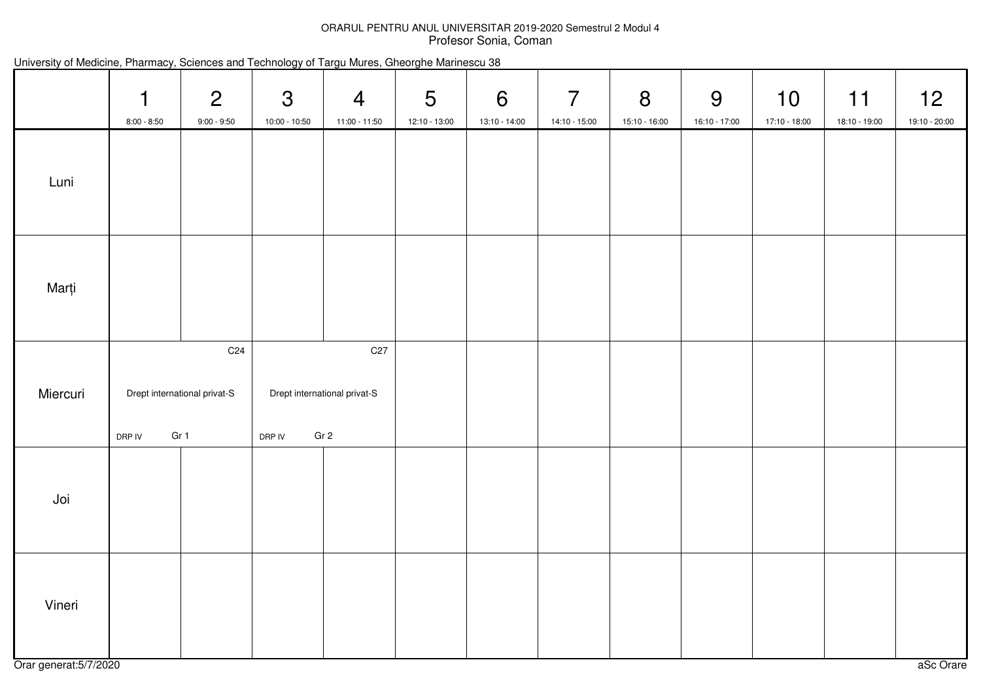## ORARUL PENTRU ANUL UNIVERSITAR 2019-2020 Semestrul 2 Modul 4 Profesor Sonia, Coman

| University of Medicine, Pharmacy, Sciences and Technology of Targu Mures, Gheorghe Marinescu 38 |  |  |  |  |  |  |
|-------------------------------------------------------------------------------------------------|--|--|--|--|--|--|
|-------------------------------------------------------------------------------------------------|--|--|--|--|--|--|

|          | $\mathbf 1$<br>$8:00 - 8:50$                                                 | $\overline{2}$<br>$9:00 - 9:50$ | $\mathfrak{S}$<br>10:00 - 10:50 | $\overline{4}$<br>11:00 - 11:50                                    | $5\overline{)}$<br>12:10 - 13:00 | $6\overline{6}$<br>13:10 - 14:00 | $\overline{7}$<br>14:10 - 15:00 | 8<br>15:10 - 16:00 | 9<br>16:10 - 17:00 | 10<br>17:10 - 18:00 | 11<br>18:10 - 19:00 | 12<br>19:10 - 20:00 |
|----------|------------------------------------------------------------------------------|---------------------------------|---------------------------------|--------------------------------------------------------------------|----------------------------------|----------------------------------|---------------------------------|--------------------|--------------------|---------------------|---------------------|---------------------|
| Luni     |                                                                              |                                 |                                 |                                                                    |                                  |                                  |                                 |                    |                    |                     |                     |                     |
| Marți    |                                                                              |                                 |                                 |                                                                    |                                  |                                  |                                 |                    |                    |                     |                     |                     |
| Miercuri | C <sub>24</sub><br>Drept international privat-S<br>Gr <sub>1</sub><br>DRP IV |                                 | DRP IV                          | C <sub>27</sub><br>Drept international privat-S<br>Gr <sub>2</sub> |                                  |                                  |                                 |                    |                    |                     |                     |                     |
| Joi      |                                                                              |                                 |                                 |                                                                    |                                  |                                  |                                 |                    |                    |                     |                     |                     |
| Vineri   |                                                                              |                                 |                                 |                                                                    |                                  |                                  |                                 |                    |                    |                     |                     |                     |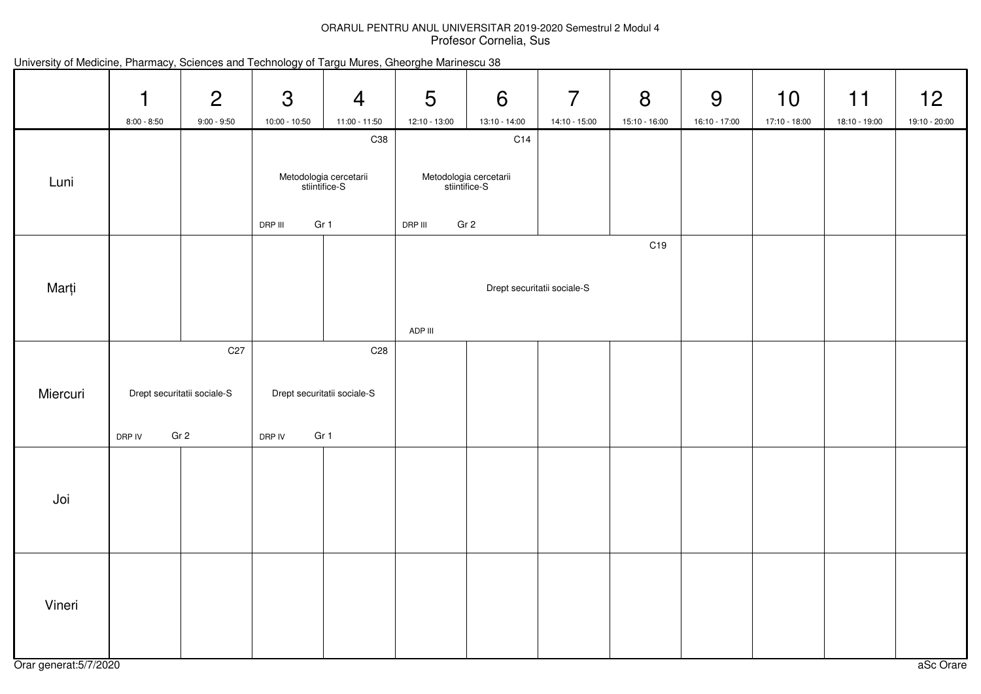## ORARUL PENTRU ANUL UNIVERSITAR 2019-2020 Semestrul 2 Modul 4Profesor Cornelia, Sus

| University of Medicine, Pharmacy, Sciences and Technology of Targu Mures, Gheorghe Marinescu 38 |  |  |  |  |
|-------------------------------------------------------------------------------------------------|--|--|--|--|
|-------------------------------------------------------------------------------------------------|--|--|--|--|

|          | $\overline{1}$<br>$8:00 - 8:50$ | $\overline{2}$<br>$9:00 - 9:50$                                   | 3<br>10:00 - 10:50 | $\overline{4}$<br>11:00 - 11:50                        | $5\phantom{.0}$<br>12:10 - 13:00 | 6<br>13:10 - 14:00                             | $\overline{7}$<br>14:10 - 15:00 | 8<br>15:10 - 16:00 | 9<br>16:10 - 17:00 | 10<br>17:10 - 18:00 | 11<br>18:10 - 19:00 | 12<br>19:10 - 20:00 |
|----------|---------------------------------|-------------------------------------------------------------------|--------------------|--------------------------------------------------------|----------------------------------|------------------------------------------------|---------------------------------|--------------------|--------------------|---------------------|---------------------|---------------------|
| Luni     |                                 |                                                                   |                    | C38<br>Metodologia cercetarii<br>stiintifice-S         |                                  | C14<br>Metodologia cercetarii<br>stiintifice-S |                                 |                    |                    |                     |                     |                     |
| Marți    |                                 |                                                                   | DRP III            | Gr 1                                                   | DRP III<br>ADP III               | Gr <sub>2</sub>                                | Drept securitatii sociale-S     | C19                |                    |                     |                     |                     |
| Miercuri | DRP IV                          | C <sub>27</sub><br>Drept securitatii sociale-S<br>Gr <sub>2</sub> | DRP IV             | C <sub>28</sub><br>Drept securitatii sociale-S<br>Gr 1 |                                  |                                                |                                 |                    |                    |                     |                     |                     |
| Joi      |                                 |                                                                   |                    |                                                        |                                  |                                                |                                 |                    |                    |                     |                     |                     |
| Vineri   |                                 |                                                                   |                    |                                                        |                                  |                                                |                                 |                    |                    |                     |                     |                     |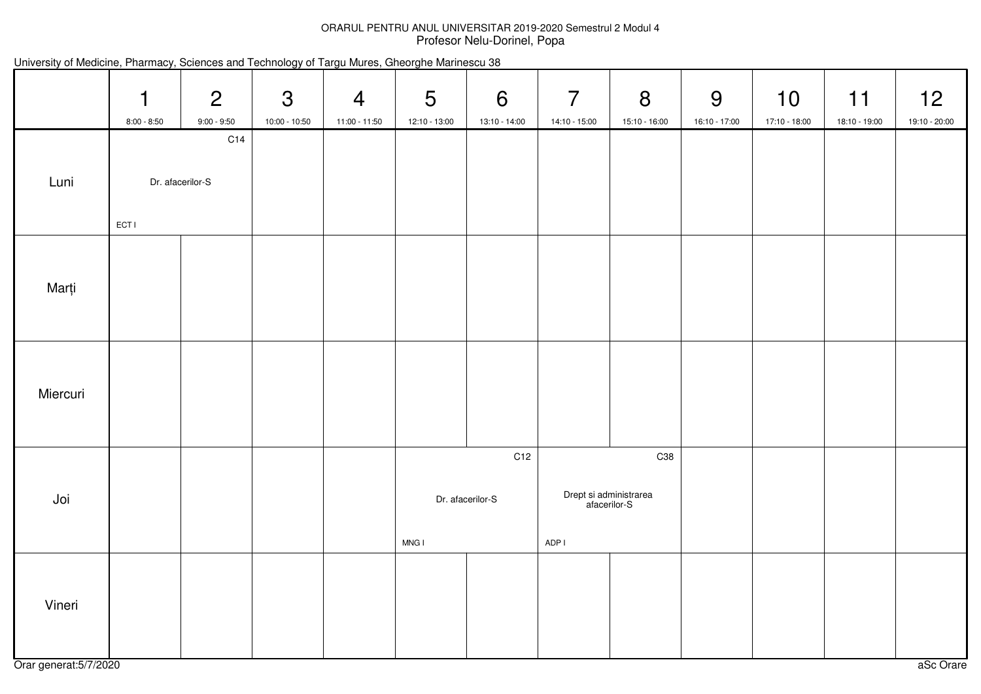## ORARUL PENTRU ANUL UNIVERSITAR 2019-2020 Semestrul 2 Modul 4Profesor Nelu-Dorinel, Popa

|  |  |  |  |  | University of Medicine, Pharmacy, Sciences and Technology of Targu Mures, Gheorghe Marinescu 38 |  |
|--|--|--|--|--|-------------------------------------------------------------------------------------------------|--|
|--|--|--|--|--|-------------------------------------------------------------------------------------------------|--|

|          | $\mathbf 1$<br>$8:00 - 8:50$ | $\overline{2}$<br>$9:00 - 9:50$ | $\mathfrak{S}$<br>10:00 - 10:50 | $\overline{4}$<br>11:00 - 11:50 | $5\overline{)}$<br>12:10 - 13:00 | 6<br>13:10 - 14:00      | $\overline{7}$<br>14:10 - 15:00                 | 8<br>15:10 - 16:00 | 9<br>16:10 - 17:00 | 10<br>17:10 - 18:00 | 11<br>18:10 - 19:00 | 12<br>19:10 - 20:00 |
|----------|------------------------------|---------------------------------|---------------------------------|---------------------------------|----------------------------------|-------------------------|-------------------------------------------------|--------------------|--------------------|---------------------|---------------------|---------------------|
| Luni     | <b>ECTI</b>                  | C14<br>Dr. afacerilor-S         |                                 |                                 |                                  |                         |                                                 |                    |                    |                     |                     |                     |
| Marți    |                              |                                 |                                 |                                 |                                  |                         |                                                 |                    |                    |                     |                     |                     |
| Miercuri |                              |                                 |                                 |                                 |                                  |                         |                                                 |                    |                    |                     |                     |                     |
| Joi      |                              |                                 |                                 |                                 | MNG I                            | C12<br>Dr. afacerilor-S | Drept si administrarea<br>afacerilor-S<br>ADP I | C38                |                    |                     |                     |                     |
| Vineri   |                              |                                 |                                 |                                 |                                  |                         |                                                 |                    |                    |                     |                     |                     |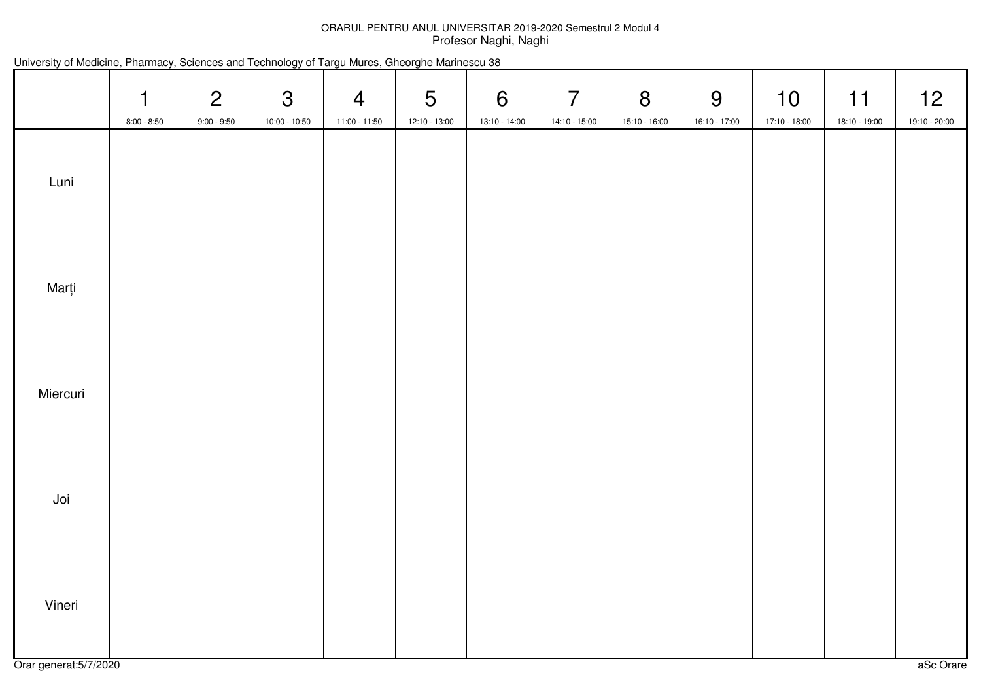## ORARUL PENTRU ANUL UNIVERSITAR 2019-2020 Semestrul 2 Modul 4Profesor Naghi, Naghi

|  |  |  |  |  |  | University of Medicine, Pharmacy, Sciences and Technology of Targu Mures, Gheorghe Marinescu 38 |  |
|--|--|--|--|--|--|-------------------------------------------------------------------------------------------------|--|
|--|--|--|--|--|--|-------------------------------------------------------------------------------------------------|--|

|          | $\mathbf{1}$<br>$8:00 - 8:50$ | $\overline{2}$<br>$9:00 - 9:50$ | $\mathbf{3}$<br>$10:00 - 10:50$ | $\overline{4}$<br>11:00 - 11:50 | $\overline{5}$<br>12:10 - 13:00 | $6\overline{6}$<br>13:10 - 14:00 | $\overline{7}$<br>14:10 - 15:00 | 8<br>15:10 - 16:00 | 9<br>16:10 - 17:00 | 10<br>17:10 - 18:00 | 11<br>18:10 - 19:00 | 12<br>19:10 - 20:00 |
|----------|-------------------------------|---------------------------------|---------------------------------|---------------------------------|---------------------------------|----------------------------------|---------------------------------|--------------------|--------------------|---------------------|---------------------|---------------------|
| Luni     |                               |                                 |                                 |                                 |                                 |                                  |                                 |                    |                    |                     |                     |                     |
| Marți    |                               |                                 |                                 |                                 |                                 |                                  |                                 |                    |                    |                     |                     |                     |
| Miercuri |                               |                                 |                                 |                                 |                                 |                                  |                                 |                    |                    |                     |                     |                     |
| Joi      |                               |                                 |                                 |                                 |                                 |                                  |                                 |                    |                    |                     |                     |                     |
| Vineri   |                               |                                 |                                 |                                 |                                 |                                  |                                 |                    |                    |                     |                     |                     |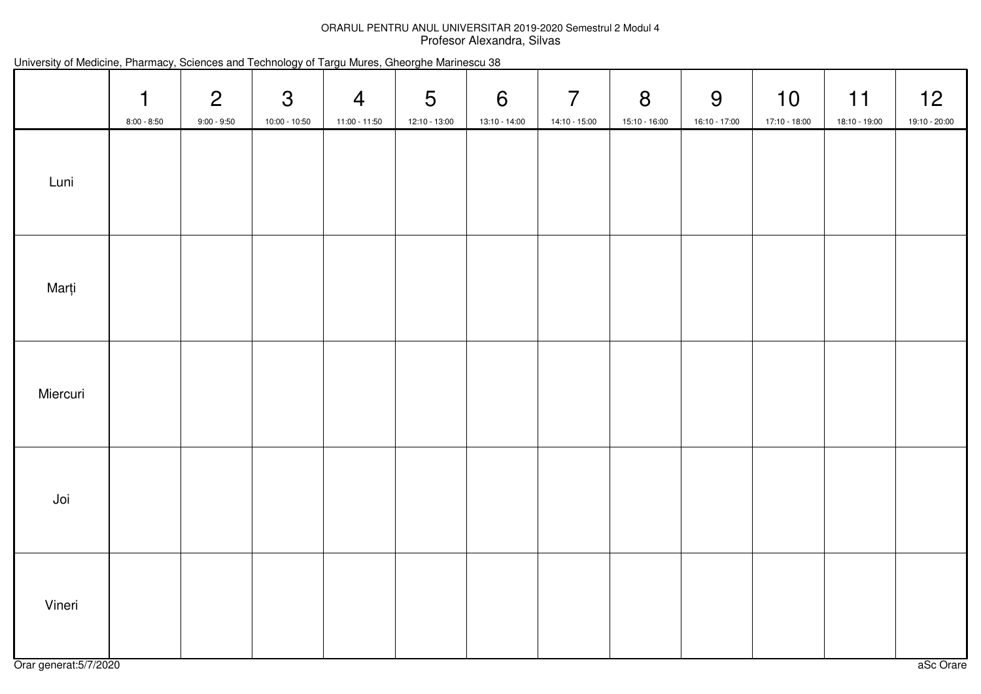## ORARUL PENTRU ANUL UNIVERSITAR 2019-2020 Semestrul 2 Modul 4Profesor Alexandra, Silvas

|  |  |  |  |  |  | University of Medicine, Pharmacy, Sciences and Technology of Targu Mures, Gheorghe Marinescu 38 |  |
|--|--|--|--|--|--|-------------------------------------------------------------------------------------------------|--|
|--|--|--|--|--|--|-------------------------------------------------------------------------------------------------|--|

|          | $\mathbf{1}$<br>$8:00 - 8:50$ | $\overline{2}$<br>$9:00 - 9:50$ | $\mathbf{3}$<br>10:00 - 10:50 | $\overline{4}$<br>11:00 - 11:50 | $5\overline{)}$<br>12:10 - 13:00 | 6<br>13:10 - 14:00 | $\overline{7}$<br>14:10 - 15:00 | 8<br>15:10 - 16:00 | 9<br>16:10 - 17:00 | 10<br>17:10 - 18:00 | 11<br>18:10 - 19:00 | 12<br>19:10 - 20:00 |
|----------|-------------------------------|---------------------------------|-------------------------------|---------------------------------|----------------------------------|--------------------|---------------------------------|--------------------|--------------------|---------------------|---------------------|---------------------|
| Luni     |                               |                                 |                               |                                 |                                  |                    |                                 |                    |                    |                     |                     |                     |
| Marți    |                               |                                 |                               |                                 |                                  |                    |                                 |                    |                    |                     |                     |                     |
| Miercuri |                               |                                 |                               |                                 |                                  |                    |                                 |                    |                    |                     |                     |                     |
| Joi      |                               |                                 |                               |                                 |                                  |                    |                                 |                    |                    |                     |                     |                     |
| Vineri   |                               |                                 |                               |                                 |                                  |                    |                                 |                    |                    |                     |                     |                     |